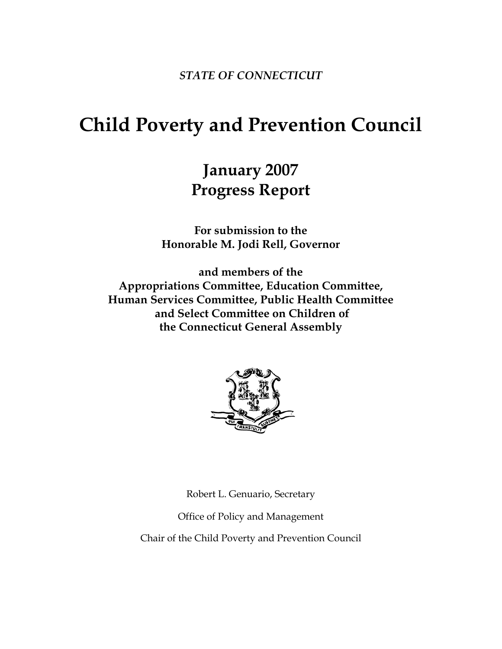*STATE OF CONNECTICUT* 

# **Child Poverty and Prevention Council**

## **January 2007 Progress Report**

**For submission to the Honorable M. Jodi Rell, Governor** 

**and members of the Appropriations Committee, Education Committee, Human Services Committee, Public Health Committee and Select Committee on Children of the Connecticut General Assembly** 



Robert L. Genuario, Secretary

Office of Policy and Management

Chair of the Child Poverty and Prevention Council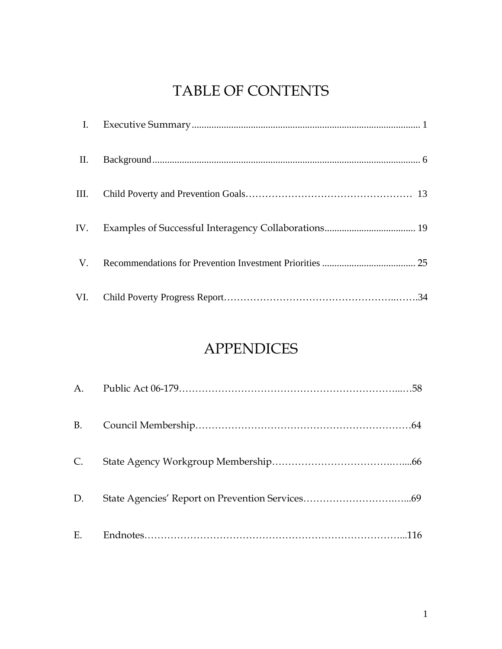## TABLE OF CONTENTS

| П. |  |
|----|--|
|    |  |
|    |  |
|    |  |
|    |  |

## APPENDICES

| $C_{\cdot}$ |  |
|-------------|--|
| D.          |  |
|             |  |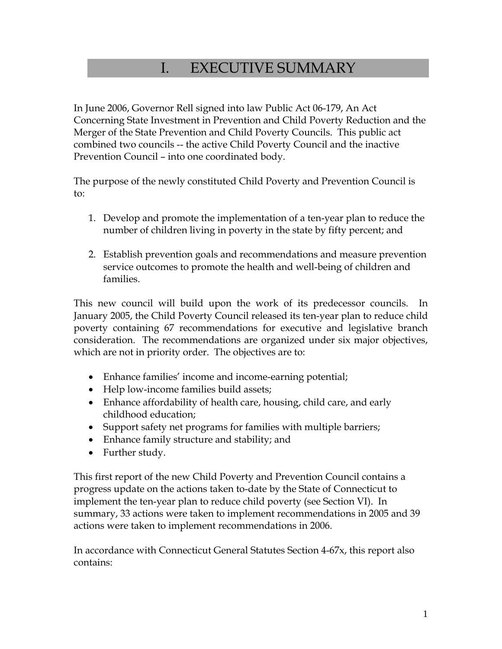## I. EXECUTIVE SUMMARY

In June 2006, Governor Rell signed into law Public Act 06-179, An Act Concerning State Investment in Prevention and Child Poverty Reduction and the Merger of the State Prevention and Child Poverty Councils. This public act combined two councils -- the active Child Poverty Council and the inactive Prevention Council – into one coordinated body.

The purpose of the newly constituted Child Poverty and Prevention Council is to:

- 1. Develop and promote the implementation of a ten-year plan to reduce the number of children living in poverty in the state by fifty percent; and
- 2. Establish prevention goals and recommendations and measure prevention service outcomes to promote the health and well-being of children and families.

This new council will build upon the work of its predecessor councils. In January 2005, the Child Poverty Council released its ten-year plan to reduce child poverty containing 67 recommendations for executive and legislative branch consideration. The recommendations are organized under six major objectives, which are not in priority order. The objectives are to:

- Enhance families' income and income-earning potential;
- Help low-income families build assets;
- Enhance affordability of health care, housing, child care, and early childhood education;
- Support safety net programs for families with multiple barriers;
- Enhance family structure and stability; and
- Further study.

This first report of the new Child Poverty and Prevention Council contains a progress update on the actions taken to-date by the State of Connecticut to implement the ten-year plan to reduce child poverty (see Section VI). In summary, 33 actions were taken to implement recommendations in 2005 and 39 actions were taken to implement recommendations in 2006.

In accordance with Connecticut General Statutes Section 4-67x, this report also contains: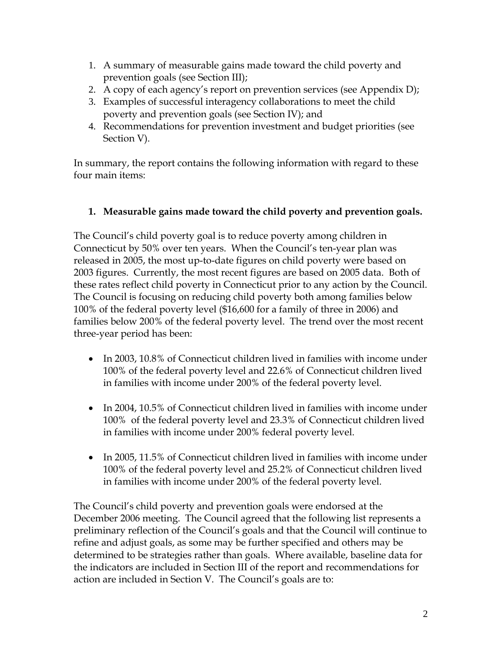- 1. A summary of measurable gains made toward the child poverty and prevention goals (see Section III);
- 2. A copy of each agency's report on prevention services (see Appendix D);
- 3. Examples of successful interagency collaborations to meet the child poverty and prevention goals (see Section IV); and
- 4. Recommendations for prevention investment and budget priorities (see Section V).

In summary, the report contains the following information with regard to these four main items:

### **1. Measurable gains made toward the child poverty and prevention goals.**

The Council's child poverty goal is to reduce poverty among children in Connecticut by 50% over ten years. When the Council's ten-year plan was released in 2005, the most up-to-date figures on child poverty were based on 2003 figures. Currently, the most recent figures are based on 2005 data. Both of these rates reflect child poverty in Connecticut prior to any action by the Council. The Council is focusing on reducing child poverty both among families below 100% of the federal poverty level (\$16,600 for a family of three in 2006) and families below 200% of the federal poverty level. The trend over the most recent three-year period has been:

- In 2003, 10.8% of Connecticut children lived in families with income under 100% of the federal poverty level and 22.6% of Connecticut children lived in families with income under 200% of the federal poverty level.
- In 2004, 10.5% of Connecticut children lived in families with income under 100% of the federal poverty level and 23.3% of Connecticut children lived in families with income under 200% federal poverty level.
- In 2005, 11.5% of Connecticut children lived in families with income under 100% of the federal poverty level and 25.2% of Connecticut children lived in families with income under 200% of the federal poverty level.

The Council's child poverty and prevention goals were endorsed at the December 2006 meeting. The Council agreed that the following list represents a preliminary reflection of the Council's goals and that the Council will continue to refine and adjust goals, as some may be further specified and others may be determined to be strategies rather than goals. Where available, baseline data for the indicators are included in Section III of the report and recommendations for action are included in Section V. The Council's goals are to: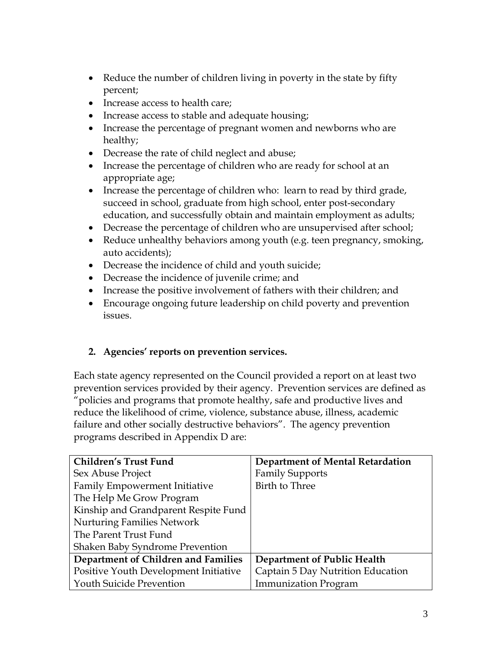- Reduce the number of children living in poverty in the state by fifty percent;
- Increase access to health care;
- Increase access to stable and adequate housing;
- Increase the percentage of pregnant women and newborns who are healthy;
- Decrease the rate of child neglect and abuse;
- Increase the percentage of children who are ready for school at an appropriate age;
- Increase the percentage of children who: learn to read by third grade, succeed in school, graduate from high school, enter post-secondary education, and successfully obtain and maintain employment as adults;
- Decrease the percentage of children who are unsupervised after school;
- Reduce unhealthy behaviors among youth (e.g. teen pregnancy, smoking, auto accidents);
- Decrease the incidence of child and youth suicide;
- Decrease the incidence of juvenile crime; and
- Increase the positive involvement of fathers with their children; and
- Encourage ongoing future leadership on child poverty and prevention issues.

### **2. Agencies' reports on prevention services.**

Each state agency represented on the Council provided a report on at least two prevention services provided by their agency. Prevention services are defined as "policies and programs that promote healthy, safe and productive lives and reduce the likelihood of crime, violence, substance abuse, illness, academic failure and other socially destructive behaviors". The agency prevention programs described in Appendix D are:

| <b>Children's Trust Fund</b>          | <b>Department of Mental Retardation</b> |
|---------------------------------------|-----------------------------------------|
| Sex Abuse Project                     | <b>Family Supports</b>                  |
| <b>Family Empowerment Initiative</b>  | Birth to Three                          |
| The Help Me Grow Program              |                                         |
| Kinship and Grandparent Respite Fund  |                                         |
| <b>Nurturing Families Network</b>     |                                         |
| The Parent Trust Fund                 |                                         |
| Shaken Baby Syndrome Prevention       |                                         |
| Department of Children and Families   | Department of Public Health             |
| Positive Youth Development Initiative | Captain 5 Day Nutrition Education       |
| <b>Youth Suicide Prevention</b>       | <b>Immunization Program</b>             |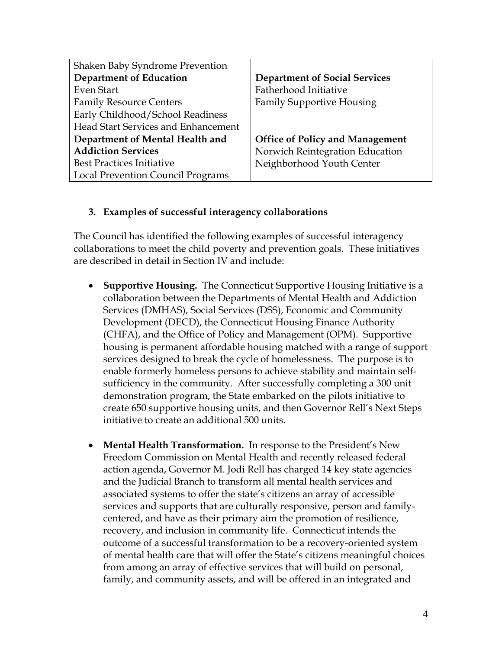| Shaken Baby Syndrome Prevention          |                                        |
|------------------------------------------|----------------------------------------|
| <b>Department of Education</b>           | <b>Department of Social Services</b>   |
| Even Start                               | Fatherhood Initiative                  |
| <b>Family Resource Centers</b>           | <b>Family Supportive Housing</b>       |
| Early Childhood/School Readiness         |                                        |
| Head Start Services and Enhancement      |                                        |
| Department of Mental Health and          | <b>Office of Policy and Management</b> |
| <b>Addiction Services</b>                | Norwich Reintegration Education        |
| <b>Best Practices Initiative</b>         | Neighborhood Youth Center              |
| <b>Local Prevention Council Programs</b> |                                        |

#### **3. Examples of successful interagency collaborations**

The Council has identified the following examples of successful interagency collaborations to meet the child poverty and prevention goals. These initiatives are described in detail in Section IV and include:

- **Supportive Housing.** The Connecticut Supportive Housing Initiative is a collaboration between the Departments of Mental Health and Addiction Services (DMHAS), Social Services (DSS), Economic and Community Development (DECD), the Connecticut Housing Finance Authority (CHFA), and the Office of Policy and Management (OPM). Supportive housing is permanent affordable housing matched with a range of support services designed to break the cycle of homelessness. The purpose is to enable formerly homeless persons to achieve stability and maintain selfsufficiency in the community. After successfully completing a 300 unit demonstration program, the State embarked on the pilots initiative to create 650 supportive housing units, and then Governor Rell's Next Steps initiative to create an additional 500 units.
- **Mental Health Transformation.** In response to the President's New Freedom Commission on Mental Health and recently released federal action agenda, Governor M. Jodi Rell has charged 14 key state agencies and the Judicial Branch to transform all mental health services and associated systems to offer the state's citizens an array of accessible services and supports that are culturally responsive, person and familycentered, and have as their primary aim the promotion of resilience, recovery, and inclusion in community life. Connecticut intends the outcome of a successful transformation to be a recovery-oriented system of mental health care that will offer the State's citizens meaningful choices from among an array of effective services that will build on personal, family, and community assets, and will be offered in an integrated and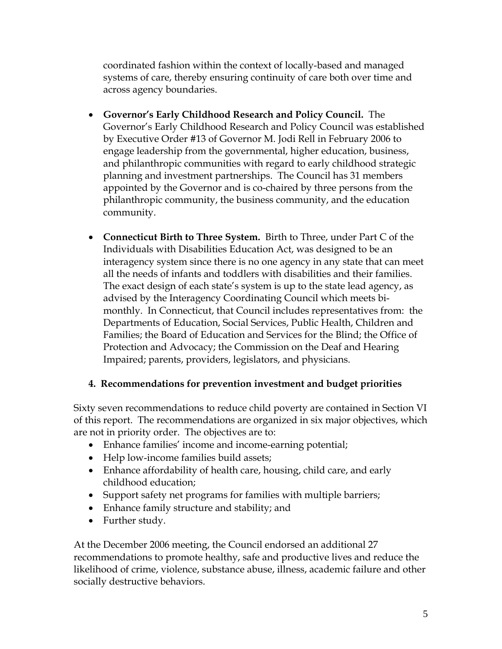coordinated fashion within the context of locally-based and managed systems of care, thereby ensuring continuity of care both over time and across agency boundaries.

- **Governor's Early Childhood Research and Policy Council.** The Governor's Early Childhood Research and Policy Council was established by Executive Order #13 of Governor M. Jodi Rell in February 2006 to engage leadership from the governmental, higher education, business, and philanthropic communities with regard to early childhood strategic planning and investment partnerships. The Council has 31 members appointed by the Governor and is co-chaired by three persons from the philanthropic community, the business community, and the education community.
- **Connecticut Birth to Three System.** Birth to Three, under Part C of the Individuals with Disabilities Education Act, was designed to be an interagency system since there is no one agency in any state that can meet all the needs of infants and toddlers with disabilities and their families. The exact design of each state's system is up to the state lead agency, as advised by the Interagency Coordinating Council which meets bimonthly. In Connecticut, that Council includes representatives from: the Departments of Education, Social Services, Public Health, Children and Families; the Board of Education and Services for the Blind; the Office of Protection and Advocacy; the Commission on the Deaf and Hearing Impaired; parents, providers, legislators, and physicians.

#### **4. Recommendations for prevention investment and budget priorities**

Sixty seven recommendations to reduce child poverty are contained in Section VI of this report. The recommendations are organized in six major objectives, which are not in priority order. The objectives are to:

- Enhance families' income and income-earning potential;
- Help low-income families build assets;
- Enhance affordability of health care, housing, child care, and early childhood education;
- Support safety net programs for families with multiple barriers;
- Enhance family structure and stability; and
- Further study.

At the December 2006 meeting, the Council endorsed an additional 27 recommendations to promote healthy, safe and productive lives and reduce the likelihood of crime, violence, substance abuse, illness, academic failure and other socially destructive behaviors.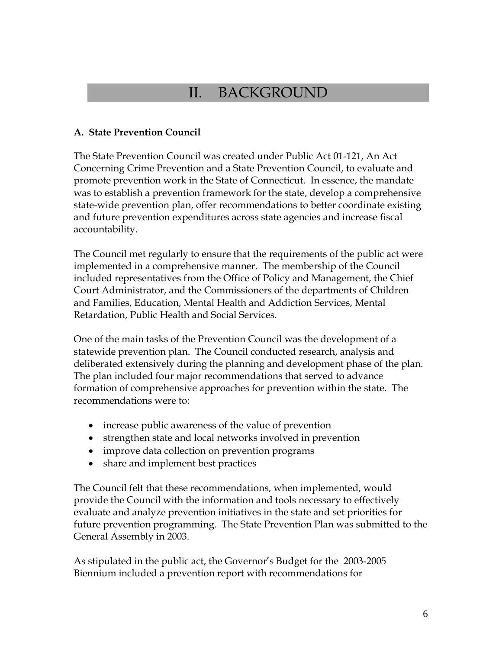## II. BACKGROUND

#### **A. State Prevention Council**

The State Prevention Council was created under Public Act 01-121, An Act Concerning Crime Prevention and a State Prevention Council, to evaluate and promote prevention work in the State of Connecticut. In essence, the mandate was to establish a prevention framework for the state, develop a comprehensive state-wide prevention plan, offer recommendations to better coordinate existing and future prevention expenditures across state agencies and increase fiscal accountability.

The Council met regularly to ensure that the requirements of the public act were implemented in a comprehensive manner. The membership of the Council included representatives from the Office of Policy and Management, the Chief Court Administrator, and the Commissioners of the departments of Children and Families, Education, Mental Health and Addiction Services, Mental Retardation, Public Health and Social Services.

One of the main tasks of the Prevention Council was the development of a statewide prevention plan. The Council conducted research, analysis and deliberated extensively during the planning and development phase of the plan. The plan included four major recommendations that served to advance formation of comprehensive approaches for prevention within the state. The recommendations were to:

- increase public awareness of the value of prevention
- strengthen state and local networks involved in prevention
- improve data collection on prevention programs
- share and implement best practices

The Council felt that these recommendations, when implemented, would provide the Council with the information and tools necessary to effectively evaluate and analyze prevention initiatives in the state and set priorities for future prevention programming. The State Prevention Plan was submitted to the General Assembly in 2003.

As stipulated in the public act, the Governor's Budget for the 2003-2005 Biennium included a prevention report with recommendations for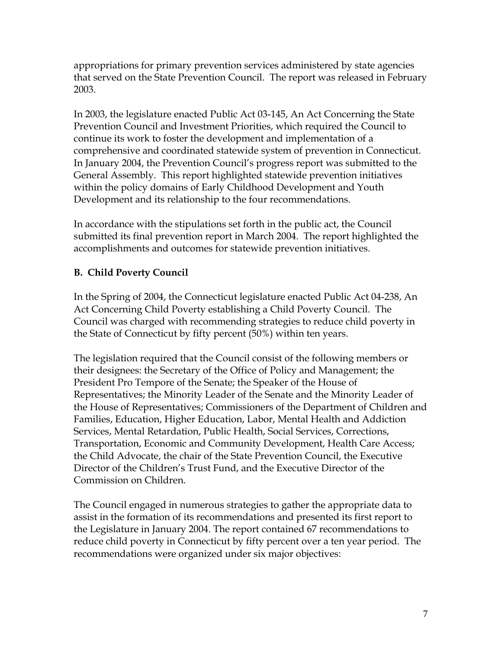appropriations for primary prevention services administered by state agencies that served on the State Prevention Council. The report was released in February 2003.

In 2003, the legislature enacted Public Act 03-145, An Act Concerning the State Prevention Council and Investment Priorities, which required the Council to continue its work to foster the development and implementation of a comprehensive and coordinated statewide system of prevention in Connecticut. In January 2004, the Prevention Council's progress report was submitted to the General Assembly. This report highlighted statewide prevention initiatives within the policy domains of Early Childhood Development and Youth Development and its relationship to the four recommendations.

In accordance with the stipulations set forth in the public act, the Council submitted its final prevention report in March 2004. The report highlighted the accomplishments and outcomes for statewide prevention initiatives.

### **B. Child Poverty Council**

In the Spring of 2004, the Connecticut legislature enacted Public Act 04-238, An Act Concerning Child Poverty establishing a Child Poverty Council. The Council was charged with recommending strategies to reduce child poverty in the State of Connecticut by fifty percent (50%) within ten years.

The legislation required that the Council consist of the following members or their designees: the Secretary of the Office of Policy and Management; the President Pro Tempore of the Senate; the Speaker of the House of Representatives; the Minority Leader of the Senate and the Minority Leader of the House of Representatives; Commissioners of the Department of Children and Families, Education, Higher Education, Labor, Mental Health and Addiction Services, Mental Retardation, Public Health, Social Services, Corrections, Transportation, Economic and Community Development, Health Care Access; the Child Advocate, the chair of the State Prevention Council, the Executive Director of the Children's Trust Fund, and the Executive Director of the Commission on Children.

The Council engaged in numerous strategies to gather the appropriate data to assist in the formation of its recommendations and presented its first report to the Legislature in January 2004. The report contained 67 recommendations to reduce child poverty in Connecticut by fifty percent over a ten year period. The recommendations were organized under six major objectives: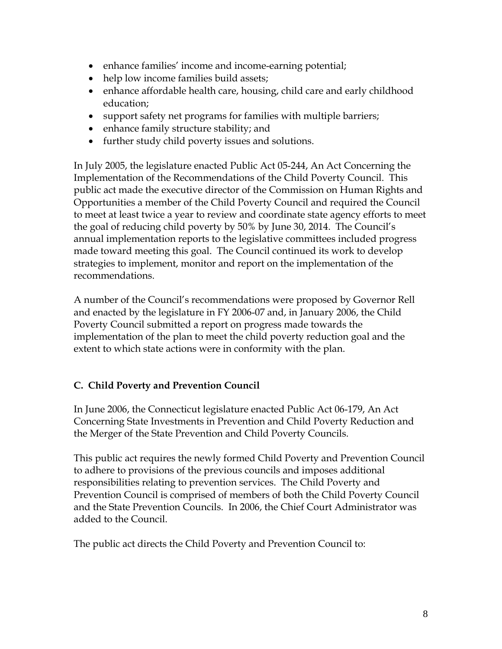- enhance families' income and income-earning potential;
- help low income families build assets;
- enhance affordable health care, housing, child care and early childhood education;
- support safety net programs for families with multiple barriers;
- enhance family structure stability; and
- further study child poverty issues and solutions.

In July 2005, the legislature enacted Public Act 05-244, An Act Concerning the Implementation of the Recommendations of the Child Poverty Council. This public act made the executive director of the Commission on Human Rights and Opportunities a member of the Child Poverty Council and required the Council to meet at least twice a year to review and coordinate state agency efforts to meet the goal of reducing child poverty by 50% by June 30, 2014. The Council's annual implementation reports to the legislative committees included progress made toward meeting this goal. The Council continued its work to develop strategies to implement, monitor and report on the implementation of the recommendations.

A number of the Council's recommendations were proposed by Governor Rell and enacted by the legislature in FY 2006-07 and, in January 2006, the Child Poverty Council submitted a report on progress made towards the implementation of the plan to meet the child poverty reduction goal and the extent to which state actions were in conformity with the plan.

## **C. Child Poverty and Prevention Council**

In June 2006, the Connecticut legislature enacted Public Act 06-179, An Act Concerning State Investments in Prevention and Child Poverty Reduction and the Merger of the State Prevention and Child Poverty Councils.

This public act requires the newly formed Child Poverty and Prevention Council to adhere to provisions of the previous councils and imposes additional responsibilities relating to prevention services. The Child Poverty and Prevention Council is comprised of members of both the Child Poverty Council and the State Prevention Councils. In 2006, the Chief Court Administrator was added to the Council.

The public act directs the Child Poverty and Prevention Council to: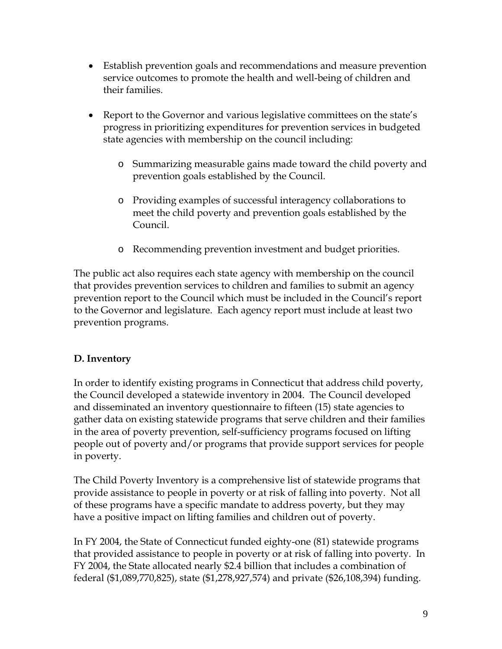- Establish prevention goals and recommendations and measure prevention service outcomes to promote the health and well-being of children and their families.
- Report to the Governor and various legislative committees on the state's progress in prioritizing expenditures for prevention services in budgeted state agencies with membership on the council including:
	- o Summarizing measurable gains made toward the child poverty and prevention goals established by the Council.
	- o Providing examples of successful interagency collaborations to meet the child poverty and prevention goals established by the Council.
	- o Recommending prevention investment and budget priorities.

The public act also requires each state agency with membership on the council that provides prevention services to children and families to submit an agency prevention report to the Council which must be included in the Council's report to the Governor and legislature. Each agency report must include at least two prevention programs.

### **D. Inventory**

In order to identify existing programs in Connecticut that address child poverty, the Council developed a statewide inventory in 2004. The Council developed and disseminated an inventory questionnaire to fifteen (15) state agencies to gather data on existing statewide programs that serve children and their families in the area of poverty prevention, self-sufficiency programs focused on lifting people out of poverty and/or programs that provide support services for people in poverty.

The Child Poverty Inventory is a comprehensive list of statewide programs that provide assistance to people in poverty or at risk of falling into poverty. Not all of these programs have a specific mandate to address poverty, but they may have a positive impact on lifting families and children out of poverty.

In FY 2004, the State of Connecticut funded eighty-one (81) statewide programs that provided assistance to people in poverty or at risk of falling into poverty. In FY 2004, the State allocated nearly \$2.4 billion that includes a combination of federal (\$1,089,770,825), state (\$1,278,927,574) and private (\$26,108,394) funding.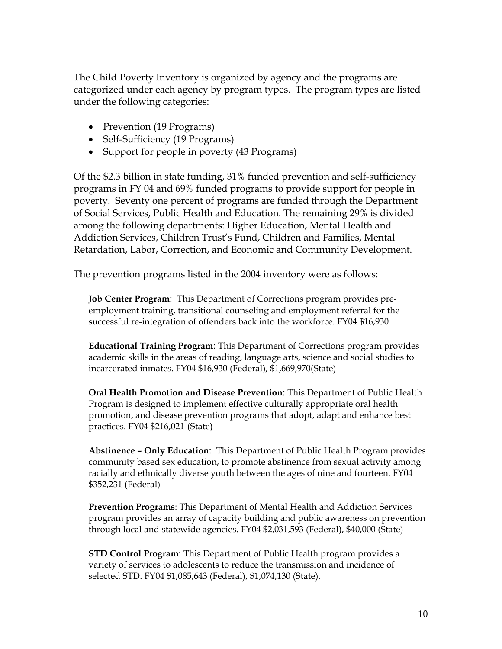The Child Poverty Inventory is organized by agency and the programs are categorized under each agency by program types. The program types are listed under the following categories:

- Prevention (19 Programs)
- Self-Sufficiency (19 Programs)
- Support for people in poverty (43 Programs)

Of the \$2.3 billion in state funding, 31% funded prevention and self-sufficiency programs in FY 04 and 69% funded programs to provide support for people in poverty. Seventy one percent of programs are funded through the Department of Social Services, Public Health and Education. The remaining 29% is divided among the following departments: Higher Education, Mental Health and Addiction Services, Children Trust's Fund, Children and Families, Mental Retardation, Labor, Correction, and Economic and Community Development.

The prevention programs listed in the 2004 inventory were as follows:

**Job Center Program**: This Department of Corrections program provides preemployment training, transitional counseling and employment referral for the successful re-integration of offenders back into the workforce. FY04 \$16,930

**Educational Training Program**: This Department of Corrections program provides academic skills in the areas of reading, language arts, science and social studies to incarcerated inmates. FY04 \$16,930 (Federal), \$1,669,970(State)

**Oral Health Promotion and Disease Prevention**: This Department of Public Health Program is designed to implement effective culturally appropriate oral health promotion, and disease prevention programs that adopt, adapt and enhance best practices. FY04 \$216,021-(State)

**Abstinence – Only Education**: This Department of Public Health Program provides community based sex education, to promote abstinence from sexual activity among racially and ethnically diverse youth between the ages of nine and fourteen. FY04 \$352,231 (Federal)

**Prevention Programs**: This Department of Mental Health and Addiction Services program provides an array of capacity building and public awareness on prevention through local and statewide agencies. FY04 \$2,031,593 (Federal), \$40,000 (State)

**STD Control Program**: This Department of Public Health program provides a variety of services to adolescents to reduce the transmission and incidence of selected STD. FY04 \$1,085,643 (Federal), \$1,074,130 (State).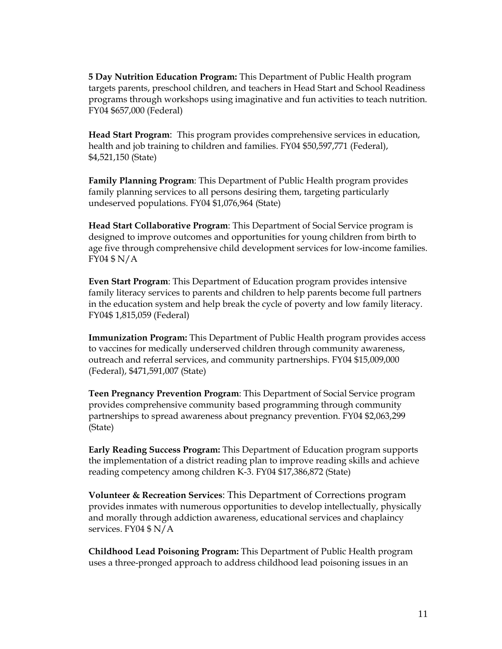**5 Day Nutrition Education Program:** This Department of Public Health program targets parents, preschool children, and teachers in Head Start and School Readiness programs through workshops using imaginative and fun activities to teach nutrition. FY04 \$657,000 (Federal)

**Head Start Program**: This program provides comprehensive services in education, health and job training to children and families. FY04 \$50,597,771 (Federal), \$4,521,150 (State)

**Family Planning Program**: This Department of Public Health program provides family planning services to all persons desiring them, targeting particularly undeserved populations. FY04 \$1,076,964 (State)

**Head Start Collaborative Program**: This Department of Social Service program is designed to improve outcomes and opportunities for young children from birth to age five through comprehensive child development services for low-income families. FY04 \$ N/A

**Even Start Program**: This Department of Education program provides intensive family literacy services to parents and children to help parents become full partners in the education system and help break the cycle of poverty and low family literacy. FY04\$ 1,815,059 (Federal)

**Immunization Program:** This Department of Public Health program provides access to vaccines for medically underserved children through community awareness, outreach and referral services, and community partnerships. FY04 \$15,009,000 (Federal), \$471,591,007 (State)

**Teen Pregnancy Prevention Program**: This Department of Social Service program provides comprehensive community based programming through community partnerships to spread awareness about pregnancy prevention. FY04 \$2,063,299 (State)

**Early Reading Success Program:** This Department of Education program supports the implementation of a district reading plan to improve reading skills and achieve reading competency among children K-3. FY04 \$17,386,872 (State)

**Volunteer & Recreation Services**: This Department of Corrections program provides inmates with numerous opportunities to develop intellectually, physically and morally through addiction awareness, educational services and chaplaincy services. FY04 \$ N/A

**Childhood Lead Poisoning Program:** This Department of Public Health program uses a three-pronged approach to address childhood lead poisoning issues in an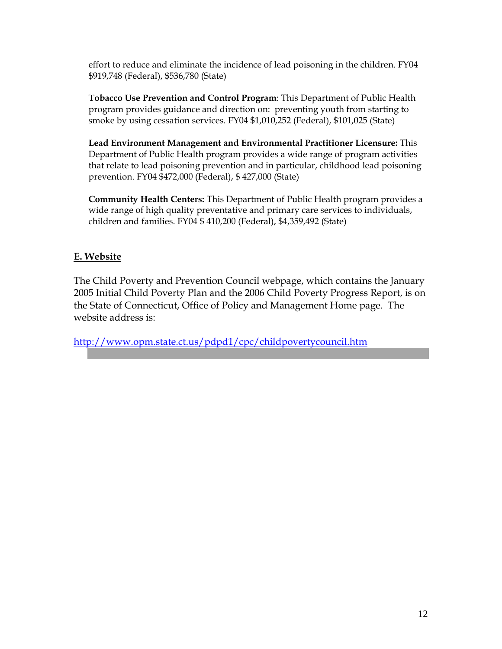effort to reduce and eliminate the incidence of lead poisoning in the children. FY04 \$919,748 (Federal), \$536,780 (State)

**Tobacco Use Prevention and Control Program**: This Department of Public Health program provides guidance and direction on: preventing youth from starting to smoke by using cessation services. FY04 \$1,010,252 (Federal), \$101,025 (State)

**Lead Environment Management and Environmental Practitioner Licensure:** This Department of Public Health program provides a wide range of program activities that relate to lead poisoning prevention and in particular, childhood lead poisoning prevention. FY04 \$472,000 (Federal), \$ 427,000 (State)

**Community Health Centers:** This Department of Public Health program provides a wide range of high quality preventative and primary care services to individuals, children and families. FY04 \$ 410,200 (Federal), \$4,359,492 (State)

#### **E. Website**

The Child Poverty and Prevention Council webpage, which contains the January 2005 Initial Child Poverty Plan and the 2006 Child Poverty Progress Report, is on the State of Connecticut, Office of Policy and Management Home page. The website address is:

<http://www.opm.state.ct.us/pdpd1/cpc/childpovertycouncil.htm>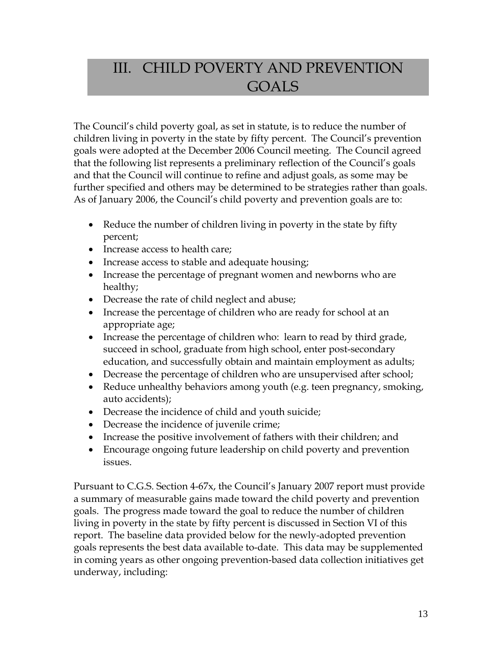## III. CHILD POVERTY AND PREVENTION GOALS

The Council's child poverty goal, as set in statute, is to reduce the number of children living in poverty in the state by fifty percent. The Council's prevention goals were adopted at the December 2006 Council meeting. The Council agreed that the following list represents a preliminary reflection of the Council's goals and that the Council will continue to refine and adjust goals, as some may be further specified and others may be determined to be strategies rather than goals. As of January 2006, the Council's child poverty and prevention goals are to:

- Reduce the number of children living in poverty in the state by fifty percent;
- Increase access to health care;
- Increase access to stable and adequate housing;
- Increase the percentage of pregnant women and newborns who are healthy;
- Decrease the rate of child neglect and abuse;
- Increase the percentage of children who are ready for school at an appropriate age;
- Increase the percentage of children who: learn to read by third grade, succeed in school, graduate from high school, enter post-secondary education, and successfully obtain and maintain employment as adults;
- Decrease the percentage of children who are unsupervised after school;
- Reduce unhealthy behaviors among youth (e.g. teen pregnancy, smoking, auto accidents);
- Decrease the incidence of child and youth suicide;
- Decrease the incidence of juvenile crime;
- Increase the positive involvement of fathers with their children; and
- Encourage ongoing future leadership on child poverty and prevention issues.

Pursuant to C.G.S. Section 4-67x, the Council's January 2007 report must provide a summary of measurable gains made toward the child poverty and prevention goals. The progress made toward the goal to reduce the number of children living in poverty in the state by fifty percent is discussed in Section VI of this report. The baseline data provided below for the newly-adopted prevention goals represents the best data available to-date. This data may be supplemented in coming years as other ongoing prevention-based data collection initiatives get underway, including: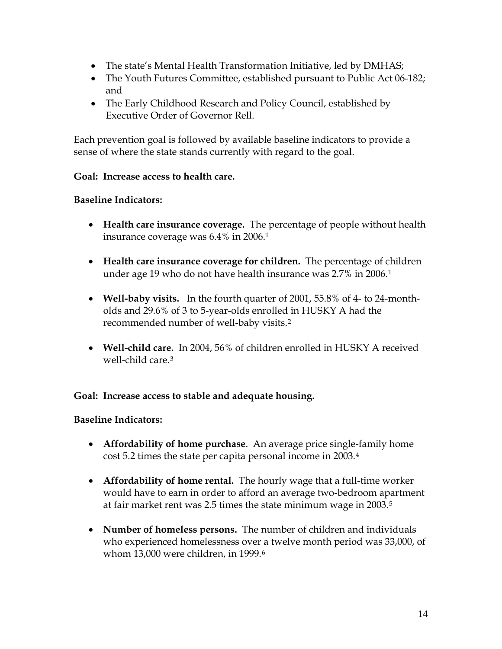- The state's Mental Health Transformation Initiative, led by DMHAS;
- The Youth Futures Committee, established pursuant to Public Act 06-182; and
- The Early Childhood Research and Policy Council, established by Executive Order of Governor Rell.

Each prevention goal is followed by available baseline indicators to provide a sense of where the state stands currently with regard to the goal.

#### **Goal: Increase access to health care.**

#### **Baseline Indicators:**

- **Health care insurance coverage.** The percentage of people without health insurance coverage was 6.4% in 2006.1
- **Health care insurance coverage for children.** The percentage of children under age 19 who do not have health insurance was 2.7% in 2006.[1](#page-117-0)
- **Well-baby visits.** In the fourth quarter of 2001, 55.8% of 4- to 24-montholds and 29.6% of 3 to 5-year-olds enrolled in HUSKY A had the recommended number of well-baby visits.[2](#page-117-1)
- **Well-child care.** In 2004, 56% of children enrolled in HUSKY A received well-child care.<sup>[3](#page-117-1)</sup>

#### **Goal: Increase access to stable and adequate housing.**

#### **Baseline Indicators:**

- **Affordability of home purchase**. An average price single-family home cost 5.2 times the state per capita personal income in 2003.[4](#page-117-1)
- **Affordability of home rental.** The hourly wage that a full-time worker would have to earn in order to afford an average two-bedroom apartment at fair market rent was 2.5 times the state minimum wage in 2003.[5](#page-117-1)
- **Number of homeless persons.** The number of children and individuals who experienced homelessness over a twelve month period was 33,000, of whom 13,000 were children, in 1999.<sup>[6](#page-117-1)</sup>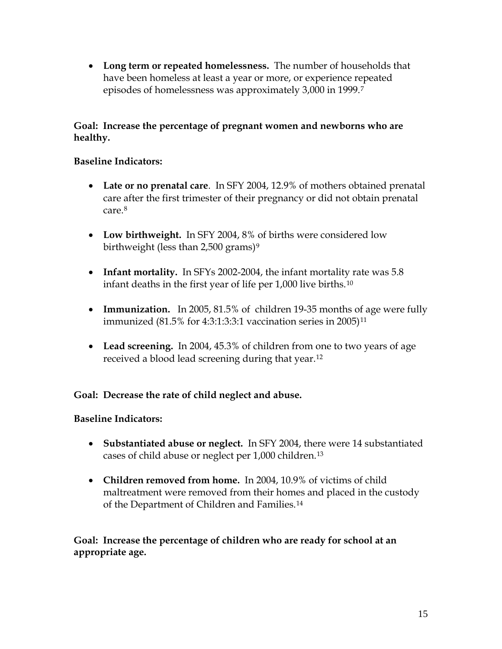• **Long term or repeated homelessness.** The number of households that have been homeless at least a year or more, or experience repeated episodes of homelessness was approximately 3,000 in 1999.[7](#page-117-1)

#### **Goal: Increase the percentage of pregnant women and newborns who are healthy.**

#### **Baseline Indicators:**

- **Late or no prenatal care**. In SFY 2004, 12.9% of mothers obtained prenatal care after the first trimester of their pregnancy or did not obtain prenatal care.[8](#page-117-1)
- **Low birthweight.** In SFY 2004, 8% of births were considered low birthweight (less than 2,500 grams)<sup>[9](#page-117-1)</sup>
- **Infant mortality.** In SFYs 2002-2004, the infant mortality rate was 5.8 infant deaths in the first year of life per 1,000 live births.[10](#page-117-1)
- **Immunization.** In 2005, 81.5% of children 19-35 months of age were fully immunized (81.5% for 4:3:1:3:3:1 vaccination series in 2005)[11](#page-117-1)
- **Lead screening.** In 2004, 45.3% of children from one to two years of age received a blood lead screening during that year.[12](#page-117-1)

#### **Goal: Decrease the rate of child neglect and abuse.**

#### **Baseline Indicators:**

- **Substantiated abuse or neglect.** In SFY 2004, there were 14 substantiated cases of child abuse or neglect per 1,000 children.[13](#page-117-1)
- **Children removed from home.** In 2004, 10.9% of victims of child maltreatment were removed from their homes and placed in the custody of the Department of Children and Families.[14](#page-117-1)

**Goal: Increase the percentage of children who are ready for school at an appropriate age.**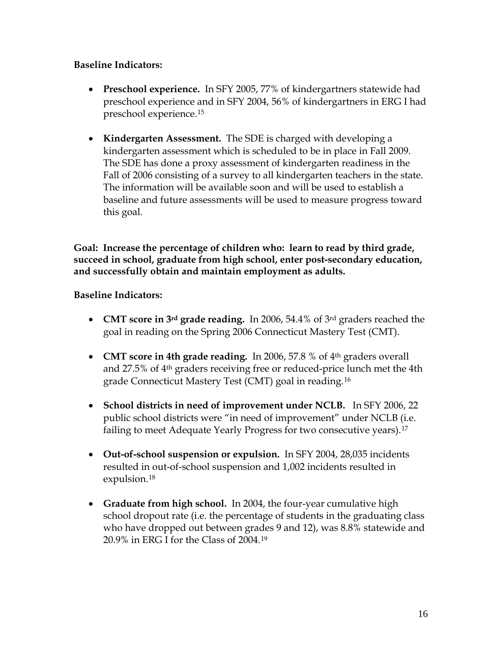#### **Baseline Indicators:**

- **Preschool experience.** In SFY 2005, 77% of kindergartners statewide had preschool experience and in SFY 2004, 56% of kindergartners in ERG I had preschool experience.[15](#page-117-1)
- **Kindergarten Assessment.** The SDE is charged with developing a kindergarten assessment which is scheduled to be in place in Fall 2009. The SDE has done a proxy assessment of kindergarten readiness in the Fall of 2006 consisting of a survey to all kindergarten teachers in the state. The information will be available soon and will be used to establish a baseline and future assessments will be used to measure progress toward this goal.

**Goal: Increase the percentage of children who: learn to read by third grade, succeed in school, graduate from high school, enter post-secondary education, and successfully obtain and maintain employment as adults.** 

#### **Baseline Indicators:**

- **CMT score in 3rd grade reading.** In 2006, 54.4% of 3rd graders reached the goal in reading on the Spring 2006 Connecticut Mastery Test (CMT).
- **CMT score in 4th grade reading.** In 2006, 57.8 % of 4<sup>th</sup> graders overall and 27.5% of 4th graders receiving free or reduced-price lunch met the 4th grade Connecticut Mastery Test (CMT) goal in reading.[16](#page-117-1)
- **School districts in need of improvement under NCLB.** In SFY 2006, 22 public school districts were "in need of improvement" under NCLB (i.e. failing to meet Adequate Yearly Progress for two consecutive years).[17](#page-117-1)
- **Out-of-school suspension or expulsion.** In SFY 2004, 28,035 incidents resulted in out-of-school suspension and 1,002 incidents resulted in expulsion.[18](#page-117-1)
- **Graduate from high school.** In 2004, the four-year cumulative high school dropout rate (i.e. the percentage of students in the graduating class who have dropped out between grades 9 and 12), was 8.8% statewide and 20.9% in ERG I for the Class of 2004.[19](#page-117-1)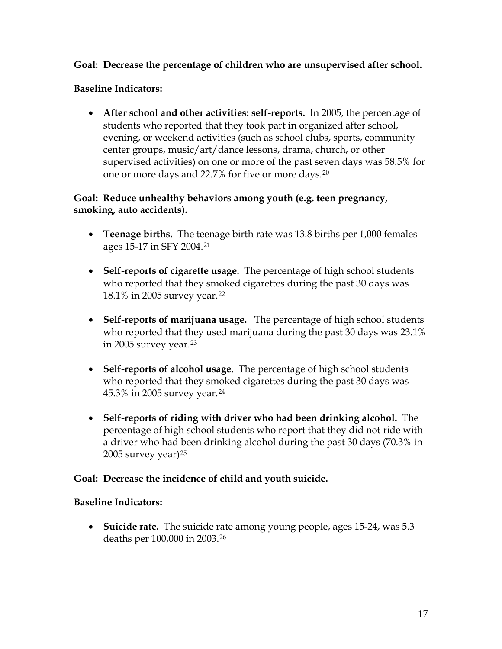#### **Goal: Decrease the percentage of children who are unsupervised after school.**

#### **Baseline Indicators:**

• **After school and other activities: self-reports.** In 2005, the percentage of students who reported that they took part in organized after school, evening, or weekend activities (such as school clubs, sports, community center groups, music/art/dance lessons, drama, church, or other supervised activities) on one or more of the past seven days was 58.5% for one or more days and 22.7% for five or more days.[20](#page-117-1)

#### **Goal: Reduce unhealthy behaviors among youth (e.g. teen pregnancy, smoking, auto accidents).**

- **Teenage births.** The teenage birth rate was 13.8 births per 1,000 females ages 15-17 in SFY 2004.[21](#page-117-1)
- **Self-reports of cigarette usage.** The percentage of high school students who reported that they smoked cigarettes during the past 30 days was 18.1% in 2005 survey year.[22](#page-117-1)
- **Self-reports of marijuana usage.** The percentage of high school students who reported that they used marijuana during the past 30 days was 23.1% in 2005 survey year.[23](#page-117-1)
- **Self-reports of alcohol usage**. The percentage of high school students who reported that they smoked cigarettes during the past 30 days was 45.3% in 2005 survey year.[24](#page-117-1)
- **Self-reports of riding with driver who had been drinking alcohol.** The percentage of high school students who report that they did not ride with a driver who had been drinking alcohol during the past 30 days (70.3% in  $2005$  survey year)<sup>[25](#page-117-1)</sup>

#### **Goal: Decrease the incidence of child and youth suicide.**

#### **Baseline Indicators:**

• **Suicide rate.** The suicide rate among young people, ages 15-24, was 5.3 deaths per 100,000 in 2003.[26](#page-117-1)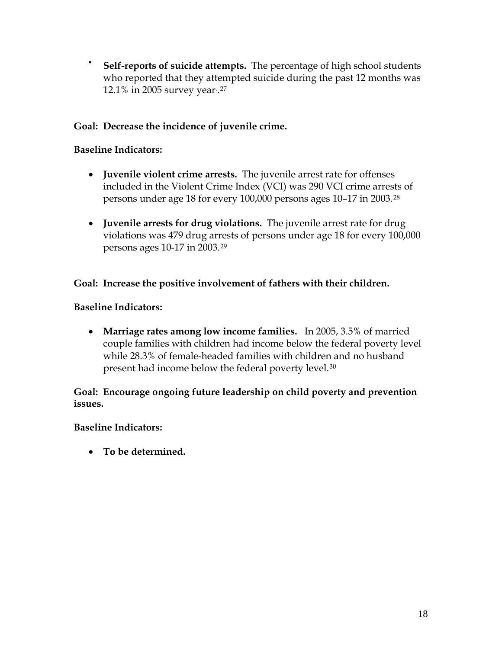• **Self-reports of suicide attempts.** The percentage of high school students who reported that they attempted suicide during the past 12 months was 12.1% in 2005 survey year. .[27](#page-117-1)

#### **Goal: Decrease the incidence of juvenile crime.**

#### **Baseline Indicators:**

- **Juvenile violent crime arrests.** The juvenile arrest rate for offenses included in the Violent Crime Index (VCI) was 290 VCI crime arrests of persons under age 18 for every 100,000 persons ages 10–17 in 2003.[28](#page-117-1)
- **Juvenile arrests for drug violations.** The juvenile arrest rate for drug violations was 479 drug arrests of persons under age 18 for every 100,000 persons ages 10-17 in 2003.[29](#page-117-1)

#### **Goal: Increase the positive involvement of fathers with their children.**

#### **Baseline Indicators:**

• **Marriage rates among low income families.** In 2005, 3.5% of married couple families with children had income below the federal poverty level while 28.3% of female-headed families with children and no husband present had income below the federal poverty level.[30](#page-117-1)

**Goal: Encourage ongoing future leadership on child poverty and prevention issues.** 

#### **Baseline Indicators:**

• **To be determined.**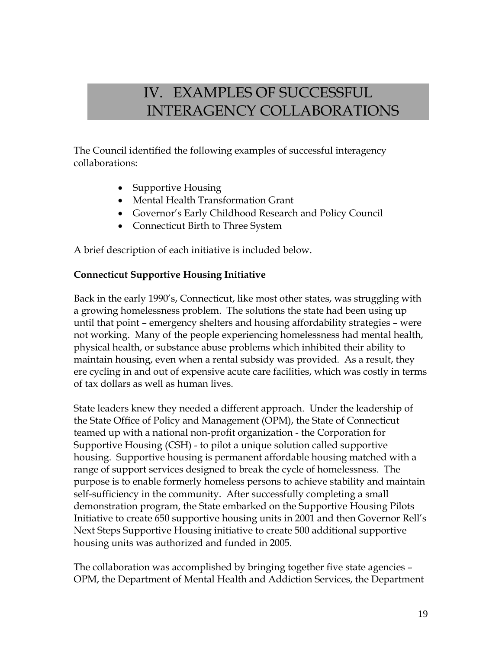## IV. EXAMPLES OF SUCCESSFUL INTERAGENCY COLLABORATIONS

The Council identified the following examples of successful interagency collaborations:

- Supportive Housing
- Mental Health Transformation Grant
- Governor's Early Childhood Research and Policy Council
- Connecticut Birth to Three System

A brief description of each initiative is included below.

#### **Connecticut Supportive Housing Initiative**

Back in the early 1990's, Connecticut, like most other states, was struggling with a growing homelessness problem. The solutions the state had been using up until that point – emergency shelters and housing affordability strategies – were not working. Many of the people experiencing homelessness had mental health, physical health, or substance abuse problems which inhibited their ability to maintain housing, even when a rental subsidy was provided. As a result, they ere cycling in and out of expensive acute care facilities, which was costly in terms of tax dollars as well as human lives.

State leaders knew they needed a different approach. Under the leadership of the State Office of Policy and Management (OPM), the State of Connecticut teamed up with a national non-profit organization - the Corporation for Supportive Housing (CSH) - to pilot a unique solution called supportive housing. Supportive housing is permanent affordable housing matched with a range of support services designed to break the cycle of homelessness. The purpose is to enable formerly homeless persons to achieve stability and maintain self-sufficiency in the community. After successfully completing a small demonstration program, the State embarked on the Supportive Housing Pilots Initiative to create 650 supportive housing units in 2001 and then Governor Rell's Next Steps Supportive Housing initiative to create 500 additional supportive housing units was authorized and funded in 2005.

The collaboration was accomplished by bringing together five state agencies – OPM, the Department of Mental Health and Addiction Services, the Department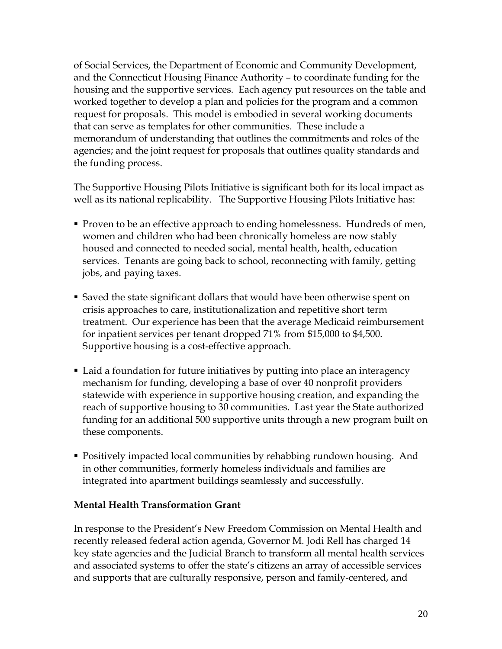of Social Services, the Department of Economic and Community Development, and the Connecticut Housing Finance Authority – to coordinate funding for the housing and the supportive services. Each agency put resources on the table and worked together to develop a plan and policies for the program and a common request for proposals. This model is embodied in several working documents that can serve as templates for other communities. These include a memorandum of understanding that outlines the commitments and roles of the agencies; and the joint request for proposals that outlines quality standards and the funding process.

The Supportive Housing Pilots Initiative is significant both for its local impact as well as its national replicability. The Supportive Housing Pilots Initiative has:

- **Proven to be an effective approach to ending homelessness. Hundreds of men,** women and children who had been chronically homeless are now stably housed and connected to needed social, mental health, health, education services. Tenants are going back to school, reconnecting with family, getting jobs, and paying taxes.
- Saved the state significant dollars that would have been otherwise spent on crisis approaches to care, institutionalization and repetitive short term treatment. Our experience has been that the average Medicaid reimbursement for inpatient services per tenant dropped 71% from \$15,000 to \$4,500. Supportive housing is a cost-effective approach.
- Laid a foundation for future initiatives by putting into place an interagency mechanism for funding, developing a base of over 40 nonprofit providers statewide with experience in supportive housing creation, and expanding the reach of supportive housing to 30 communities. Last year the State authorized funding for an additional 500 supportive units through a new program built on these components.
- Positively impacted local communities by rehabbing rundown housing. And in other communities, formerly homeless individuals and families are integrated into apartment buildings seamlessly and successfully.

#### **Mental Health Transformation Grant**

In response to the President's New Freedom Commission on Mental Health and recently released federal action agenda, Governor M. Jodi Rell has charged 14 key state agencies and the Judicial Branch to transform all mental health services and associated systems to offer the state's citizens an array of accessible services and supports that are culturally responsive, person and family-centered, and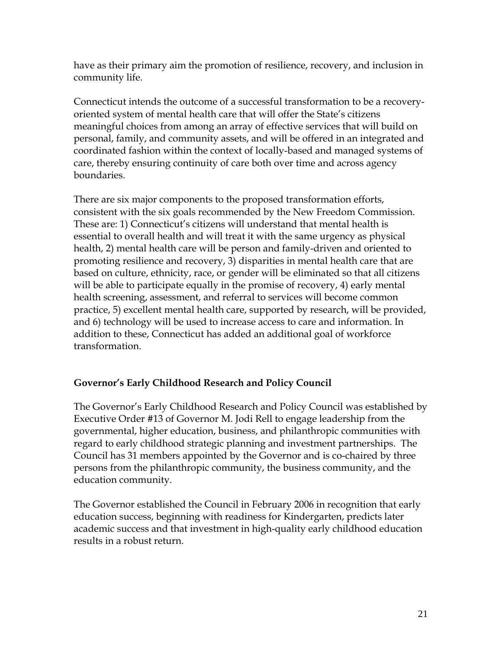have as their primary aim the promotion of resilience, recovery, and inclusion in community life.

Connecticut intends the outcome of a successful transformation to be a recoveryoriented system of mental health care that will offer the State's citizens meaningful choices from among an array of effective services that will build on personal, family, and community assets, and will be offered in an integrated and coordinated fashion within the context of locally-based and managed systems of care, thereby ensuring continuity of care both over time and across agency boundaries.

There are six major components to the proposed transformation efforts, consistent with the six goals recommended by the New Freedom Commission. These are: 1) Connecticut's citizens will understand that mental health is essential to overall health and will treat it with the same urgency as physical health, 2) mental health care will be person and family-driven and oriented to promoting resilience and recovery, 3) disparities in mental health care that are based on culture, ethnicity, race, or gender will be eliminated so that all citizens will be able to participate equally in the promise of recovery, 4) early mental health screening, assessment, and referral to services will become common practice, 5) excellent mental health care, supported by research, will be provided, and 6) technology will be used to increase access to care and information. In addition to these, Connecticut has added an additional goal of workforce transformation.

### **Governor's Early Childhood Research and Policy Council**

The Governor's Early Childhood Research and Policy Council was established by Executive Order #13 of Governor M. Jodi Rell to engage leadership from the governmental, higher education, business, and philanthropic communities with regard to early childhood strategic planning and investment partnerships. The Council has 31 members appointed by the Governor and is co-chaired by three persons from the philanthropic community, the business community, and the education community.

The Governor established the Council in February 2006 in recognition that early education success, beginning with readiness for Kindergarten, predicts later academic success and that investment in high-quality early childhood education results in a robust return.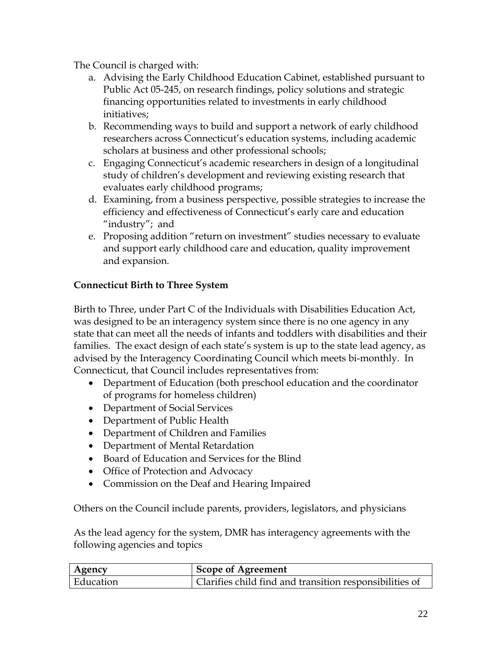The Council is charged with:

- a. Advising the Early Childhood Education Cabinet, established pursuant to Public Act 05-245, on research findings, policy solutions and strategic financing opportunities related to investments in early childhood initiatives;
- b. Recommending ways to build and support a network of early childhood researchers across Connecticut's education systems, including academic scholars at business and other professional schools;
- c. Engaging Connecticut's academic researchers in design of a longitudinal study of children's development and reviewing existing research that evaluates early childhood programs;
- d. Examining, from a business perspective, possible strategies to increase the efficiency and effectiveness of Connecticut's early care and education "industry"; and
- e. Proposing addition "return on investment" studies necessary to evaluate and support early childhood care and education, quality improvement and expansion.

#### **Connecticut Birth to Three System**

Birth to Three, under Part C of the Individuals with Disabilities Education Act, was designed to be an interagency system since there is no one agency in any state that can meet all the needs of infants and toddlers with disabilities and their families. The exact design of each state's system is up to the state lead agency, as advised by the Interagency Coordinating Council which meets bi-monthly. In Connecticut, that Council includes representatives from:

- Department of Education (both preschool education and the coordinator of programs for homeless children)
- Department of Social Services
- Department of Public Health
- Department of Children and Families
- Department of Mental Retardation
- Board of Education and Services for the Blind
- Office of Protection and Advocacy
- Commission on the Deaf and Hearing Impaired

Others on the Council include parents, providers, legislators, and physicians

As the lead agency for the system, DMR has interagency agreements with the following agencies and topics

| <b>Agency</b> | <b>Scope of Agreement</b>                               |
|---------------|---------------------------------------------------------|
| ' Education   | Clarifies child find and transition responsibilities of |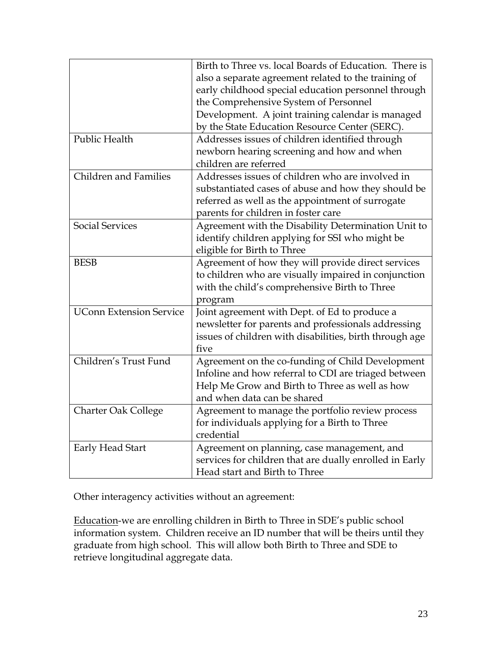|                                | Birth to Three vs. local Boards of Education. There is  |
|--------------------------------|---------------------------------------------------------|
|                                | also a separate agreement related to the training of    |
|                                | early childhood special education personnel through     |
|                                | the Comprehensive System of Personnel                   |
|                                | Development. A joint training calendar is managed       |
|                                | by the State Education Resource Center (SERC).          |
| Public Health                  | Addresses issues of children identified through         |
|                                | newborn hearing screening and how and when              |
|                                | children are referred                                   |
| Children and Families          | Addresses issues of children who are involved in        |
|                                | substantiated cases of abuse and how they should be     |
|                                | referred as well as the appointment of surrogate        |
|                                | parents for children in foster care                     |
| <b>Social Services</b>         | Agreement with the Disability Determination Unit to     |
|                                | identify children applying for SSI who might be         |
|                                | eligible for Birth to Three                             |
| <b>BESB</b>                    | Agreement of how they will provide direct services      |
|                                | to children who are visually impaired in conjunction    |
|                                | with the child's comprehensive Birth to Three           |
|                                | program                                                 |
| <b>UConn Extension Service</b> | Joint agreement with Dept. of Ed to produce a           |
|                                | newsletter for parents and professionals addressing     |
|                                | issues of children with disabilities, birth through age |
|                                | five                                                    |
| Children's Trust Fund          | Agreement on the co-funding of Child Development        |
|                                | Infoline and how referral to CDI are triaged between    |
|                                | Help Me Grow and Birth to Three as well as how          |
|                                | and when data can be shared                             |
| <b>Charter Oak College</b>     | Agreement to manage the portfolio review process        |
|                                | for individuals applying for a Birth to Three           |
|                                | credential                                              |
| Early Head Start               | Agreement on planning, case management, and             |
|                                | services for children that are dually enrolled in Early |
|                                | Head start and Birth to Three                           |

Other interagency activities without an agreement:

Education-we are enrolling children in Birth to Three in SDE's public school information system. Children receive an ID number that will be theirs until they graduate from high school. This will allow both Birth to Three and SDE to retrieve longitudinal aggregate data.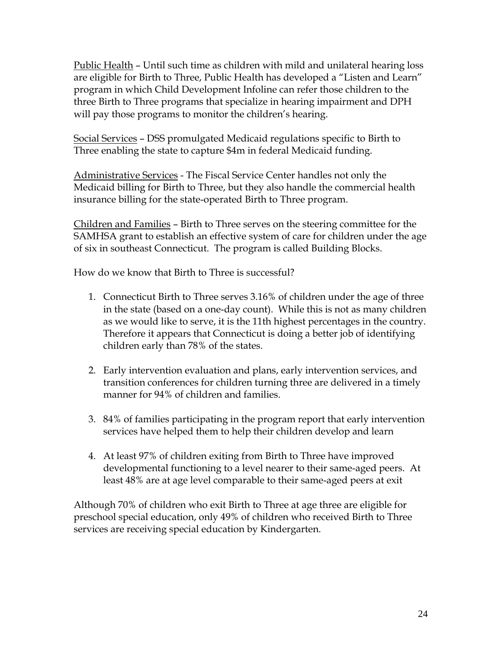Public Health – Until such time as children with mild and unilateral hearing loss are eligible for Birth to Three, Public Health has developed a "Listen and Learn" program in which Child Development Infoline can refer those children to the three Birth to Three programs that specialize in hearing impairment and DPH will pay those programs to monitor the children's hearing.

Social Services – DSS promulgated Medicaid regulations specific to Birth to Three enabling the state to capture \$4m in federal Medicaid funding.

Administrative Services - The Fiscal Service Center handles not only the Medicaid billing for Birth to Three, but they also handle the commercial health insurance billing for the state-operated Birth to Three program.

Children and Families – Birth to Three serves on the steering committee for the SAMHSA grant to establish an effective system of care for children under the age of six in southeast Connecticut. The program is called Building Blocks.

How do we know that Birth to Three is successful?

- 1. Connecticut Birth to Three serves 3.16% of children under the age of three in the state (based on a one-day count). While this is not as many children as we would like to serve, it is the 11th highest percentages in the country. Therefore it appears that Connecticut is doing a better job of identifying children early than 78% of the states.
- 2. Early intervention evaluation and plans, early intervention services, and transition conferences for children turning three are delivered in a timely manner for 94% of children and families.
- 3. 84% of families participating in the program report that early intervention services have helped them to help their children develop and learn
- 4. At least 97% of children exiting from Birth to Three have improved developmental functioning to a level nearer to their same-aged peers. At least 48% are at age level comparable to their same-aged peers at exit

Although 70% of children who exit Birth to Three at age three are eligible for preschool special education, only 49% of children who received Birth to Three services are receiving special education by Kindergarten.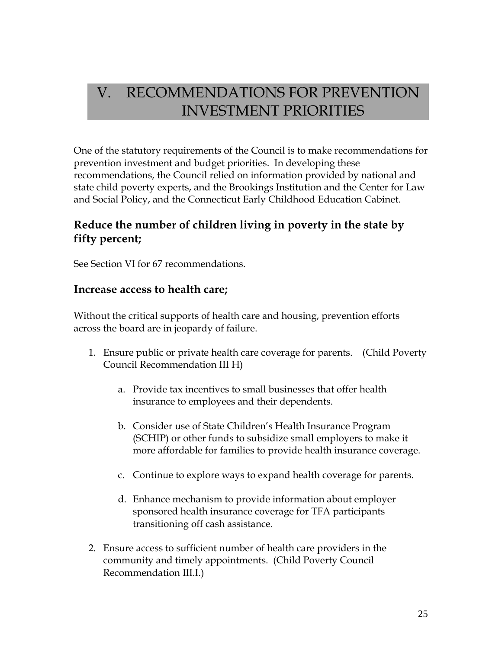## V. RECOMMENDATIONS FOR PREVENTION INVESTMENT PRIORITIES

One of the statutory requirements of the Council is to make recommendations for prevention investment and budget priorities. In developing these recommendations, the Council relied on information provided by national and state child poverty experts, and the Brookings Institution and the Center for Law and Social Policy, and the Connecticut Early Childhood Education Cabinet.

## **Reduce the number of children living in poverty in the state by fifty percent;**

See Section VI for 67 recommendations.

#### **Increase access to health care;**

Without the critical supports of health care and housing, prevention efforts across the board are in jeopardy of failure.

- 1. Ensure public or private health care coverage for parents. (Child Poverty Council Recommendation III H)
	- a. Provide tax incentives to small businesses that offer health insurance to employees and their dependents.
	- b. Consider use of State Children's Health Insurance Program (SCHIP) or other funds to subsidize small employers to make it more affordable for families to provide health insurance coverage.
	- c. Continue to explore ways to expand health coverage for parents.
	- d. Enhance mechanism to provide information about employer sponsored health insurance coverage for TFA participants transitioning off cash assistance.
- 2. Ensure access to sufficient number of health care providers in the community and timely appointments. (Child Poverty Council Recommendation III.I.)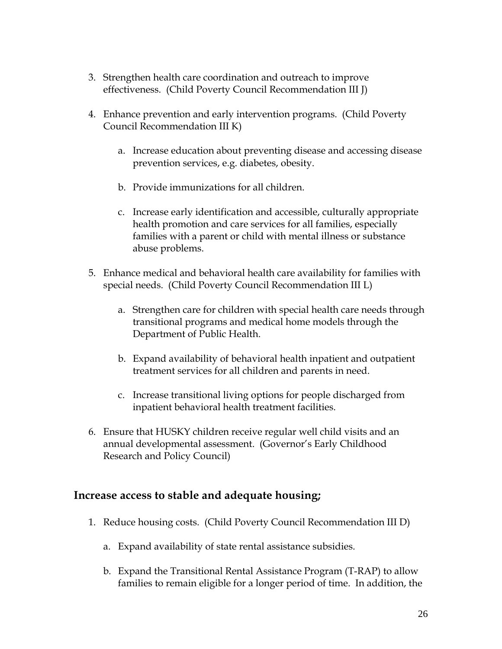- 3. Strengthen health care coordination and outreach to improve effectiveness. (Child Poverty Council Recommendation III J)
- 4. Enhance prevention and early intervention programs. (Child Poverty Council Recommendation III K)
	- a. Increase education about preventing disease and accessing disease prevention services, e.g. diabetes, obesity.
	- b. Provide immunizations for all children.
	- c. Increase early identification and accessible, culturally appropriate health promotion and care services for all families, especially families with a parent or child with mental illness or substance abuse problems.
- 5. Enhance medical and behavioral health care availability for families with special needs. (Child Poverty Council Recommendation III L)
	- a. Strengthen care for children with special health care needs through transitional programs and medical home models through the Department of Public Health.
	- b. Expand availability of behavioral health inpatient and outpatient treatment services for all children and parents in need.
	- c. Increase transitional living options for people discharged from inpatient behavioral health treatment facilities.
- 6. Ensure that HUSKY children receive regular well child visits and an annual developmental assessment. (Governor's Early Childhood Research and Policy Council)

### **Increase access to stable and adequate housing;**

- 1. Reduce housing costs. (Child Poverty Council Recommendation III D)
	- a. Expand availability of state rental assistance subsidies.
	- b. Expand the Transitional Rental Assistance Program (T-RAP) to allow families to remain eligible for a longer period of time. In addition, the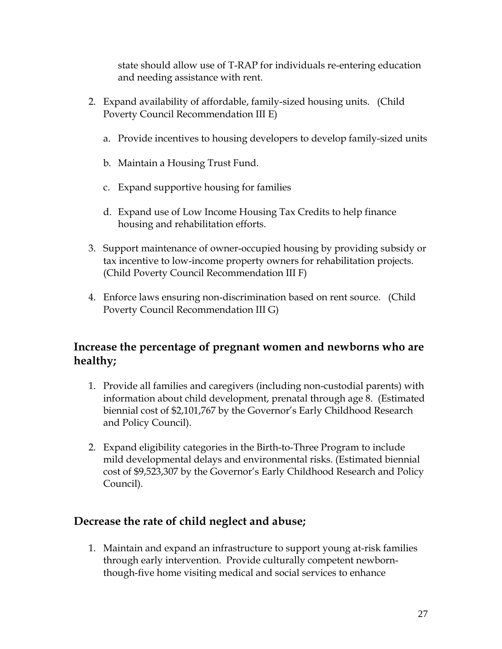state should allow use of T-RAP for individuals re-entering education and needing assistance with rent.

- 2. Expand availability of affordable, family-sized housing units. (Child Poverty Council Recommendation III E)
	- a. Provide incentives to housing developers to develop family-sized units
	- b. Maintain a Housing Trust Fund.
	- c. Expand supportive housing for families
	- d. Expand use of Low Income Housing Tax Credits to help finance housing and rehabilitation efforts.
- 3. Support maintenance of owner-occupied housing by providing subsidy or tax incentive to low-income property owners for rehabilitation projects. (Child Poverty Council Recommendation III F)
- 4. Enforce laws ensuring non-discrimination based on rent source. (Child Poverty Council Recommendation III G)

## **Increase the percentage of pregnant women and newborns who are healthy;**

- 1. Provide all families and caregivers (including non-custodial parents) with information about child development, prenatal through age 8. (Estimated biennial cost of \$2,101,767 by the Governor's Early Childhood Research and Policy Council).
- 2. Expand eligibility categories in the Birth-to-Three Program to include mild developmental delays and environmental risks. (Estimated biennial cost of \$9,523,307 by the Governor's Early Childhood Research and Policy Council).

## **Decrease the rate of child neglect and abuse;**

1. Maintain and expand an infrastructure to support young at-risk families through early intervention. Provide culturally competent newbornthough-five home visiting medical and social services to enhance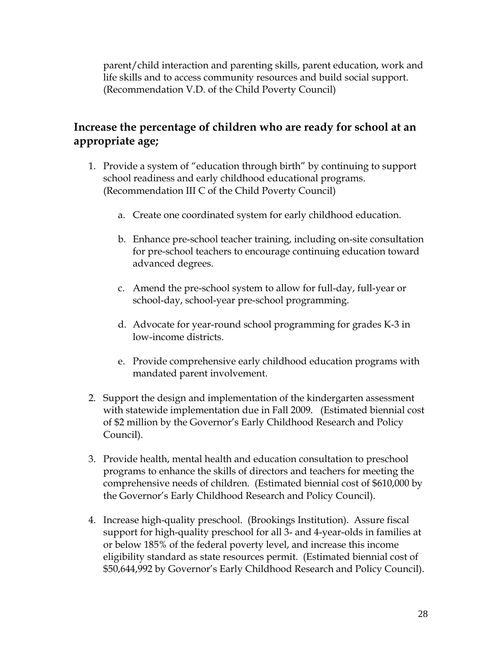parent/child interaction and parenting skills, parent education, work and life skills and to access community resources and build social support. (Recommendation V.D. of the Child Poverty Council)

## **Increase the percentage of children who are ready for school at an appropriate age;**

- 1. Provide a system of "education through birth" by continuing to support school readiness and early childhood educational programs. (Recommendation III C of the Child Poverty Council)
	- a. Create one coordinated system for early childhood education.
	- b. Enhance pre-school teacher training, including on-site consultation for pre-school teachers to encourage continuing education toward advanced degrees.
	- c. Amend the pre-school system to allow for full-day, full-year or school-day, school-year pre-school programming.
	- d. Advocate for year-round school programming for grades K-3 in low-income districts.
	- e. Provide comprehensive early childhood education programs with mandated parent involvement.
- 2. Support the design and implementation of the kindergarten assessment with statewide implementation due in Fall 2009. (Estimated biennial cost of \$2 million by the Governor's Early Childhood Research and Policy Council).
- 3. Provide health, mental health and education consultation to preschool programs to enhance the skills of directors and teachers for meeting the comprehensive needs of children. (Estimated biennial cost of \$610,000 by the Governor's Early Childhood Research and Policy Council).
- 4. Increase high-quality preschool. (Brookings Institution). Assure fiscal support for high-quality preschool for all 3- and 4-year-olds in families at or below 185% of the federal poverty level, and increase this income eligibility standard as state resources permit. (Estimated biennial cost of \$50,644,992 by Governor's Early Childhood Research and Policy Council).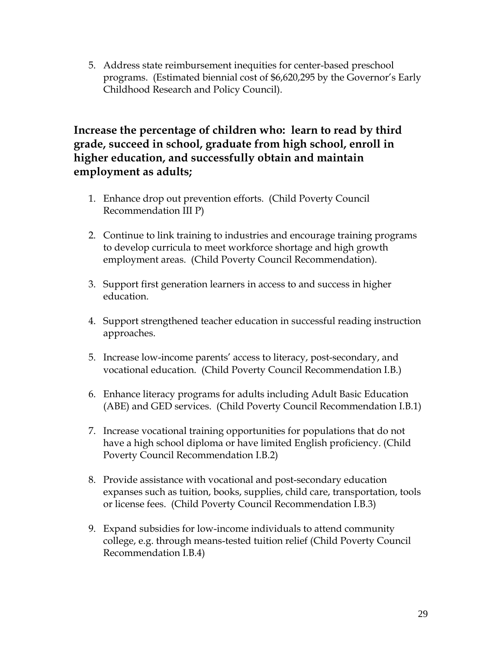5. Address state reimbursement inequities for center-based preschool programs. (Estimated biennial cost of \$6,620,295 by the Governor's Early Childhood Research and Policy Council).

## **Increase the percentage of children who: learn to read by third grade, succeed in school, graduate from high school, enroll in higher education, and successfully obtain and maintain employment as adults;**

- 1. Enhance drop out prevention efforts. (Child Poverty Council Recommendation III P)
- 2. Continue to link training to industries and encourage training programs to develop curricula to meet workforce shortage and high growth employment areas. (Child Poverty Council Recommendation).
- 3. Support first generation learners in access to and success in higher education.
- 4. Support strengthened teacher education in successful reading instruction approaches.
- 5. Increase low-income parents' access to literacy, post-secondary, and vocational education. (Child Poverty Council Recommendation I.B.)
- 6. Enhance literacy programs for adults including Adult Basic Education (ABE) and GED services. (Child Poverty Council Recommendation I.B.1)
- 7. Increase vocational training opportunities for populations that do not have a high school diploma or have limited English proficiency. (Child Poverty Council Recommendation I.B.2)
- 8. Provide assistance with vocational and post-secondary education expanses such as tuition, books, supplies, child care, transportation, tools or license fees. (Child Poverty Council Recommendation I.B.3)
- 9. Expand subsidies for low-income individuals to attend community college, e.g. through means-tested tuition relief (Child Poverty Council Recommendation I.B.4)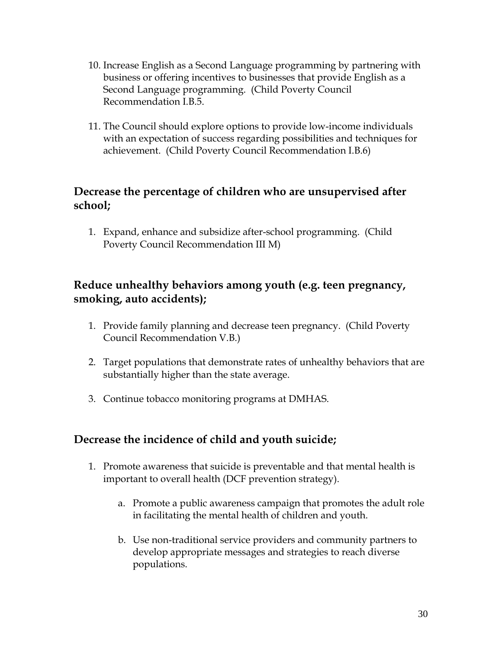- 10. Increase English as a Second Language programming by partnering with business or offering incentives to businesses that provide English as a Second Language programming. (Child Poverty Council Recommendation I.B.5.
- 11. The Council should explore options to provide low-income individuals with an expectation of success regarding possibilities and techniques for achievement. (Child Poverty Council Recommendation I.B.6)

## **Decrease the percentage of children who are unsupervised after school;**

1. Expand, enhance and subsidize after-school programming. (Child Poverty Council Recommendation III M)

## **Reduce unhealthy behaviors among youth (e.g. teen pregnancy, smoking, auto accidents);**

- 1. Provide family planning and decrease teen pregnancy. (Child Poverty Council Recommendation V.B.)
- 2. Target populations that demonstrate rates of unhealthy behaviors that are substantially higher than the state average.
- 3. Continue tobacco monitoring programs at DMHAS.

## **Decrease the incidence of child and youth suicide;**

- 1. Promote awareness that suicide is preventable and that mental health is important to overall health (DCF prevention strategy).
	- a. Promote a public awareness campaign that promotes the adult role in facilitating the mental health of children and youth.
	- b. Use non-traditional service providers and community partners to develop appropriate messages and strategies to reach diverse populations.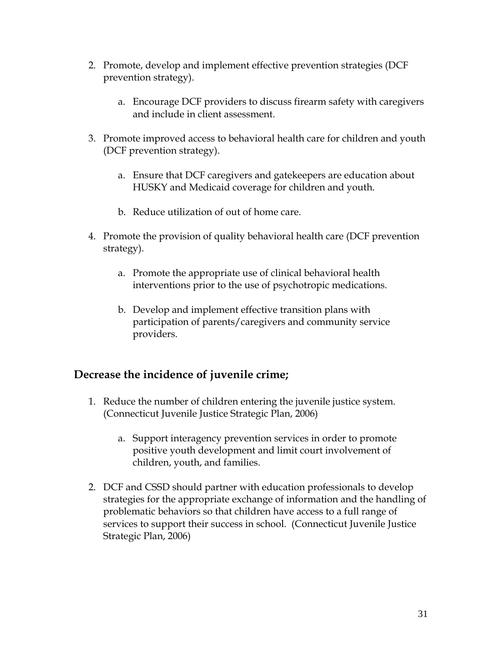- 2. Promote, develop and implement effective prevention strategies (DCF prevention strategy).
	- a. Encourage DCF providers to discuss firearm safety with caregivers and include in client assessment.
- 3. Promote improved access to behavioral health care for children and youth (DCF prevention strategy).
	- a. Ensure that DCF caregivers and gatekeepers are education about HUSKY and Medicaid coverage for children and youth.
	- b. Reduce utilization of out of home care.
- 4. Promote the provision of quality behavioral health care (DCF prevention strategy).
	- a. Promote the appropriate use of clinical behavioral health interventions prior to the use of psychotropic medications.
	- b. Develop and implement effective transition plans with participation of parents/caregivers and community service providers.

### **Decrease the incidence of juvenile crime;**

- 1. Reduce the number of children entering the juvenile justice system. (Connecticut Juvenile Justice Strategic Plan, 2006)
	- a. Support interagency prevention services in order to promote positive youth development and limit court involvement of children, youth, and families.
- 2. DCF and CSSD should partner with education professionals to develop strategies for the appropriate exchange of information and the handling of problematic behaviors so that children have access to a full range of services to support their success in school. (Connecticut Juvenile Justice Strategic Plan, 2006)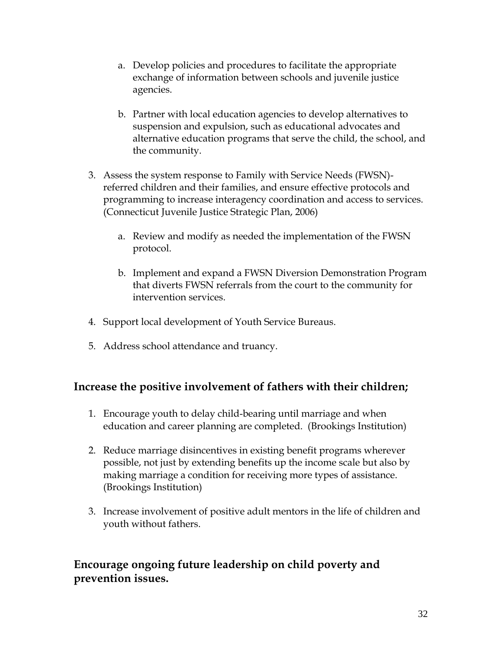- a. Develop policies and procedures to facilitate the appropriate exchange of information between schools and juvenile justice agencies.
- b. Partner with local education agencies to develop alternatives to suspension and expulsion, such as educational advocates and alternative education programs that serve the child, the school, and the community.
- 3. Assess the system response to Family with Service Needs (FWSN) referred children and their families, and ensure effective protocols and programming to increase interagency coordination and access to services. (Connecticut Juvenile Justice Strategic Plan, 2006)
	- a. Review and modify as needed the implementation of the FWSN protocol.
	- b. Implement and expand a FWSN Diversion Demonstration Program that diverts FWSN referrals from the court to the community for intervention services.
- 4. Support local development of Youth Service Bureaus.
- 5. Address school attendance and truancy.

## **Increase the positive involvement of fathers with their children;**

- 1. Encourage youth to delay child-bearing until marriage and when education and career planning are completed. (Brookings Institution)
- 2. Reduce marriage disincentives in existing benefit programs wherever possible, not just by extending benefits up the income scale but also by making marriage a condition for receiving more types of assistance. (Brookings Institution)
- 3. Increase involvement of positive adult mentors in the life of children and youth without fathers.

## **Encourage ongoing future leadership on child poverty and prevention issues.**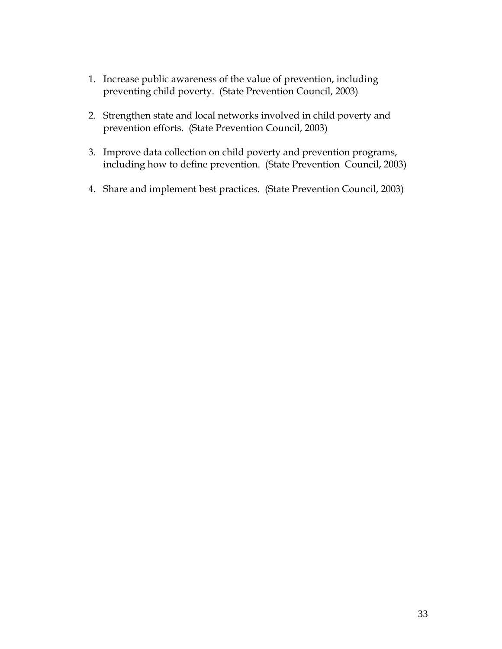- 1. Increase public awareness of the value of prevention, including preventing child poverty. (State Prevention Council, 2003)
- 2. Strengthen state and local networks involved in child poverty and prevention efforts. (State Prevention Council, 2003)
- 3. Improve data collection on child poverty and prevention programs, including how to define prevention. (State Prevention Council, 2003)
- 4. Share and implement best practices. (State Prevention Council, 2003)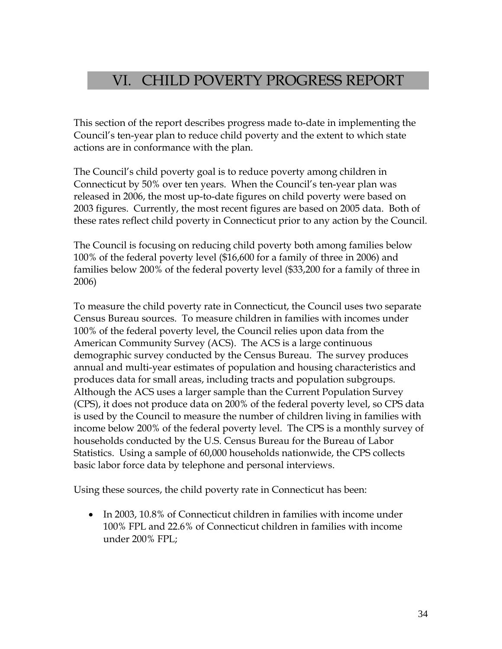## VI. CHILD POVERTY PROGRESS REPORT

This section of the report describes progress made to-date in implementing the Council's ten-year plan to reduce child poverty and the extent to which state actions are in conformance with the plan.

The Council's child poverty goal is to reduce poverty among children in Connecticut by 50% over ten years. When the Council's ten-year plan was released in 2006, the most up-to-date figures on child poverty were based on 2003 figures. Currently, the most recent figures are based on 2005 data. Both of these rates reflect child poverty in Connecticut prior to any action by the Council.

The Council is focusing on reducing child poverty both among families below 100% of the federal poverty level (\$16,600 for a family of three in 2006) and families below 200% of the federal poverty level (\$33,200 for a family of three in 2006)

To measure the child poverty rate in Connecticut, the Council uses two separate Census Bureau sources. To measure children in families with incomes under 100% of the federal poverty level, the Council relies upon data from the American Community Survey (ACS). The ACS is a large continuous demographic survey conducted by the Census Bureau. The survey produces annual and multi-year estimates of population and housing characteristics and produces data for small areas, including tracts and population subgroups. Although the ACS uses a larger sample than the Current Population Survey (CPS), it does not produce data on 200% of the federal poverty level, so CPS data is used by the Council to measure the number of children living in families with income below 200% of the federal poverty level. The CPS is a monthly survey of households conducted by the U.S. Census Bureau for the Bureau of Labor Statistics. Using a sample of 60,000 households nationwide, the CPS collects basic labor force data by telephone and personal interviews.

Using these sources, the child poverty rate in Connecticut has been:

• In 2003, 10.8% of Connecticut children in families with income under 100% FPL and 22.6% of Connecticut children in families with income under 200% FPL;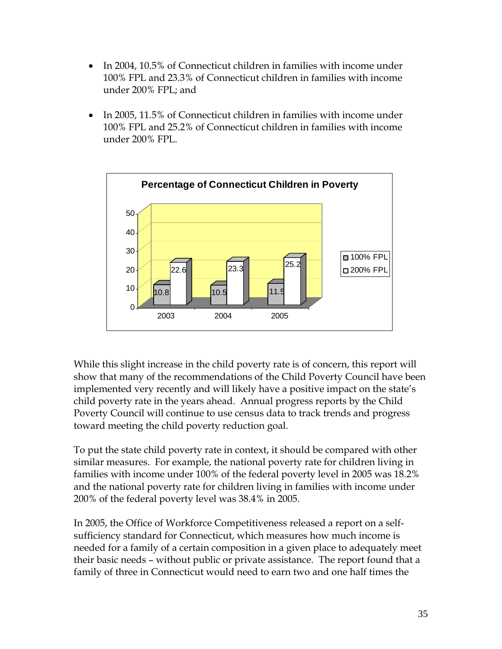- In 2004, 10.5% of Connecticut children in families with income under 100% FPL and 23.3% of Connecticut children in families with income under 200% FPL; and
- In 2005, 11.5% of Connecticut children in families with income under 100% FPL and 25.2% of Connecticut children in families with income under 200% FPL.



While this slight increase in the child poverty rate is of concern, this report will show that many of the recommendations of the Child Poverty Council have been implemented very recently and will likely have a positive impact on the state's child poverty rate in the years ahead. Annual progress reports by the Child Poverty Council will continue to use census data to track trends and progress toward meeting the child poverty reduction goal.

To put the state child poverty rate in context, it should be compared with other similar measures. For example, the national poverty rate for children living in families with income under 100% of the federal poverty level in 2005 was 18.2% and the national poverty rate for children living in families with income under 200% of the federal poverty level was 38.4% in 2005.

In 2005, the Office of Workforce Competitiveness released a report on a selfsufficiency standard for Connecticut, which measures how much income is needed for a family of a certain composition in a given place to adequately meet their basic needs – without public or private assistance. The report found that a family of three in Connecticut would need to earn two and one half times the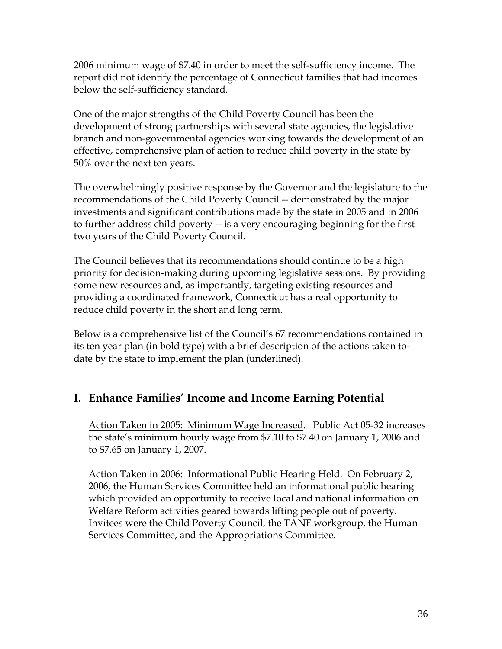2006 minimum wage of \$7.40 in order to meet the self-sufficiency income. The report did not identify the percentage of Connecticut families that had incomes below the self-sufficiency standard.

One of the major strengths of the Child Poverty Council has been the development of strong partnerships with several state agencies, the legislative branch and non-governmental agencies working towards the development of an effective, comprehensive plan of action to reduce child poverty in the state by 50% over the next ten years.

The overwhelmingly positive response by the Governor and the legislature to the recommendations of the Child Poverty Council -- demonstrated by the major investments and significant contributions made by the state in 2005 and in 2006 to further address child poverty -- is a very encouraging beginning for the first two years of the Child Poverty Council.

The Council believes that its recommendations should continue to be a high priority for decision-making during upcoming legislative sessions. By providing some new resources and, as importantly, targeting existing resources and providing a coordinated framework, Connecticut has a real opportunity to reduce child poverty in the short and long term.

Below is a comprehensive list of the Council's 67 recommendations contained in its ten year plan (in bold type) with a brief description of the actions taken todate by the state to implement the plan (underlined).

## **I. Enhance Families' Income and Income Earning Potential**

Action Taken in 2005: Minimum Wage Increased. Public Act 05-32 increases the state's minimum hourly wage from \$7.10 to \$7.40 on January 1, 2006 and to \$7.65 on January 1, 2007.

Action Taken in 2006: Informational Public Hearing Held. On February 2, 2006, the Human Services Committee held an informational public hearing which provided an opportunity to receive local and national information on Welfare Reform activities geared towards lifting people out of poverty. Invitees were the Child Poverty Council, the TANF workgroup, the Human Services Committee, and the Appropriations Committee.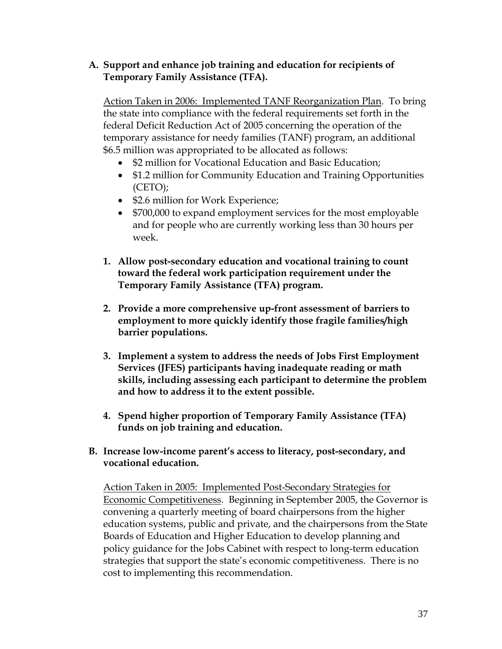#### **A. Support and enhance job training and education for recipients of Temporary Family Assistance (TFA).**

Action Taken in 2006: Implemented TANF Reorganization Plan. To bring the state into compliance with the federal requirements set forth in the federal Deficit Reduction Act of 2005 concerning the operation of the temporary assistance for needy families (TANF) program, an additional \$6.5 million was appropriated to be allocated as follows:

- \$2 million for Vocational Education and Basic Education;
- \$1.2 million for Community Education and Training Opportunities (CETO);
- \$2.6 million for Work Experience;
- \$700,000 to expand employment services for the most employable and for people who are currently working less than 30 hours per week.
- **1. Allow post-secondary education and vocational training to count toward the federal work participation requirement under the Temporary Family Assistance (TFA) program.**
- **2. Provide a more comprehensive up-front assessment of barriers to employment to more quickly identify those fragile families/high barrier populations.**
- **3. Implement a system to address the needs of Jobs First Employment Services (JFES) participants having inadequate reading or math skills, including assessing each participant to determine the problem and how to address it to the extent possible.**
- **4. Spend higher proportion of Temporary Family Assistance (TFA) funds on job training and education.**

#### **B. Increase low-income parent's access to literacy, post-secondary, and vocational education.**

Action Taken in 2005: Implemented Post-Secondary Strategies for Economic Competitiveness. Beginning in September 2005, the Governor is convening a quarterly meeting of board chairpersons from the higher education systems, public and private, and the chairpersons from the State Boards of Education and Higher Education to develop planning and policy guidance for the Jobs Cabinet with respect to long-term education strategies that support the state's economic competitiveness. There is no cost to implementing this recommendation.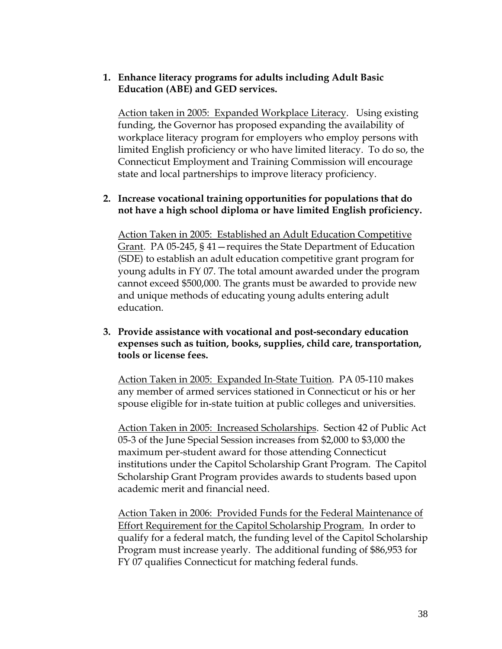#### **1. Enhance literacy programs for adults including Adult Basic Education (ABE) and GED services.**

Action taken in 2005: Expanded Workplace Literacy. Using existing funding, the Governor has proposed expanding the availability of workplace literacy program for employers who employ persons with limited English proficiency or who have limited literacy. To do so, the Connecticut Employment and Training Commission will encourage state and local partnerships to improve literacy proficiency.

#### **2. Increase vocational training opportunities for populations that do not have a high school diploma or have limited English proficiency.**

Action Taken in 2005: Established an Adult Education Competitive Grant. PA 05-245, § 41—requires the State Department of Education (SDE) to establish an adult education competitive grant program for young adults in FY 07. The total amount awarded under the program cannot exceed \$500,000. The grants must be awarded to provide new and unique methods of educating young adults entering adult education.

#### **3. Provide assistance with vocational and post-secondary education expenses such as tuition, books, supplies, child care, transportation, tools or license fees.**

Action Taken in 2005: Expanded In-State Tuition. PA 05-110 makes any member of armed services stationed in Connecticut or his or her spouse eligible for in-state tuition at public colleges and universities.

Action Taken in 2005: Increased Scholarships. Section 42 of Public Act 05-3 of the June Special Session increases from \$2,000 to \$3,000 the maximum per-student award for those attending Connecticut institutions under the Capitol Scholarship Grant Program. The Capitol Scholarship Grant Program provides awards to students based upon academic merit and financial need.

Action Taken in 2006: Provided Funds for the Federal Maintenance of Effort Requirement for the Capitol Scholarship Program. In order to qualify for a federal match, the funding level of the Capitol Scholarship Program must increase yearly. The additional funding of \$86,953 for FY 07 qualifies Connecticut for matching federal funds.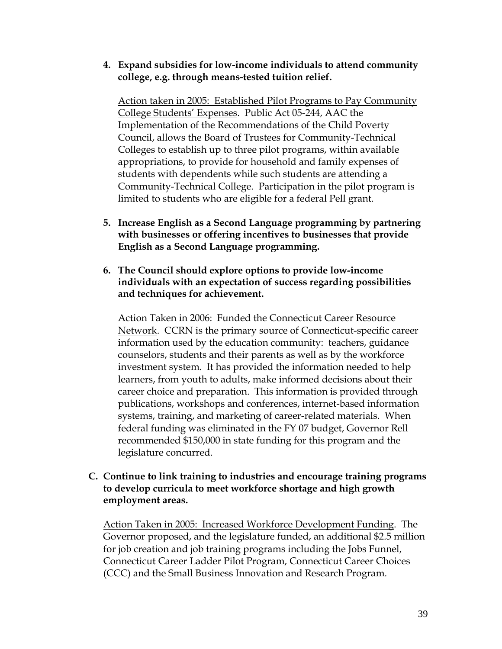#### **4. Expand subsidies for low-income individuals to attend community college, e.g. through means-tested tuition relief.**

Action taken in 2005: Established Pilot Programs to Pay Community College Students' Expenses. Public Act 05-244, AAC the Implementation of the Recommendations of the Child Poverty Council, allows the Board of Trustees for Community-Technical Colleges to establish up to three pilot programs, within available appropriations, to provide for household and family expenses of students with dependents while such students are attending a Community-Technical College. Participation in the pilot program is limited to students who are eligible for a federal Pell grant.

- **5. Increase English as a Second Language programming by partnering with businesses or offering incentives to businesses that provide English as a Second Language programming.**
- **6. The Council should explore options to provide low-income individuals with an expectation of success regarding possibilities and techniques for achievement.**

Action Taken in 2006: Funded the Connecticut Career Resource Network. CCRN is the primary source of Connecticut-specific career information used by the education community: teachers, guidance counselors, students and their parents as well as by the workforce investment system. It has provided the information needed to help learners, from youth to adults, make informed decisions about their career choice and preparation. This information is provided through publications, workshops and conferences, internet-based information systems, training, and marketing of career-related materials. When federal funding was eliminated in the FY 07 budget, Governor Rell recommended \$150,000 in state funding for this program and the legislature concurred.

#### **C. Continue to link training to industries and encourage training programs to develop curricula to meet workforce shortage and high growth employment areas.**

Action Taken in 2005: Increased Workforce Development Funding. The Governor proposed, and the legislature funded, an additional \$2.5 million for job creation and job training programs including the Jobs Funnel, Connecticut Career Ladder Pilot Program, Connecticut Career Choices (CCC) and the Small Business Innovation and Research Program.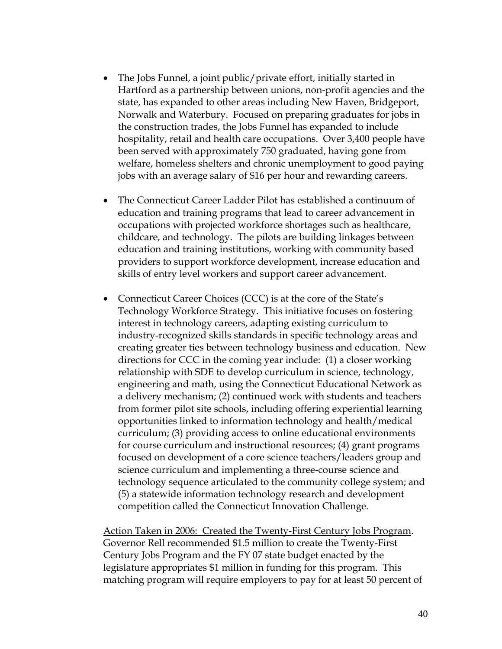- The Jobs Funnel, a joint public/private effort, initially started in Hartford as a partnership between unions, non-profit agencies and the state, has expanded to other areas including New Haven, Bridgeport, Norwalk and Waterbury. Focused on preparing graduates for jobs in the construction trades, the Jobs Funnel has expanded to include hospitality, retail and health care occupations. Over 3,400 people have been served with approximately 750 graduated, having gone from welfare, homeless shelters and chronic unemployment to good paying jobs with an average salary of \$16 per hour and rewarding careers.
- The Connecticut Career Ladder Pilot has established a continuum of education and training programs that lead to career advancement in occupations with projected workforce shortages such as healthcare, childcare, and technology. The pilots are building linkages between education and training institutions, working with community based providers to support workforce development, increase education and skills of entry level workers and support career advancement.
- Connecticut Career Choices (CCC) is at the core of the State's Technology Workforce Strategy. This initiative focuses on fostering interest in technology careers, adapting existing curriculum to industry-recognized skills standards in specific technology areas and creating greater ties between technology business and education. New directions for CCC in the coming year include: (1) a closer working relationship with SDE to develop curriculum in science, technology, engineering and math, using the Connecticut Educational Network as a delivery mechanism; (2) continued work with students and teachers from former pilot site schools, including offering experiential learning opportunities linked to information technology and health/medical curriculum; (3) providing access to online educational environments for course curriculum and instructional resources; (4) grant programs focused on development of a core science teachers/leaders group and science curriculum and implementing a three-course science and technology sequence articulated to the community college system; and (5) a statewide information technology research and development competition called the Connecticut Innovation Challenge.

Action Taken in 2006: Created the Twenty-First Century Jobs Program. Governor Rell recommended \$1.5 million to create the Twenty-First Century Jobs Program and the FY 07 state budget enacted by the legislature appropriates \$1 million in funding for this program. This matching program will require employers to pay for at least 50 percent of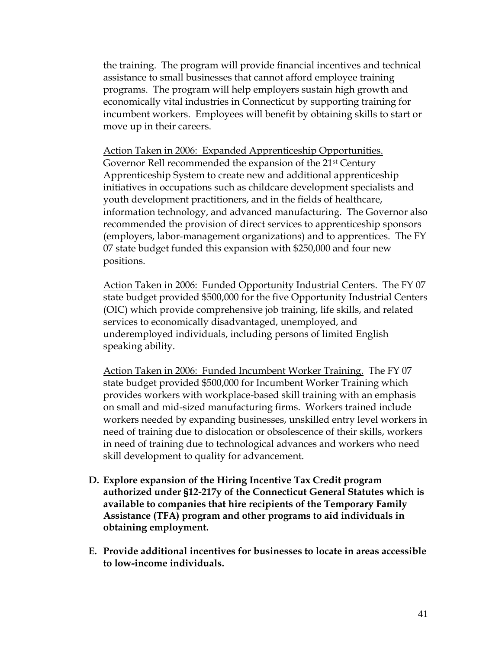the training. The program will provide financial incentives and technical assistance to small businesses that cannot afford employee training programs. The program will help employers sustain high growth and economically vital industries in Connecticut by supporting training for incumbent workers. Employees will benefit by obtaining skills to start or move up in their careers.

Action Taken in 2006: Expanded Apprenticeship Opportunities. Governor Rell recommended the expansion of the 21st Century Apprenticeship System to create new and additional apprenticeship initiatives in occupations such as childcare development specialists and youth development practitioners, and in the fields of healthcare, information technology, and advanced manufacturing. The Governor also recommended the provision of direct services to apprenticeship sponsors (employers, labor-management organizations) and to apprentices. The FY 07 state budget funded this expansion with \$250,000 and four new positions.

Action Taken in 2006: Funded Opportunity Industrial Centers. The FY 07 state budget provided \$500,000 for the five Opportunity Industrial Centers (OIC) which provide comprehensive job training, life skills, and related services to economically disadvantaged, unemployed, and underemployed individuals, including persons of limited English speaking ability.

Action Taken in 2006: Funded Incumbent Worker Training. The FY 07 state budget provided \$500,000 for Incumbent Worker Training which provides workers with workplace-based skill training with an emphasis on small and mid-sized manufacturing firms. Workers trained include workers needed by expanding businesses, unskilled entry level workers in need of training due to dislocation or obsolescence of their skills, workers in need of training due to technological advances and workers who need skill development to quality for advancement.

- **D. Explore expansion of the Hiring Incentive Tax Credit program authorized under §12-217y of the Connecticut General Statutes which is available to companies that hire recipients of the Temporary Family Assistance (TFA) program and other programs to aid individuals in obtaining employment.**
- **E. Provide additional incentives for businesses to locate in areas accessible to low-income individuals.**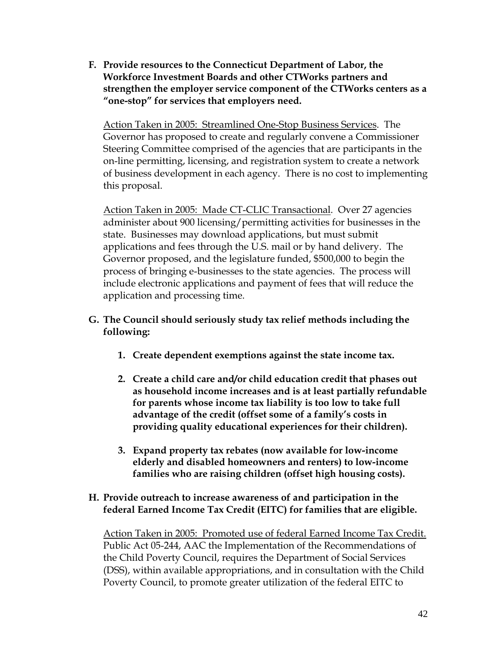**F. Provide resources to the Connecticut Department of Labor, the Workforce Investment Boards and other CTWorks partners and strengthen the employer service component of the CTWorks centers as a "one-stop" for services that employers need.** 

Action Taken in 2005: Streamlined One-Stop Business Services. The Governor has proposed to create and regularly convene a Commissioner Steering Committee comprised of the agencies that are participants in the on-line permitting, licensing, and registration system to create a network of business development in each agency. There is no cost to implementing this proposal.

Action Taken in 2005: Made CT-CLIC Transactional. Over 27 agencies administer about 900 licensing/permitting activities for businesses in the state. Businesses may download applications, but must submit applications and fees through the U.S. mail or by hand delivery. The Governor proposed, and the legislature funded, \$500,000 to begin the process of bringing e-businesses to the state agencies. The process will include electronic applications and payment of fees that will reduce the application and processing time.

- **G. The Council should seriously study tax relief methods including the following:** 
	- **1. Create dependent exemptions against the state income tax.**
	- **2. Create a child care and/or child education credit that phases out as household income increases and is at least partially refundable for parents whose income tax liability is too low to take full advantage of the credit (offset some of a family's costs in providing quality educational experiences for their children).**
	- **3. Expand property tax rebates (now available for low-income elderly and disabled homeowners and renters) to low-income families who are raising children (offset high housing costs).**

#### **H. Provide outreach to increase awareness of and participation in the federal Earned Income Tax Credit (EITC) for families that are eligible.**

Action Taken in 2005: Promoted use of federal Earned Income Tax Credit. Public Act 05-244, AAC the Implementation of the Recommendations of the Child Poverty Council, requires the Department of Social Services (DSS), within available appropriations, and in consultation with the Child Poverty Council, to promote greater utilization of the federal EITC to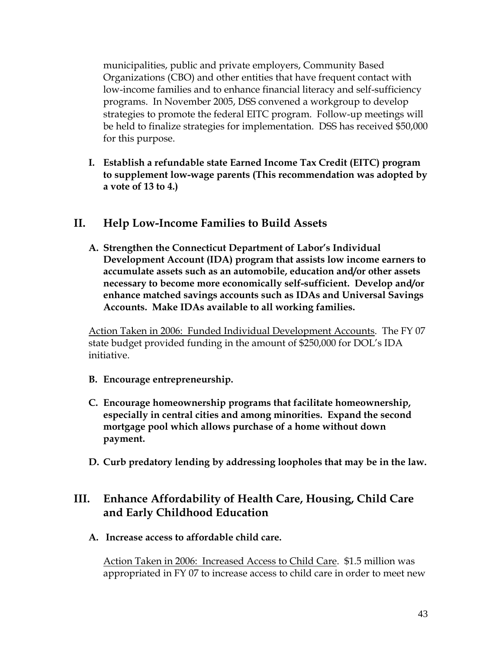municipalities, public and private employers, Community Based Organizations (CBO) and other entities that have frequent contact with low-income families and to enhance financial literacy and self-sufficiency programs. In November 2005, DSS convened a workgroup to develop strategies to promote the federal EITC program. Follow-up meetings will be held to finalize strategies for implementation. DSS has received \$50,000 for this purpose.

**I. Establish a refundable state Earned Income Tax Credit (EITC) program to supplement low-wage parents (This recommendation was adopted by a vote of 13 to 4.)** 

#### **II. Help Low-Income Families to Build Assets**

**A. Strengthen the Connecticut Department of Labor's Individual Development Account (IDA) program that assists low income earners to accumulate assets such as an automobile, education and/or other assets necessary to become more economically self-sufficient. Develop and/or enhance matched savings accounts such as IDAs and Universal Savings Accounts. Make IDAs available to all working families.** 

Action Taken in 2006: Funded Individual Development Accounts. The FY 07 state budget provided funding in the amount of \$250,000 for DOL's IDA initiative.

- **B. Encourage entrepreneurship.**
- **C. Encourage homeownership programs that facilitate homeownership, especially in central cities and among minorities. Expand the second mortgage pool which allows purchase of a home without down payment.**
- **D. Curb predatory lending by addressing loopholes that may be in the law.**

### **III. Enhance Affordability of Health Care, Housing, Child Care and Early Childhood Education**

**A. Increase access to affordable child care.** 

Action Taken in 2006: Increased Access to Child Care. \$1.5 million was appropriated in FY 07 to increase access to child care in order to meet new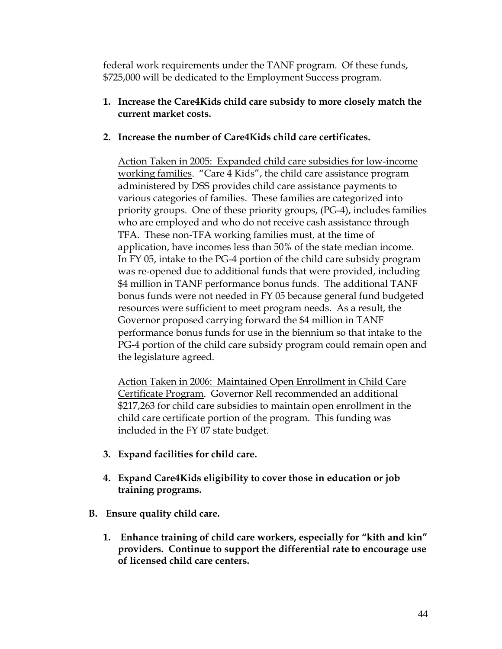federal work requirements under the TANF program. Of these funds, \$725,000 will be dedicated to the Employment Success program.

#### **1. Increase the Care4Kids child care subsidy to more closely match the current market costs.**

#### **2. Increase the number of Care4Kids child care certificates.**

Action Taken in 2005: Expanded child care subsidies for low-income working families. "Care 4 Kids", the child care assistance program administered by DSS provides child care assistance payments to various categories of families. These families are categorized into priority groups. One of these priority groups, (PG-4), includes families who are employed and who do not receive cash assistance through TFA. These non-TFA working families must, at the time of application, have incomes less than 50% of the state median income. In FY 05, intake to the PG-4 portion of the child care subsidy program was re-opened due to additional funds that were provided, including \$4 million in TANF performance bonus funds. The additional TANF bonus funds were not needed in FY 05 because general fund budgeted resources were sufficient to meet program needs. As a result, the Governor proposed carrying forward the \$4 million in TANF performance bonus funds for use in the biennium so that intake to the PG-4 portion of the child care subsidy program could remain open and the legislature agreed.

Action Taken in 2006: Maintained Open Enrollment in Child Care Certificate Program. Governor Rell recommended an additional \$217,263 for child care subsidies to maintain open enrollment in the child care certificate portion of the program. This funding was included in the FY 07 state budget.

- **3. Expand facilities for child care.**
- **4. Expand Care4Kids eligibility to cover those in education or job training programs.**
- **B. Ensure quality child care.** 
	- **1. Enhance training of child care workers, especially for "kith and kin" providers. Continue to support the differential rate to encourage use of licensed child care centers.**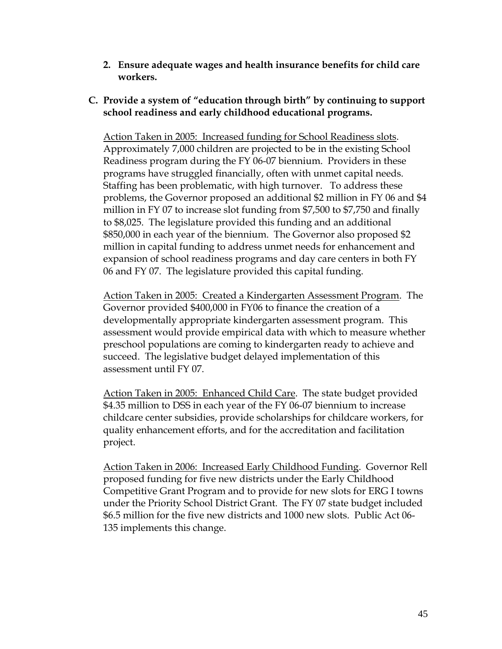**2. Ensure adequate wages and health insurance benefits for child care workers.** 

#### **C. Provide a system of "education through birth" by continuing to support school readiness and early childhood educational programs.**

Action Taken in 2005: Increased funding for School Readiness slots. Approximately 7,000 children are projected to be in the existing School Readiness program during the FY 06-07 biennium. Providers in these programs have struggled financially, often with unmet capital needs. Staffing has been problematic, with high turnover. To address these problems, the Governor proposed an additional \$2 million in FY 06 and \$4 million in FY 07 to increase slot funding from \$7,500 to \$7,750 and finally to \$8,025. The legislature provided this funding and an additional \$850,000 in each year of the biennium. The Governor also proposed \$2 million in capital funding to address unmet needs for enhancement and expansion of school readiness programs and day care centers in both FY 06 and FY 07. The legislature provided this capital funding.

Action Taken in 2005: Created a Kindergarten Assessment Program. The Governor provided \$400,000 in FY06 to finance the creation of a developmentally appropriate kindergarten assessment program. This assessment would provide empirical data with which to measure whether preschool populations are coming to kindergarten ready to achieve and succeed. The legislative budget delayed implementation of this assessment until FY 07.

Action Taken in 2005: Enhanced Child Care. The state budget provided \$4.35 million to DSS in each year of the FY 06-07 biennium to increase childcare center subsidies, provide scholarships for childcare workers, for quality enhancement efforts, and for the accreditation and facilitation project.

Action Taken in 2006: Increased Early Childhood Funding. Governor Rell proposed funding for five new districts under the Early Childhood Competitive Grant Program and to provide for new slots for ERG I towns under the Priority School District Grant. The FY 07 state budget included \$6.5 million for the five new districts and 1000 new slots. Public Act 06- 135 implements this change.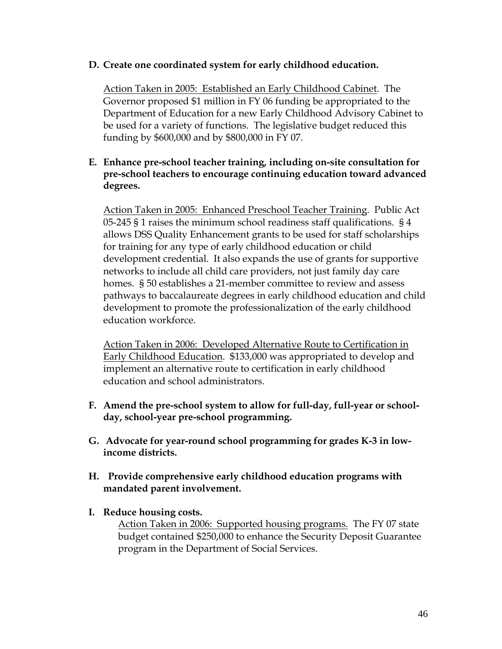#### **D. Create one coordinated system for early childhood education.**

Action Taken in 2005: Established an Early Childhood Cabinet. The Governor proposed \$1 million in FY 06 funding be appropriated to the Department of Education for a new Early Childhood Advisory Cabinet to be used for a variety of functions. The legislative budget reduced this funding by \$600,000 and by \$800,000 in FY 07.

#### **E. Enhance pre-school teacher training, including on-site consultation for pre-school teachers to encourage continuing education toward advanced degrees.**

Action Taken in 2005: Enhanced Preschool Teacher Training. Public Act 05-245 § 1 raises the minimum school readiness staff qualifications. § 4 allows DSS Quality Enhancement grants to be used for staff scholarships for training for any type of early childhood education or child development credential. It also expands the use of grants for supportive networks to include all child care providers, not just family day care homes. § 50 establishes a 21-member committee to review and assess pathways to baccalaureate degrees in early childhood education and child development to promote the professionalization of the early childhood education workforce.

Action Taken in 2006: Developed Alternative Route to Certification in Early Childhood Education. \$133,000 was appropriated to develop and implement an alternative route to certification in early childhood education and school administrators.

- **F. Amend the pre-school system to allow for full-day, full-year or schoolday, school-year pre-school programming.**
- **G. Advocate for year-round school programming for grades K-3 in lowincome districts.**
- **H. Provide comprehensive early childhood education programs with mandated parent involvement.**
- **I. Reduce housing costs.**

Action Taken in 2006: Supported housing programs. The FY 07 state budget contained \$250,000 to enhance the Security Deposit Guarantee program in the Department of Social Services.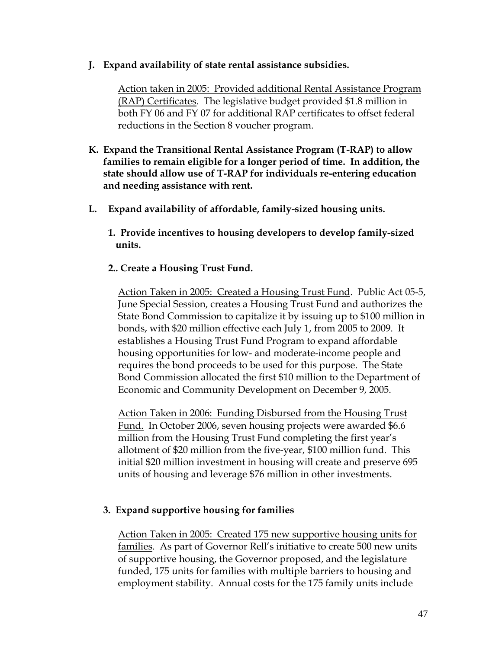#### **J. Expand availability of state rental assistance subsidies.**

Action taken in 2005: Provided additional Rental Assistance Program (RAP) Certificates. The legislative budget provided \$1.8 million in both FY 06 and FY 07 for additional RAP certificates to offset federal reductions in the Section 8 voucher program.

- **K. Expand the Transitional Rental Assistance Program (T-RAP) to allow families to remain eligible for a longer period of time. In addition, the state should allow use of T-RAP for individuals re-entering education and needing assistance with rent.**
- **L. Expand availability of affordable, family-sized housing units.** 
	- **1. Provide incentives to housing developers to develop family-sized units.**
	- **2.. Create a Housing Trust Fund.**

Action Taken in 2005: Created a Housing Trust Fund. Public Act 05-5, June Special Session, creates a Housing Trust Fund and authorizes the State Bond Commission to capitalize it by issuing up to \$100 million in bonds, with \$20 million effective each July 1, from 2005 to 2009. It establishes a Housing Trust Fund Program to expand affordable housing opportunities for low- and moderate-income people and requires the bond proceeds to be used for this purpose. The State Bond Commission allocated the first \$10 million to the Department of Economic and Community Development on December 9, 2005.

Action Taken in 2006: Funding Disbursed from the Housing Trust Fund. In October 2006, seven housing projects were awarded \$6.6 million from the Housing Trust Fund completing the first year's allotment of \$20 million from the five-year, \$100 million fund. This initial \$20 million investment in housing will create and preserve 695 units of housing and leverage \$76 million in other investments.

#### **3. Expand supportive housing for families**

Action Taken in 2005: Created 175 new supportive housing units for families. As part of Governor Rell's initiative to create 500 new units of supportive housing, the Governor proposed, and the legislature funded, 175 units for families with multiple barriers to housing and employment stability. Annual costs for the 175 family units include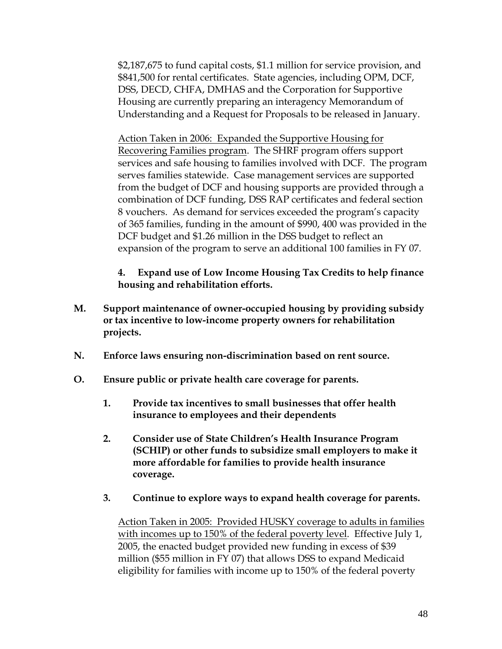\$2,187,675 to fund capital costs, \$1.1 million for service provision, and \$841,500 for rental certificates. State agencies, including OPM, DCF, DSS, DECD, CHFA, DMHAS and the Corporation for Supportive Housing are currently preparing an interagency Memorandum of Understanding and a Request for Proposals to be released in January.

Action Taken in 2006: Expanded the Supportive Housing for Recovering Families program. The SHRF program offers support services and safe housing to families involved with DCF. The program serves families statewide. Case management services are supported from the budget of DCF and housing supports are provided through a combination of DCF funding, DSS RAP certificates and federal section 8 vouchers. As demand for services exceeded the program's capacity of 365 families, funding in the amount of \$990, 400 was provided in the DCF budget and \$1.26 million in the DSS budget to reflect an expansion of the program to serve an additional 100 families in FY 07.

**4. Expand use of Low Income Housing Tax Credits to help finance housing and rehabilitation efforts.** 

- **M. Support maintenance of owner-occupied housing by providing subsidy or tax incentive to low-income property owners for rehabilitation projects.**
- **N. Enforce laws ensuring non-discrimination based on rent source.**
- **O. Ensure public or private health care coverage for parents.** 
	- **1. Provide tax incentives to small businesses that offer health insurance to employees and their dependents**
	- **2. Consider use of State Children's Health Insurance Program (SCHIP) or other funds to subsidize small employers to make it more affordable for families to provide health insurance coverage.**
	- **3. Continue to explore ways to expand health coverage for parents.**

Action Taken in 2005: Provided HUSKY coverage to adults in families with incomes up to 150% of the federal poverty level. Effective July 1, 2005, the enacted budget provided new funding in excess of \$39 million (\$55 million in FY 07) that allows DSS to expand Medicaid eligibility for families with income up to 150% of the federal poverty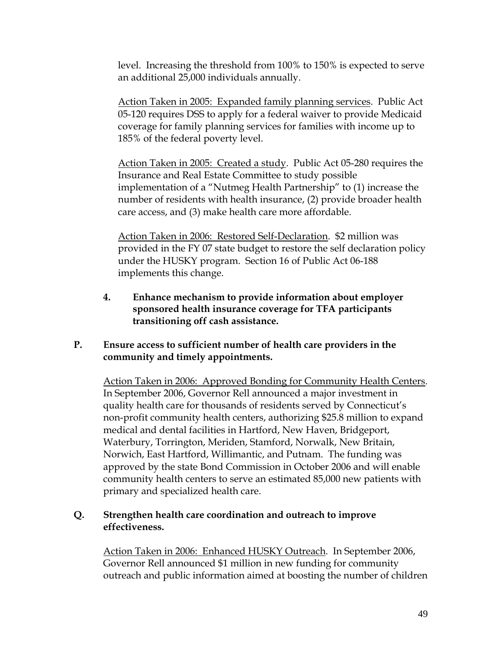level. Increasing the threshold from 100% to 150% is expected to serve an additional 25,000 individuals annually.

Action Taken in 2005: Expanded family planning services. Public Act 05-120 requires DSS to apply for a federal waiver to provide Medicaid coverage for family planning services for families with income up to 185% of the federal poverty level.

Action Taken in 2005: Created a study. Public Act 05-280 requires the Insurance and Real Estate Committee to study possible implementation of a "Nutmeg Health Partnership" to (1) increase the number of residents with health insurance, (2) provide broader health care access, and (3) make health care more affordable.

Action Taken in 2006: Restored Self-Declaration. \$2 million was provided in the FY 07 state budget to restore the self declaration policy under the HUSKY program. Section 16 of Public Act 06-188 implements this change.

**4. Enhance mechanism to provide information about employer sponsored health insurance coverage for TFA participants transitioning off cash assistance.** 

#### **P. Ensure access to sufficient number of health care providers in the community and timely appointments.**

Action Taken in 2006: Approved Bonding for Community Health Centers. In September 2006, Governor Rell announced a major investment in quality health care for thousands of residents served by Connecticut's non-profit community health centers, authorizing \$25.8 million to expand medical and dental facilities in Hartford, New Haven, Bridgeport, Waterbury, Torrington, Meriden, Stamford, Norwalk, New Britain, Norwich, East Hartford, Willimantic, and Putnam. The funding was approved by the state Bond Commission in October 2006 and will enable community health centers to serve an estimated 85,000 new patients with primary and specialized health care.

#### **Q. Strengthen health care coordination and outreach to improve effectiveness.**

Action Taken in 2006: Enhanced HUSKY Outreach. In September 2006, Governor Rell announced \$1 million in new funding for community outreach and public information aimed at boosting the number of children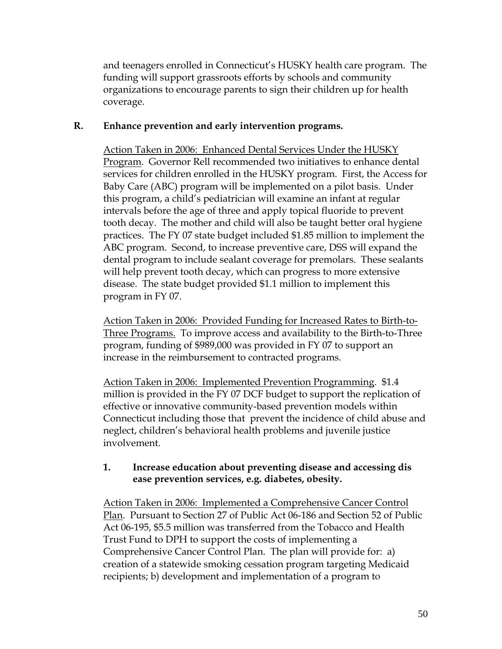and teenagers enrolled in Connecticut's HUSKY health care program. The funding will support grassroots efforts by schools and community organizations to encourage parents to sign their children up for health coverage.

#### **R. Enhance prevention and early intervention programs.**

Action Taken in 2006: Enhanced Dental Services Under the HUSKY Program. Governor Rell recommended two initiatives to enhance dental services for children enrolled in the HUSKY program. First, the Access for Baby Care (ABC) program will be implemented on a pilot basis. Under this program, a child's pediatrician will examine an infant at regular intervals before the age of three and apply topical fluoride to prevent tooth decay. The mother and child will also be taught better oral hygiene practices. The FY 07 state budget included \$1.85 million to implement the ABC program. Second, to increase preventive care, DSS will expand the dental program to include sealant coverage for premolars. These sealants will help prevent tooth decay, which can progress to more extensive disease. The state budget provided \$1.1 million to implement this program in FY 07.

Action Taken in 2006: Provided Funding for Increased Rates to Birth-to-Three Programs. To improve access and availability to the Birth-to-Three program, funding of \$989,000 was provided in FY 07 to support an increase in the reimbursement to contracted programs.

Action Taken in 2006: Implemented Prevention Programming. \$1.4 million is provided in the FY 07 DCF budget to support the replication of effective or innovative community-based prevention models within Connecticut including those that prevent the incidence of child abuse and neglect, children's behavioral health problems and juvenile justice involvement.

#### **1. Increase education about preventing disease and accessing dis ease prevention services, e.g. diabetes, obesity.**

Action Taken in 2006: Implemented a Comprehensive Cancer Control Plan. Pursuant to Section 27 of Public Act 06-186 and Section 52 of Public Act 06-195, \$5.5 million was transferred from the Tobacco and Health Trust Fund to DPH to support the costs of implementing a Comprehensive Cancer Control Plan. The plan will provide for: a) creation of a statewide smoking cessation program targeting Medicaid recipients; b) development and implementation of a program to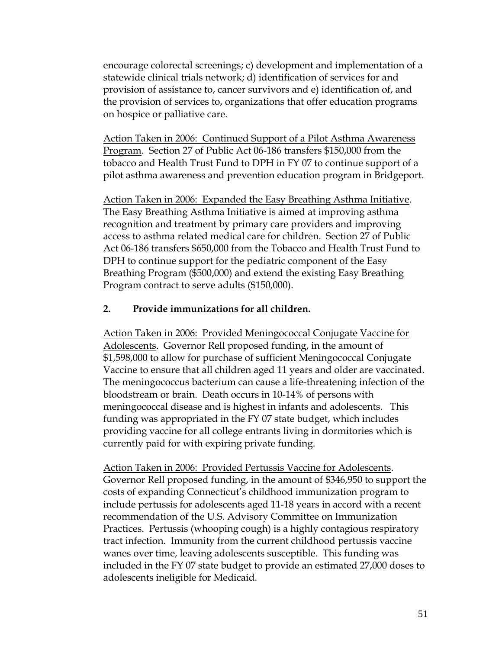encourage colorectal screenings; c) development and implementation of a statewide clinical trials network; d) identification of services for and provision of assistance to, cancer survivors and e) identification of, and the provision of services to, organizations that offer education programs on hospice or palliative care.

Action Taken in 2006: Continued Support of a Pilot Asthma Awareness Program. Section 27 of Public Act 06-186 transfers \$150,000 from the tobacco and Health Trust Fund to DPH in FY 07 to continue support of a pilot asthma awareness and prevention education program in Bridgeport.

Action Taken in 2006: Expanded the Easy Breathing Asthma Initiative. The Easy Breathing Asthma Initiative is aimed at improving asthma recognition and treatment by primary care providers and improving access to asthma related medical care for children. Section 27 of Public Act 06-186 transfers \$650,000 from the Tobacco and Health Trust Fund to DPH to continue support for the pediatric component of the Easy Breathing Program (\$500,000) and extend the existing Easy Breathing Program contract to serve adults (\$150,000).

#### **2. Provide immunizations for all children.**

Action Taken in 2006: Provided Meningococcal Conjugate Vaccine for Adolescents. Governor Rell proposed funding, in the amount of \$1,598,000 to allow for purchase of sufficient Meningococcal Conjugate Vaccine to ensure that all children aged 11 years and older are vaccinated. The meningococcus bacterium can cause a life-threatening infection of the bloodstream or brain. Death occurs in 10-14% of persons with meningococcal disease and is highest in infants and adolescents. This funding was appropriated in the FY 07 state budget, which includes providing vaccine for all college entrants living in dormitories which is currently paid for with expiring private funding.

Action Taken in 2006: Provided Pertussis Vaccine for Adolescents. Governor Rell proposed funding, in the amount of \$346,950 to support the costs of expanding Connecticut's childhood immunization program to include pertussis for adolescents aged 11-18 years in accord with a recent recommendation of the U.S. Advisory Committee on Immunization Practices. Pertussis (whooping cough) is a highly contagious respiratory tract infection. Immunity from the current childhood pertussis vaccine wanes over time, leaving adolescents susceptible. This funding was included in the FY 07 state budget to provide an estimated 27,000 doses to adolescents ineligible for Medicaid.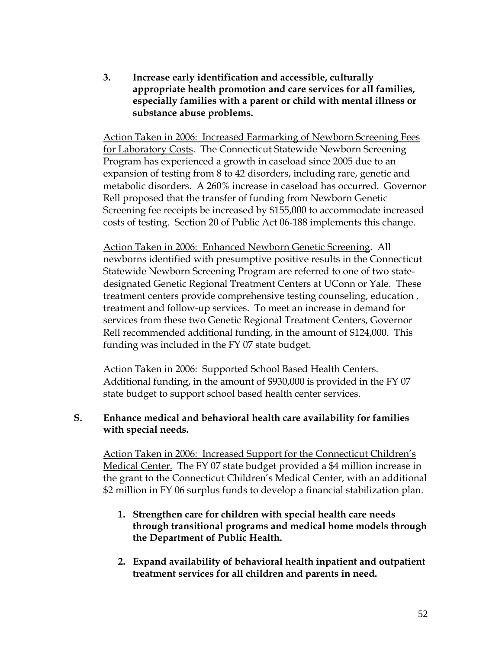**3. Increase early identification and accessible, culturally appropriate health promotion and care services for all families, especially families with a parent or child with mental illness or substance abuse problems.** 

Action Taken in 2006: Increased Earmarking of Newborn Screening Fees for Laboratory Costs. The Connecticut Statewide Newborn Screening Program has experienced a growth in caseload since 2005 due to an expansion of testing from 8 to 42 disorders, including rare, genetic and metabolic disorders. A 260% increase in caseload has occurred. Governor Rell proposed that the transfer of funding from Newborn Genetic Screening fee receipts be increased by \$155,000 to accommodate increased costs of testing. Section 20 of Public Act 06-188 implements this change.

Action Taken in 2006: Enhanced Newborn Genetic Screening. All newborns identified with presumptive positive results in the Connecticut Statewide Newborn Screening Program are referred to one of two statedesignated Genetic Regional Treatment Centers at UConn or Yale. These treatment centers provide comprehensive testing counseling, education , treatment and follow-up services. To meet an increase in demand for services from these two Genetic Regional Treatment Centers, Governor Rell recommended additional funding, in the amount of \$124,000. This funding was included in the FY 07 state budget.

Action Taken in 2006: Supported School Based Health Centers. Additional funding, in the amount of \$930,000 is provided in the FY 07 state budget to support school based health center services.

#### **S. Enhance medical and behavioral health care availability for families with special needs.**

Action Taken in 2006: Increased Support for the Connecticut Children's Medical Center. The FY 07 state budget provided a \$4 million increase in the grant to the Connecticut Children's Medical Center, with an additional \$2 million in FY 06 surplus funds to develop a financial stabilization plan.

- **1. Strengthen care for children with special health care needs through transitional programs and medical home models through the Department of Public Health.**
- **2. Expand availability of behavioral health inpatient and outpatient treatment services for all children and parents in need.**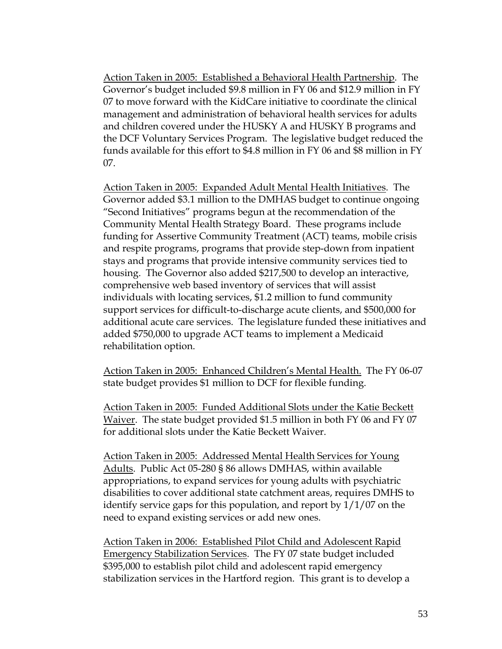Action Taken in 2005: Established a Behavioral Health Partnership. The Governor's budget included \$9.8 million in FY 06 and \$12.9 million in FY 07 to move forward with the KidCare initiative to coordinate the clinical management and administration of behavioral health services for adults and children covered under the HUSKY A and HUSKY B programs and the DCF Voluntary Services Program. The legislative budget reduced the funds available for this effort to \$4.8 million in FY 06 and \$8 million in FY 07.

Action Taken in 2005: Expanded Adult Mental Health Initiatives. The Governor added \$3.1 million to the DMHAS budget to continue ongoing "Second Initiatives" programs begun at the recommendation of the Community Mental Health Strategy Board. These programs include funding for Assertive Community Treatment (ACT) teams, mobile crisis and respite programs, programs that provide step-down from inpatient stays and programs that provide intensive community services tied to housing. The Governor also added \$217,500 to develop an interactive, comprehensive web based inventory of services that will assist individuals with locating services, \$1.2 million to fund community support services for difficult-to-discharge acute clients, and \$500,000 for additional acute care services. The legislature funded these initiatives and added \$750,000 to upgrade ACT teams to implement a Medicaid rehabilitation option.

Action Taken in 2005: Enhanced Children's Mental Health. The FY 06-07 state budget provides \$1 million to DCF for flexible funding.

Action Taken in 2005: Funded Additional Slots under the Katie Beckett Waiver. The state budget provided \$1.5 million in both FY 06 and FY 07 for additional slots under the Katie Beckett Waiver.

Action Taken in 2005: Addressed Mental Health Services for Young Adults. Public Act 05-280 § 86 allows DMHAS, within available appropriations, to expand services for young adults with psychiatric disabilities to cover additional state catchment areas, requires DMHS to identify service gaps for this population, and report by 1/1/07 on the need to expand existing services or add new ones.

Action Taken in 2006: Established Pilot Child and Adolescent Rapid Emergency Stabilization Services. The FY 07 state budget included \$395,000 to establish pilot child and adolescent rapid emergency stabilization services in the Hartford region. This grant is to develop a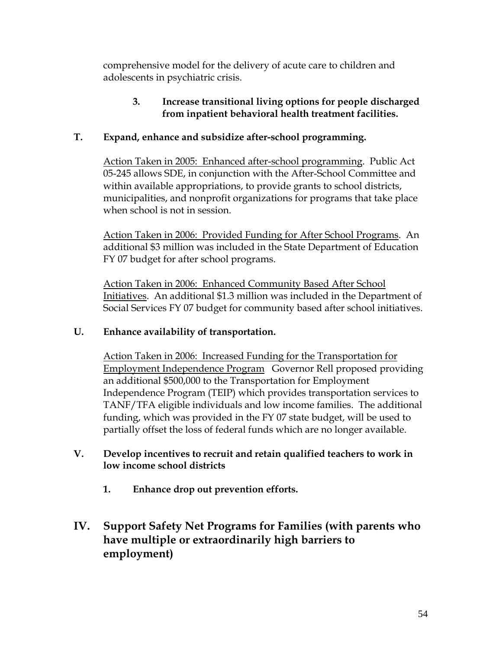comprehensive model for the delivery of acute care to children and adolescents in psychiatric crisis.

#### **3. Increase transitional living options for people discharged from inpatient behavioral health treatment facilities.**

### **T. Expand, enhance and subsidize after-school programming.**

Action Taken in 2005: Enhanced after-school programming. Public Act 05-245 allows SDE, in conjunction with the After-School Committee and within available appropriations, to provide grants to school districts, municipalities, and nonprofit organizations for programs that take place when school is not in session.

Action Taken in 2006: Provided Funding for After School Programs. An additional \$3 million was included in the State Department of Education FY 07 budget for after school programs.

Action Taken in 2006: Enhanced Community Based After School Initiatives. An additional \$1.3 million was included in the Department of Social Services FY 07 budget for community based after school initiatives.

#### **U. Enhance availability of transportation.**

Action Taken in 2006: Increased Funding for the Transportation for Employment Independence Program Governor Rell proposed providing an additional \$500,000 to the Transportation for Employment Independence Program (TEIP) which provides transportation services to TANF/TFA eligible individuals and low income families. The additional funding, which was provided in the FY 07 state budget, will be used to partially offset the loss of federal funds which are no longer available.

#### **V. Develop incentives to recruit and retain qualified teachers to work in low income school districts**

- **1. Enhance drop out prevention efforts.**
- **IV. Support Safety Net Programs for Families (with parents who have multiple or extraordinarily high barriers to employment)**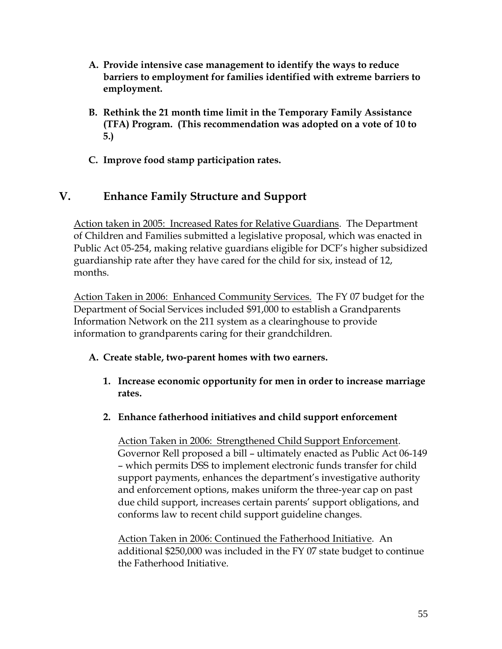- **A. Provide intensive case management to identify the ways to reduce barriers to employment for families identified with extreme barriers to employment.**
- **B. Rethink the 21 month time limit in the Temporary Family Assistance (TFA) Program. (This recommendation was adopted on a vote of 10 to 5.)**
- **C. Improve food stamp participation rates.**

## **V. Enhance Family Structure and Support**

Action taken in 2005: Increased Rates for Relative Guardians. The Department of Children and Families submitted a legislative proposal, which was enacted in Public Act 05-254, making relative guardians eligible for DCF's higher subsidized guardianship rate after they have cared for the child for six, instead of 12, months.

Action Taken in 2006: Enhanced Community Services. The FY 07 budget for the Department of Social Services included \$91,000 to establish a Grandparents Information Network on the 211 system as a clearinghouse to provide information to grandparents caring for their grandchildren.

#### **A. Create stable, two-parent homes with two earners.**

- **1. Increase economic opportunity for men in order to increase marriage rates.**
- **2. Enhance fatherhood initiatives and child support enforcement**

Action Taken in 2006: Strengthened Child Support Enforcement. Governor Rell proposed a bill – ultimately enacted as Public Act 06-149 – which permits DSS to implement electronic funds transfer for child support payments, enhances the department's investigative authority and enforcement options, makes uniform the three-year cap on past due child support, increases certain parents' support obligations, and conforms law to recent child support guideline changes.

Action Taken in 2006: Continued the Fatherhood Initiative. An additional \$250,000 was included in the FY 07 state budget to continue the Fatherhood Initiative.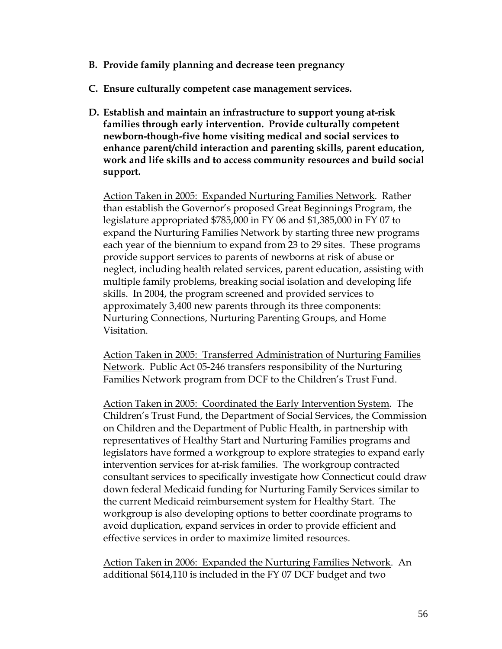- **B. Provide family planning and decrease teen pregnancy**
- **C. Ensure culturally competent case management services.**
- **D. Establish and maintain an infrastructure to support young at-risk families through early intervention. Provide culturally competent newborn-though-five home visiting medical and social services to enhance parent/child interaction and parenting skills, parent education, work and life skills and to access community resources and build social support.**

Action Taken in 2005: Expanded Nurturing Families Network. Rather than establish the Governor's proposed Great Beginnings Program, the legislature appropriated \$785,000 in FY 06 and \$1,385,000 in FY 07 to expand the Nurturing Families Network by starting three new programs each year of the biennium to expand from 23 to 29 sites. These programs provide support services to parents of newborns at risk of abuse or neglect, including health related services, parent education, assisting with multiple family problems, breaking social isolation and developing life skills. In 2004, the program screened and provided services to approximately 3,400 new parents through its three components: Nurturing Connections, Nurturing Parenting Groups, and Home Visitation.

Action Taken in 2005: Transferred Administration of Nurturing Families Network. Public Act 05-246 transfers responsibility of the Nurturing Families Network program from DCF to the Children's Trust Fund.

Action Taken in 2005: Coordinated the Early Intervention System. The Children's Trust Fund, the Department of Social Services, the Commission on Children and the Department of Public Health, in partnership with representatives of Healthy Start and Nurturing Families programs and legislators have formed a workgroup to explore strategies to expand early intervention services for at-risk families. The workgroup contracted consultant services to specifically investigate how Connecticut could draw down federal Medicaid funding for Nurturing Family Services similar to the current Medicaid reimbursement system for Healthy Start. The workgroup is also developing options to better coordinate programs to avoid duplication, expand services in order to provide efficient and effective services in order to maximize limited resources.

Action Taken in 2006: Expanded the Nurturing Families Network. An additional \$614,110 is included in the FY 07 DCF budget and two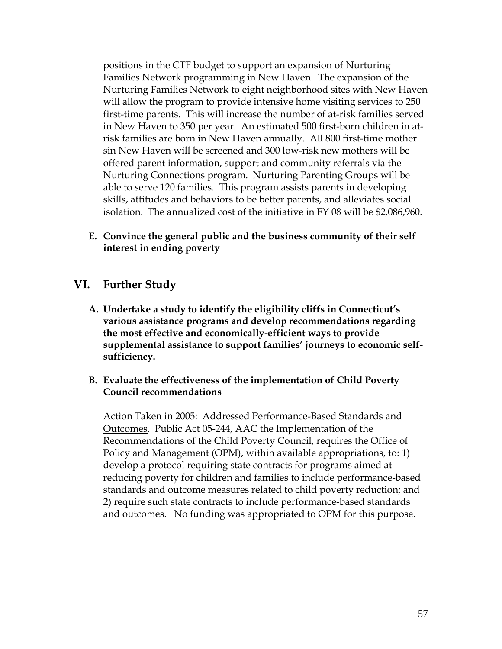positions in the CTF budget to support an expansion of Nurturing Families Network programming in New Haven. The expansion of the Nurturing Families Network to eight neighborhood sites with New Haven will allow the program to provide intensive home visiting services to 250 first-time parents. This will increase the number of at-risk families served in New Haven to 350 per year. An estimated 500 first-born children in atrisk families are born in New Haven annually. All 800 first-time mother sin New Haven will be screened and 300 low-risk new mothers will be offered parent information, support and community referrals via the Nurturing Connections program. Nurturing Parenting Groups will be able to serve 120 families. This program assists parents in developing skills, attitudes and behaviors to be better parents, and alleviates social isolation. The annualized cost of the initiative in FY 08 will be \$2,086,960.

**E. Convince the general public and the business community of their self interest in ending poverty** 

#### **VI. Further Study**

- **A. Undertake a study to identify the eligibility cliffs in Connecticut's various assistance programs and develop recommendations regarding the most effective and economically-efficient ways to provide supplemental assistance to support families' journeys to economic selfsufficiency.**
- **B. Evaluate the effectiveness of the implementation of Child Poverty Council recommendations**

Action Taken in 2005: Addressed Performance-Based Standards and Outcomes. Public Act 05-244, AAC the Implementation of the Recommendations of the Child Poverty Council, requires the Office of Policy and Management (OPM), within available appropriations, to: 1) develop a protocol requiring state contracts for programs aimed at reducing poverty for children and families to include performance-based standards and outcome measures related to child poverty reduction; and 2) require such state contracts to include performance-based standards and outcomes. No funding was appropriated to OPM for this purpose.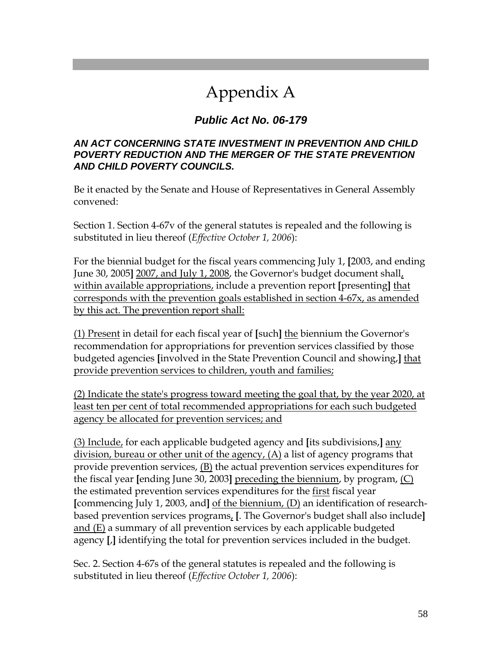## Appendix A

## *Public Act No. 06-179*

#### *AN ACT CONCERNING STATE INVESTMENT IN PREVENTION AND CHILD POVERTY REDUCTION AND THE MERGER OF THE STATE PREVENTION AND CHILD POVERTY COUNCILS.*

Be it enacted by the Senate and House of Representatives in General Assembly convened:

Section 1. Section 4-67v of the general statutes is repealed and the following is substituted in lieu thereof (*Effective October 1, 2006*):

For the biennial budget for the fiscal years commencing July 1, **[**2003, and ending June 30, 2005**]** 2007, and July 1, 2008, the Governor's budget document shall, within available appropriations, include a prevention report **[**presenting**]** that corresponds with the prevention goals established in section 4-67x, as amended by this act. The prevention report shall:

(1) Present in detail for each fiscal year of **[**such**]** the biennium the Governor's recommendation for appropriations for prevention services classified by those budgeted agencies **[**involved in the State Prevention Council and showing,**]** that provide prevention services to children, youth and families;

(2) Indicate the state's progress toward meeting the goal that, by the year 2020, at least ten per cent of total recommended appropriations for each such budgeted agency be allocated for prevention services; and

(3) Include, for each applicable budgeted agency and **[**its subdivisions,**]** any division, bureau or other unit of the agency, (A) a list of agency programs that provide prevention services,  $(B)$  the actual prevention services expenditures for the fiscal year **[**ending June 30, 2003**]** preceding the biennium, by program, (C) the estimated prevention services expenditures for the first fiscal year **[**commencing July 1, 2003, and**]** of the biennium, (D) an identification of researchbased prevention services programs, **[**. The Governor's budget shall also include**]** and (E) a summary of all prevention services by each applicable budgeted agency **[**,**]** identifying the total for prevention services included in the budget.

Sec. 2. Section 4-67s of the general statutes is repealed and the following is substituted in lieu thereof (*Effective October 1, 2006*):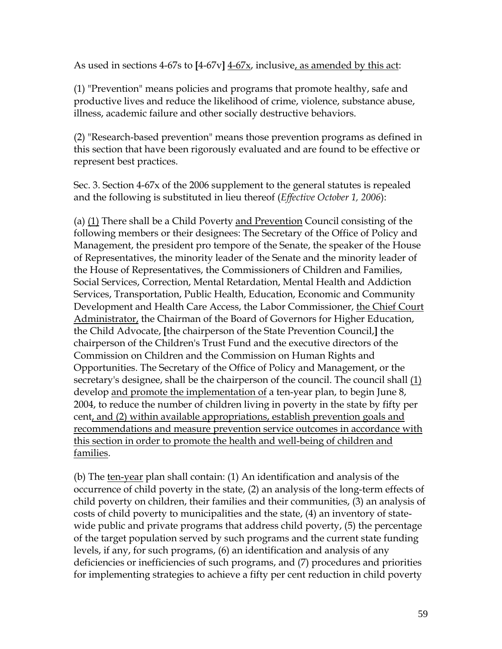As used in sections 4-67s to **[**4-67v**]** 4-67x, inclusive, as amended by this act:

(1) "Prevention" means policies and programs that promote healthy, safe and productive lives and reduce the likelihood of crime, violence, substance abuse, illness, academic failure and other socially destructive behaviors.

(2) "Research-based prevention" means those prevention programs as defined in this section that have been rigorously evaluated and are found to be effective or represent best practices.

Sec. 3. Section 4-67x of the 2006 supplement to the general statutes is repealed and the following is substituted in lieu thereof (*Effective October 1, 2006*):

(a) (1) There shall be a Child Poverty and Prevention Council consisting of the following members or their designees: The Secretary of the Office of Policy and Management, the president pro tempore of the Senate, the speaker of the House of Representatives, the minority leader of the Senate and the minority leader of the House of Representatives, the Commissioners of Children and Families, Social Services, Correction, Mental Retardation, Mental Health and Addiction Services, Transportation, Public Health, Education, Economic and Community Development and Health Care Access, the Labor Commissioner, the Chief Court Administrator, the Chairman of the Board of Governors for Higher Education, the Child Advocate, **[**the chairperson of the State Prevention Council,**]** the chairperson of the Children's Trust Fund and the executive directors of the Commission on Children and the Commission on Human Rights and Opportunities. The Secretary of the Office of Policy and Management, or the secretary's designee, shall be the chairperson of the council. The council shall (1) develop and promote the implementation of a ten-year plan, to begin June 8, 2004, to reduce the number of children living in poverty in the state by fifty per cent, and (2) within available appropriations, establish prevention goals and recommendations and measure prevention service outcomes in accordance with this section in order to promote the health and well-being of children and families.

(b) The ten-year plan shall contain: (1) An identification and analysis of the occurrence of child poverty in the state, (2) an analysis of the long-term effects of child poverty on children, their families and their communities, (3) an analysis of costs of child poverty to municipalities and the state, (4) an inventory of statewide public and private programs that address child poverty, (5) the percentage of the target population served by such programs and the current state funding levels, if any, for such programs, (6) an identification and analysis of any deficiencies or inefficiencies of such programs, and (7) procedures and priorities for implementing strategies to achieve a fifty per cent reduction in child poverty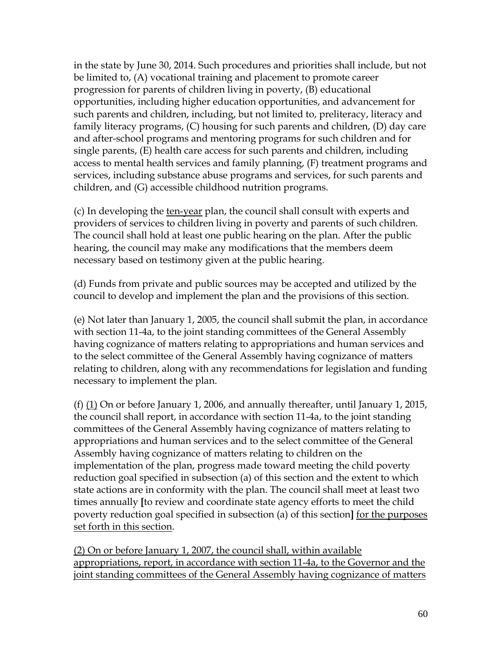in the state by June 30, 2014. Such procedures and priorities shall include, but not be limited to, (A) vocational training and placement to promote career progression for parents of children living in poverty, (B) educational opportunities, including higher education opportunities, and advancement for such parents and children, including, but not limited to, preliteracy, literacy and family literacy programs, (C) housing for such parents and children, (D) day care and after-school programs and mentoring programs for such children and for single parents, (E) health care access for such parents and children, including access to mental health services and family planning, (F) treatment programs and services, including substance abuse programs and services, for such parents and children, and (G) accessible childhood nutrition programs.

(c) In developing the ten-year plan, the council shall consult with experts and providers of services to children living in poverty and parents of such children. The council shall hold at least one public hearing on the plan. After the public hearing, the council may make any modifications that the members deem necessary based on testimony given at the public hearing.

(d) Funds from private and public sources may be accepted and utilized by the council to develop and implement the plan and the provisions of this section.

(e) Not later than January 1, 2005, the council shall submit the plan, in accordance with section 11-4a, to the joint standing committees of the General Assembly having cognizance of matters relating to appropriations and human services and to the select committee of the General Assembly having cognizance of matters relating to children, along with any recommendations for legislation and funding necessary to implement the plan.

(f)  $(1)$  On or before January 1, 2006, and annually thereafter, until January 1, 2015, the council shall report, in accordance with section 11-4a, to the joint standing committees of the General Assembly having cognizance of matters relating to appropriations and human services and to the select committee of the General Assembly having cognizance of matters relating to children on the implementation of the plan, progress made toward meeting the child poverty reduction goal specified in subsection (a) of this section and the extent to which state actions are in conformity with the plan. The council shall meet at least two times annually **[**to review and coordinate state agency efforts to meet the child poverty reduction goal specified in subsection (a) of this section**]** for the purposes set forth in this section.

(2) On or before January 1, 2007, the council shall, within available appropriations, report, in accordance with section 11-4a, to the Governor and the joint standing committees of the General Assembly having cognizance of matters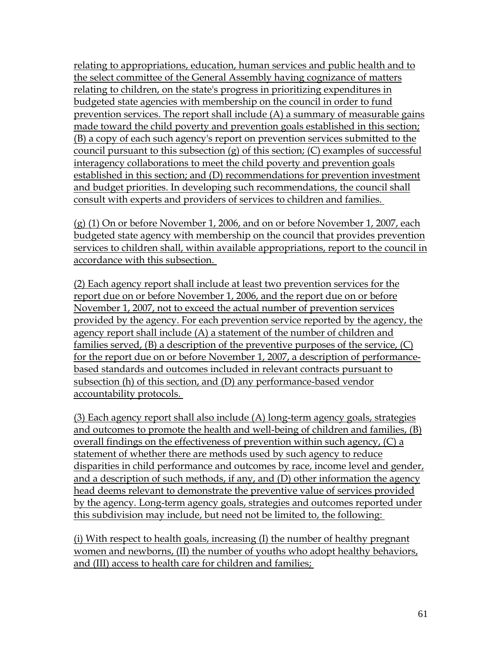relating to appropriations, education, human services and public health and to the select committee of the General Assembly having cognizance of matters relating to children, on the state's progress in prioritizing expenditures in budgeted state agencies with membership on the council in order to fund prevention services. The report shall include (A) a summary of measurable gains made toward the child poverty and prevention goals established in this section; (B) a copy of each such agency's report on prevention services submitted to the council pursuant to this subsection (g) of this section; (C) examples of successful interagency collaborations to meet the child poverty and prevention goals established in this section; and (D) recommendations for prevention investment and budget priorities. In developing such recommendations, the council shall consult with experts and providers of services to children and families.

(g) (1) On or before November 1, 2006, and on or before November 1, 2007, each budgeted state agency with membership on the council that provides prevention services to children shall, within available appropriations, report to the council in accordance with this subsection.

(2) Each agency report shall include at least two prevention services for the report due on or before November 1, 2006, and the report due on or before November 1, 2007, not to exceed the actual number of prevention services provided by the agency. For each prevention service reported by the agency, the agency report shall include (A) a statement of the number of children and families served, (B) a description of the preventive purposes of the service, (C) for the report due on or before November 1, 2007, a description of performancebased standards and outcomes included in relevant contracts pursuant to subsection (h) of this section, and (D) any performance-based vendor accountability protocols.

(3) Each agency report shall also include (A) long-term agency goals, strategies and outcomes to promote the health and well-being of children and families, (B) overall findings on the effectiveness of prevention within such agency, (C) a statement of whether there are methods used by such agency to reduce disparities in child performance and outcomes by race, income level and gender, and a description of such methods, if any, and (D) other information the agency head deems relevant to demonstrate the preventive value of services provided by the agency. Long-term agency goals, strategies and outcomes reported under this subdivision may include, but need not be limited to, the following:

(i) With respect to health goals, increasing (I) the number of healthy pregnant women and newborns, (II) the number of youths who adopt healthy behaviors, and (III) access to health care for children and families;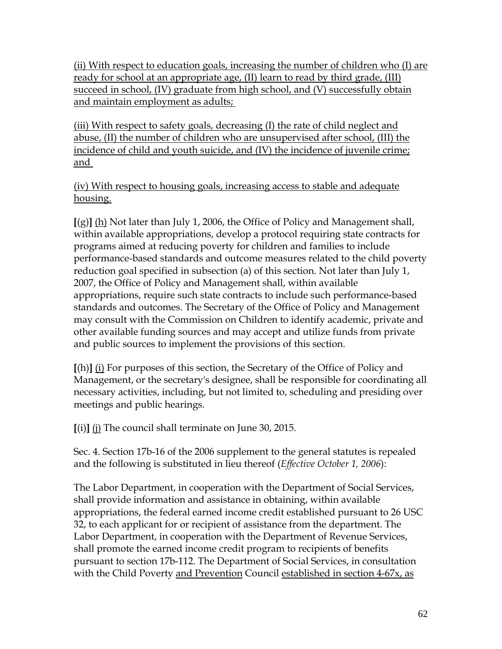(ii) With respect to education goals, increasing the number of children who (I) are ready for school at an appropriate age, (II) learn to read by third grade, (III) succeed in school, (IV) graduate from high school, and (V) successfully obtain and maintain employment as adults;

(iii) With respect to safety goals, decreasing (I) the rate of child neglect and abuse, (II) the number of children who are unsupervised after school, (III) the incidence of child and youth suicide, and (IV) the incidence of juvenile crime; and

(iv) With respect to housing goals, increasing access to stable and adequate housing.

**[**(g)**]** (h) Not later than July 1, 2006, the Office of Policy and Management shall, within available appropriations, develop a protocol requiring state contracts for programs aimed at reducing poverty for children and families to include performance-based standards and outcome measures related to the child poverty reduction goal specified in subsection (a) of this section. Not later than July 1, 2007, the Office of Policy and Management shall, within available appropriations, require such state contracts to include such performance-based standards and outcomes. The Secretary of the Office of Policy and Management may consult with the Commission on Children to identify academic, private and other available funding sources and may accept and utilize funds from private and public sources to implement the provisions of this section.

**[**(h)**]** (i) For purposes of this section, the Secretary of the Office of Policy and Management, or the secretary's designee, shall be responsible for coordinating all necessary activities, including, but not limited to, scheduling and presiding over meetings and public hearings.

**[**(i)**]** (j) The council shall terminate on June 30, 2015.

Sec. 4. Section 17b-16 of the 2006 supplement to the general statutes is repealed and the following is substituted in lieu thereof (*Effective October 1, 2006*):

The Labor Department, in cooperation with the Department of Social Services, shall provide information and assistance in obtaining, within available appropriations, the federal earned income credit established pursuant to 26 USC 32, to each applicant for or recipient of assistance from the department. The Labor Department, in cooperation with the Department of Revenue Services, shall promote the earned income credit program to recipients of benefits pursuant to section 17b-112. The Department of Social Services, in consultation with the Child Poverty and Prevention Council established in section 4-67x, as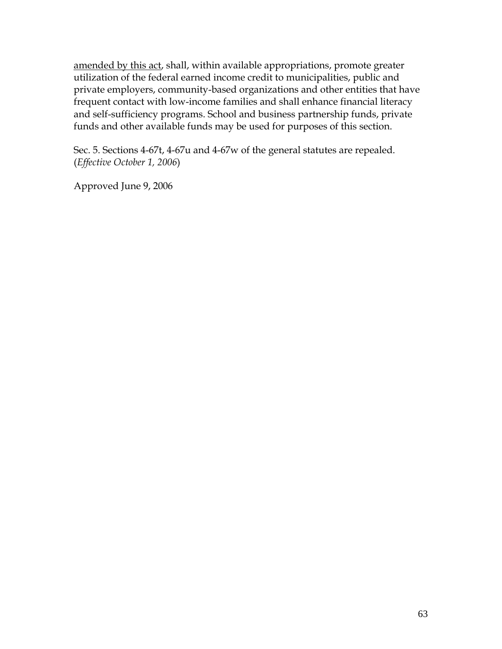amended by this act, shall, within available appropriations, promote greater utilization of the federal earned income credit to municipalities, public and private employers, community-based organizations and other entities that have frequent contact with low-income families and shall enhance financial literacy and self-sufficiency programs. School and business partnership funds, private funds and other available funds may be used for purposes of this section.

Sec. 5. Sections 4-67t, 4-67u and 4-67w of the general statutes are repealed. (*Effective October 1, 2006*)

Approved June 9, 2006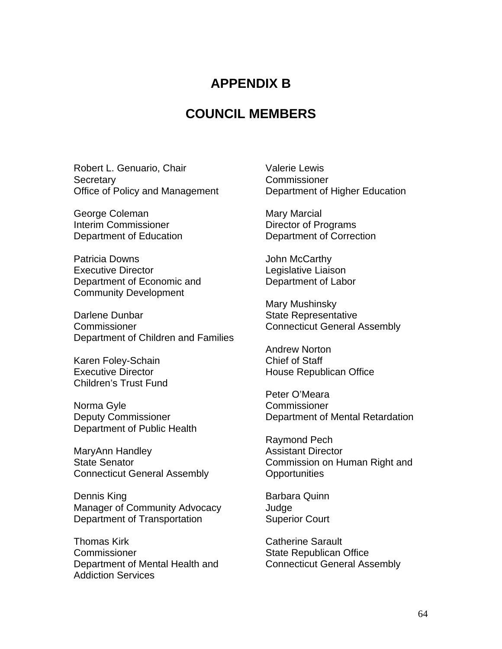## **APPENDIX B**

## **COUNCIL MEMBERS**

Robert L. Genuario, Chair **Secretary** Office of Policy and Management

George Coleman Interim Commissioner Department of Education

Patricia Downs Executive Director Department of Economic and Community Development

Darlene Dunbar Commissioner Department of Children and Families

Karen Foley-Schain Executive Director Children's Trust Fund

Norma Gyle Deputy Commissioner Department of Public Health

MaryAnn Handley State Senator Connecticut General Assembly

Dennis King Manager of Community Advocacy Department of Transportation

Thomas Kirk **Commissioner** Department of Mental Health and Addiction Services

Valerie Lewis **Commissioner** Department of Higher Education

Mary Marcial Director of Programs Department of Correction

John McCarthy Legislative Liaison Department of Labor

Mary Mushinsky State Representative Connecticut General Assembly

Andrew Norton Chief of Staff House Republican Office

Peter O'Meara **Commissioner** Department of Mental Retardation

Raymond Pech Assistant Director Commission on Human Right and **Opportunities** 

Barbara Quinn Judge Superior Court

Catherine Sarault State Republican Office Connecticut General Assembly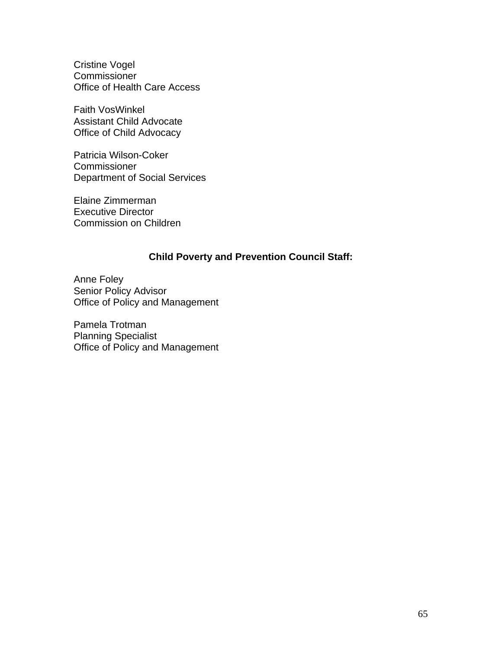Cristine Vogel **Commissioner** Office of Health Care Access

Faith VosWinkel Assistant Child Advocate Office of Child Advocacy

Patricia Wilson-Coker **Commissioner** Department of Social Services

Elaine Zimmerman Executive Director Commission on Children

#### **Child Poverty and Prevention Council Staff:**

Anne Foley Senior Policy Advisor Office of Policy and Management

Pamela Trotman Planning Specialist Office of Policy and Management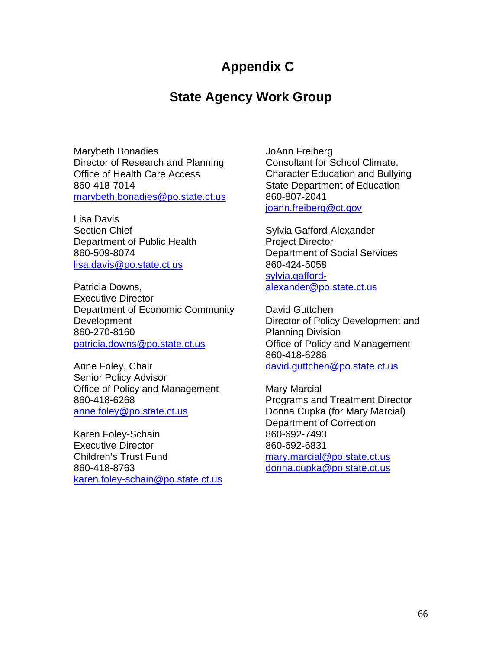## **Appendix C**

## **State Agency Work Group**

Marybeth Bonadies Director of Research and Planning Office of Health Care Access 860-418-7014 [marybeth.bonadies@po.state.ct.us](mailto:marybeth.bonadies@po.state.ct.us)

Lisa Davis Section Chief Department of Public Health 860-509-8074 [lisa.davis@po.state.ct.us](mailto:lisa.davis@po.state.ct.us)

Patricia Downs, Executive Director Department of Economic Community **Development** 860-270-8160 [patricia.downs@po.state.ct.us](mailto:patricia.downs@po.state.ct.us)

Anne Foley, Chair Senior Policy Advisor Office of Policy and Management 860-418-6268 [anne.foley@po.state.ct.us](mailto:anne.foley@po.state.ct.us)

Karen Foley-Schain Executive Director Children's Trust Fund 860-418-8763 [karen.foley-schain@po.state.ct.us](mailto:karen.foley-schain@po.state.ct.us) JoAnn Freiberg Consultant for School Climate, Character Education and Bullying State Department of Education 860-807-2041 [joann.freiberg@ct.gov](mailto:joann.freiberg@ct.gov)

Sylvia Gafford-Alexander Project Director Department of Social Services 860-424-5058 [sylvia.gafford](mailto:sylvia.gafford-alexander@po.state.ct.us)[alexander@po.state.ct.us](mailto:sylvia.gafford-alexander@po.state.ct.us)

David Guttchen Director of Policy Development and Planning Division Office of Policy and Management 860-418-6286 [david.guttchen@po.state.ct.us](mailto:david.guttchen@po.state.ct.us)

Mary Marcial Programs and Treatment Director Donna Cupka (for Mary Marcial) Department of Correction 860-692-7493 860-692-6831 [mary.marcial@po.state.ct.us](mailto:mary.marcial@po.state.ct.us) [donna.cupka@po.state.ct.us](mailto:donna.cupka@po.state.ct.us)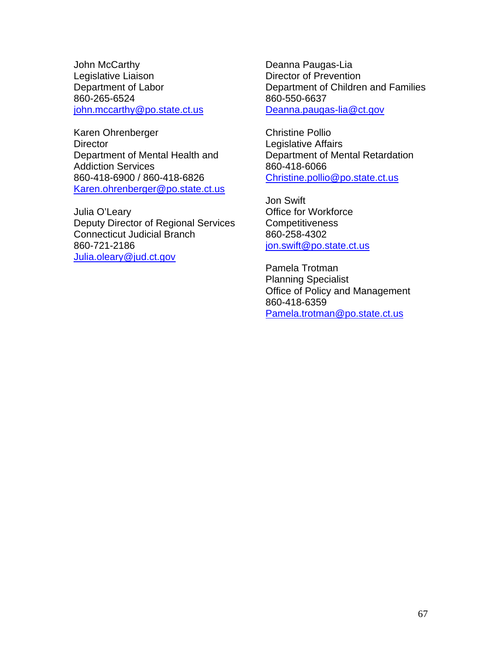John McCarthy Legislative Liaison Department of Labor 860-265-6524 [john.mccarthy@po.state.ct.us](mailto:john.mccarthy@po.state.ct.us)

Karen Ohrenberger **Director** Department of Mental Health and Addiction Services 860-418-6900 / 860-418-6826 [Karen.ohrenberger@po.state.ct.us](mailto:Karen.ohrenberger@po.state.ct.us)

Julia O'Leary Deputy Director of Regional Services Connecticut Judicial Branch 860-721-2186 [Julia.oleary@jud.ct.gov](mailto:Julia.oleary@jud.ct.gov)

Deanna Paugas-Lia Director of Prevention Department of Children and Families 860-550-6637 [Deanna.paugas-lia@ct.gov](mailto:Deanna.paugas-lia@ct.gov)

Christine Pollio Legislative Affairs Department of Mental Retardation 860-418-6066 [Christine.pollio@po.state.ct.us](mailto:Christine.pollio@po.state.ct.us)

Jon Swift Office for Workforce **Competitiveness** 860-258-4302 [jon.swift@po.state.ct.us](mailto:jon.swift@po.state.ct.us)

Pamela Trotman Planning Specialist Office of Policy and Management 860-418-6359 [Pamela.trotman@po.state.ct.us](mailto:Pamela.trotman@po.state.ct.us)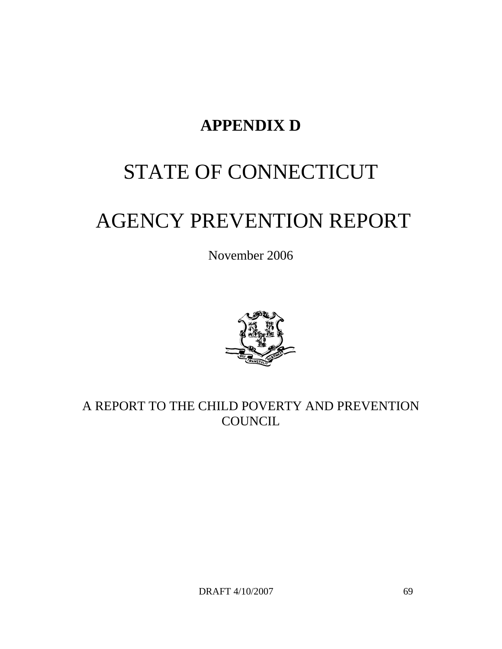## **APPENDIX D**

# STATE OF CONNECTICUT

# AGENCY PREVENTION REPORT

November 2006



A REPORT TO THE CHILD POVERTY AND PREVENTION **COUNCIL** 

DRAFT 4/10/2007 69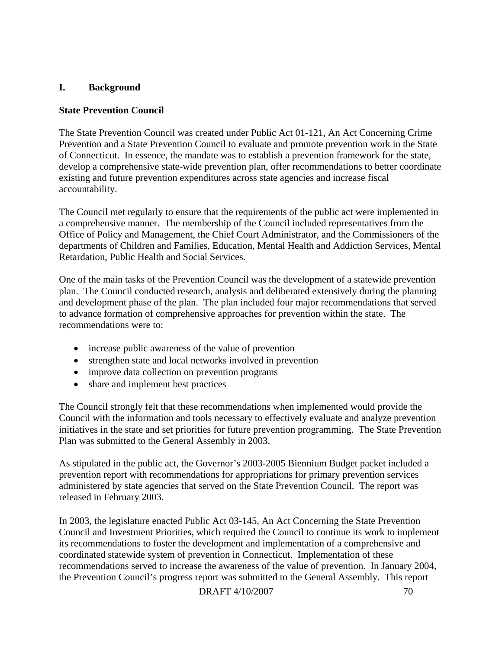#### **I. Background**

#### **State Prevention Council**

The State Prevention Council was created under Public Act 01-121, An Act Concerning Crime Prevention and a State Prevention Council to evaluate and promote prevention work in the State of Connecticut. In essence, the mandate was to establish a prevention framework for the state, develop a comprehensive state-wide prevention plan, offer recommendations to better coordinate existing and future prevention expenditures across state agencies and increase fiscal accountability.

The Council met regularly to ensure that the requirements of the public act were implemented in a comprehensive manner. The membership of the Council included representatives from the Office of Policy and Management, the Chief Court Administrator, and the Commissioners of the departments of Children and Families, Education, Mental Health and Addiction Services, Mental Retardation, Public Health and Social Services.

One of the main tasks of the Prevention Council was the development of a statewide prevention plan. The Council conducted research, analysis and deliberated extensively during the planning and development phase of the plan. The plan included four major recommendations that served to advance formation of comprehensive approaches for prevention within the state. The recommendations were to:

- increase public awareness of the value of prevention
- strengthen state and local networks involved in prevention
- improve data collection on prevention programs
- share and implement best practices

The Council strongly felt that these recommendations when implemented would provide the Council with the information and tools necessary to effectively evaluate and analyze prevention initiatives in the state and set priorities for future prevention programming. The State Prevention Plan was submitted to the General Assembly in 2003.

As stipulated in the public act, the Governor's 2003-2005 Biennium Budget packet included a prevention report with recommendations for appropriations for primary prevention services administered by state agencies that served on the State Prevention Council. The report was released in February 2003.

In 2003, the legislature enacted Public Act 03-145, An Act Concerning the State Prevention Council and Investment Priorities, which required the Council to continue its work to implement its recommendations to foster the development and implementation of a comprehensive and coordinated statewide system of prevention in Connecticut. Implementation of these recommendations served to increase the awareness of the value of prevention. In January 2004, the Prevention Council's progress report was submitted to the General Assembly. This report

DRAFT 4/10/2007 70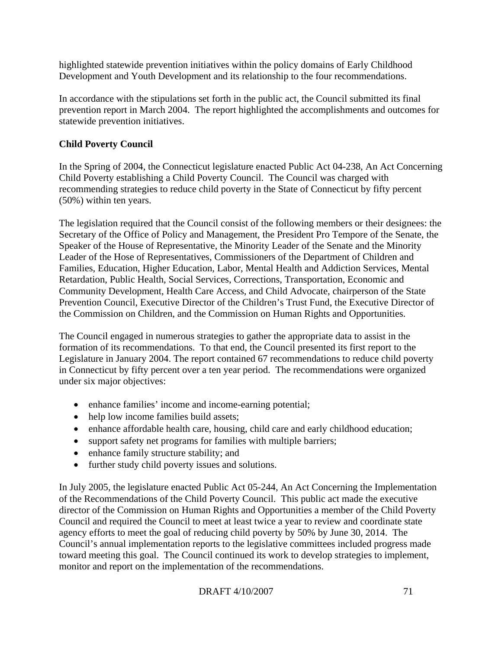highlighted statewide prevention initiatives within the policy domains of Early Childhood Development and Youth Development and its relationship to the four recommendations.

In accordance with the stipulations set forth in the public act, the Council submitted its final prevention report in March 2004. The report highlighted the accomplishments and outcomes for statewide prevention initiatives.

#### **Child Poverty Council**

In the Spring of 2004, the Connecticut legislature enacted Public Act 04-238, An Act Concerning Child Poverty establishing a Child Poverty Council. The Council was charged with recommending strategies to reduce child poverty in the State of Connecticut by fifty percent (50%) within ten years.

The legislation required that the Council consist of the following members or their designees: the Secretary of the Office of Policy and Management, the President Pro Tempore of the Senate, the Speaker of the House of Representative, the Minority Leader of the Senate and the Minority Leader of the Hose of Representatives, Commissioners of the Department of Children and Families, Education, Higher Education, Labor, Mental Health and Addiction Services, Mental Retardation, Public Health, Social Services, Corrections, Transportation, Economic and Community Development, Health Care Access, and Child Advocate, chairperson of the State Prevention Council, Executive Director of the Children's Trust Fund, the Executive Director of the Commission on Children, and the Commission on Human Rights and Opportunities.

The Council engaged in numerous strategies to gather the appropriate data to assist in the formation of its recommendations. To that end, the Council presented its first report to the Legislature in January 2004. The report contained 67 recommendations to reduce child poverty in Connecticut by fifty percent over a ten year period. The recommendations were organized under six major objectives:

- enhance families' income and income-earning potential;
- help low income families build assets;
- enhance affordable health care, housing, child care and early childhood education;
- support safety net programs for families with multiple barriers;
- enhance family structure stability; and
- further study child poverty issues and solutions.

In July 2005, the legislature enacted Public Act 05-244, An Act Concerning the Implementation of the Recommendations of the Child Poverty Council. This public act made the executive director of the Commission on Human Rights and Opportunities a member of the Child Poverty Council and required the Council to meet at least twice a year to review and coordinate state agency efforts to meet the goal of reducing child poverty by 50% by June 30, 2014. The Council's annual implementation reports to the legislative committees included progress made toward meeting this goal. The Council continued its work to develop strategies to implement, monitor and report on the implementation of the recommendations.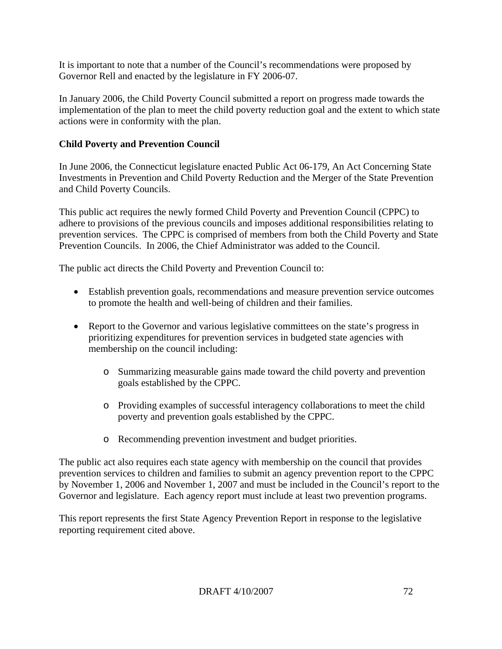It is important to note that a number of the Council's recommendations were proposed by Governor Rell and enacted by the legislature in FY 2006-07.

In January 2006, the Child Poverty Council submitted a report on progress made towards the implementation of the plan to meet the child poverty reduction goal and the extent to which state actions were in conformity with the plan.

# **Child Poverty and Prevention Council**

In June 2006, the Connecticut legislature enacted Public Act 06-179, An Act Concerning State Investments in Prevention and Child Poverty Reduction and the Merger of the State Prevention and Child Poverty Councils.

This public act requires the newly formed Child Poverty and Prevention Council (CPPC) to adhere to provisions of the previous councils and imposes additional responsibilities relating to prevention services. The CPPC is comprised of members from both the Child Poverty and State Prevention Councils. In 2006, the Chief Administrator was added to the Council.

The public act directs the Child Poverty and Prevention Council to:

- Establish prevention goals, recommendations and measure prevention service outcomes to promote the health and well-being of children and their families.
- Report to the Governor and various legislative committees on the state's progress in prioritizing expenditures for prevention services in budgeted state agencies with membership on the council including:
	- o Summarizing measurable gains made toward the child poverty and prevention goals established by the CPPC.
	- o Providing examples of successful interagency collaborations to meet the child poverty and prevention goals established by the CPPC.
	- o Recommending prevention investment and budget priorities.

The public act also requires each state agency with membership on the council that provides prevention services to children and families to submit an agency prevention report to the CPPC by November 1, 2006 and November 1, 2007 and must be included in the Council's report to the Governor and legislature. Each agency report must include at least two prevention programs.

This report represents the first State Agency Prevention Report in response to the legislative reporting requirement cited above.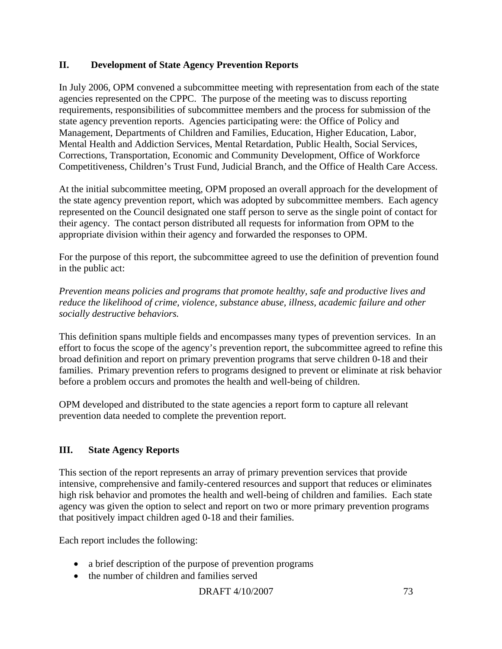# **II. Development of State Agency Prevention Reports**

In July 2006, OPM convened a subcommittee meeting with representation from each of the state agencies represented on the CPPC. The purpose of the meeting was to discuss reporting requirements, responsibilities of subcommittee members and the process for submission of the state agency prevention reports. Agencies participating were: the Office of Policy and Management, Departments of Children and Families, Education, Higher Education, Labor, Mental Health and Addiction Services, Mental Retardation, Public Health, Social Services, Corrections, Transportation, Economic and Community Development, Office of Workforce Competitiveness, Children's Trust Fund, Judicial Branch, and the Office of Health Care Access.

At the initial subcommittee meeting, OPM proposed an overall approach for the development of the state agency prevention report, which was adopted by subcommittee members. Each agency represented on the Council designated one staff person to serve as the single point of contact for their agency. The contact person distributed all requests for information from OPM to the appropriate division within their agency and forwarded the responses to OPM.

For the purpose of this report, the subcommittee agreed to use the definition of prevention found in the public act:

*Prevention means policies and programs that promote healthy, safe and productive lives and reduce the likelihood of crime, violence, substance abuse, illness, academic failure and other socially destructive behaviors.* 

This definition spans multiple fields and encompasses many types of prevention services. In an effort to focus the scope of the agency's prevention report, the subcommittee agreed to refine this broad definition and report on primary prevention programs that serve children 0-18 and their families. Primary prevention refers to programs designed to prevent or eliminate at risk behavior before a problem occurs and promotes the health and well-being of children.

OPM developed and distributed to the state agencies a report form to capture all relevant prevention data needed to complete the prevention report.

# **III. State Agency Reports**

This section of the report represents an array of primary prevention services that provide intensive, comprehensive and family-centered resources and support that reduces or eliminates high risk behavior and promotes the health and well-being of children and families. Each state agency was given the option to select and report on two or more primary prevention programs that positively impact children aged 0-18 and their families.

Each report includes the following:

- a brief description of the purpose of prevention programs
- the number of children and families served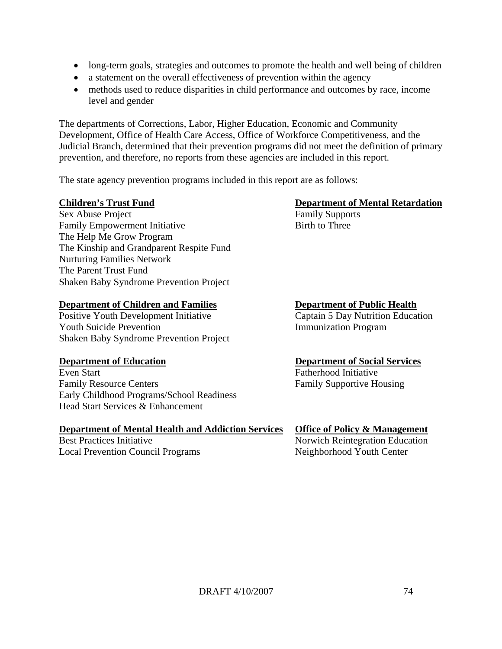- long-term goals, strategies and outcomes to promote the health and well being of children
- a statement on the overall effectiveness of prevention within the agency
- methods used to reduce disparities in child performance and outcomes by race, income level and gender

The departments of Corrections, Labor, Higher Education, Economic and Community Development, Office of Health Care Access, Office of Workforce Competitiveness, and the Judicial Branch, determined that their prevention programs did not meet the definition of primary prevention, and therefore, no reports from these agencies are included in this report.

The state agency prevention programs included in this report are as follows:

# **Children's Trust Fund Department of Mental Retardation**

Sex Abuse Project Family Supports Family Empowerment Initiative Birth to Three The Help Me Grow Program The Kinship and Grandparent Respite Fund Nurturing Families Network The Parent Trust Fund Shaken Baby Syndrome Prevention Project

## **Department of Children and Families Department of Public Health**

Positive Youth Development Initiative Captain 5 Day Nutrition Education Youth Suicide Prevention **Immunization** Program Shaken Baby Syndrome Prevention Project

Even Start Fatherhood Initiative Family Resource Centers Family Supportive Housing Early Childhood Programs/School Readiness Head Start Services & Enhancement

## **Department of Mental Health and Addiction Services Office of Policy & Management**

Local Prevention Council Programs Neighborhood Youth Center

# **Department of Education Department of Social Services**

Best Practices Initiative Norwich Reintegration Education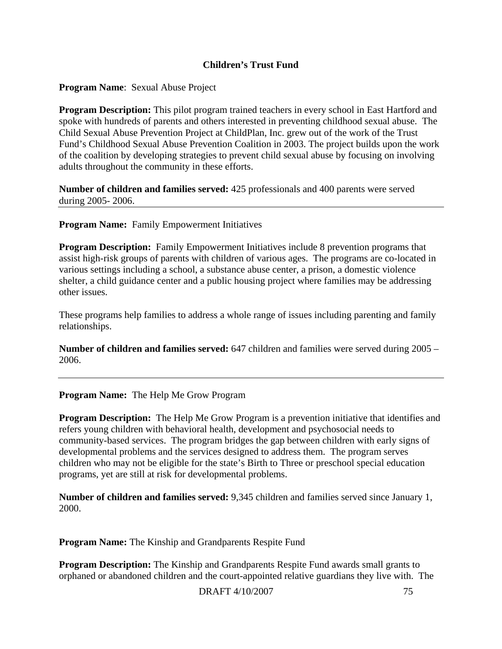# **Children's Trust Fund**

**Program Name**: Sexual Abuse Project

**Program Description:** This pilot program trained teachers in every school in East Hartford and spoke with hundreds of parents and others interested in preventing childhood sexual abuse. The Child Sexual Abuse Prevention Project at ChildPlan, Inc. grew out of the work of the Trust Fund's Childhood Sexual Abuse Prevention Coalition in 2003. The project builds upon the work of the coalition by developing strategies to prevent child sexual abuse by focusing on involving adults throughout the community in these efforts.

**Number of children and families served:** 425 professionals and 400 parents were served during 2005- 2006.

**Program Name:** Family Empowerment Initiatives

**Program Description:** Family Empowerment Initiatives include 8 prevention programs that assist high-risk groups of parents with children of various ages. The programs are co-located in various settings including a school, a substance abuse center, a prison, a domestic violence shelter, a child guidance center and a public housing project where families may be addressing other issues.

These programs help families to address a whole range of issues including parenting and family relationships.

**Number of children and families served:** 647 children and families were served during 2005 – 2006.

**Program Name:** The Help Me Grow Program

**Program Description:** The Help Me Grow Program is a prevention initiative that identifies and refers young children with behavioral health, development and psychosocial needs to community-based services. The program bridges the gap between children with early signs of developmental problems and the services designed to address them. The program serves children who may not be eligible for the state's Birth to Three or preschool special education programs, yet are still at risk for developmental problems.

**Number of children and families served:** 9,345 children and families served since January 1, 2000.

**Program Name:** The Kinship and Grandparents Respite Fund

**Program Description:** The Kinship and Grandparents Respite Fund awards small grants to orphaned or abandoned children and the court-appointed relative guardians they live with. The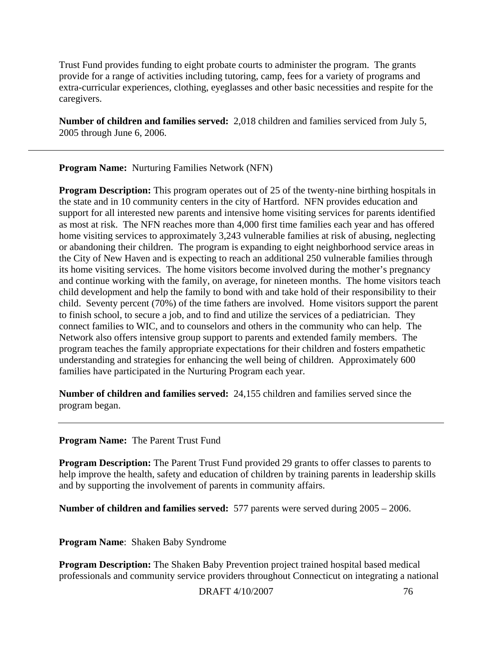Trust Fund provides funding to eight probate courts to administer the program. The grants provide for a range of activities including tutoring, camp, fees for a variety of programs and extra-curricular experiences, clothing, eyeglasses and other basic necessities and respite for the caregivers.

**Number of children and families served:** 2,018 children and families serviced from July 5, 2005 through June 6, 2006.

**Program Name:** Nurturing Families Network (NFN)

**Program Description:** This program operates out of 25 of the twenty-nine birthing hospitals in the state and in 10 community centers in the city of Hartford. NFN provides education and support for all interested new parents and intensive home visiting services for parents identified as most at risk. The NFN reaches more than 4,000 first time families each year and has offered home visiting services to approximately 3,243 vulnerable families at risk of abusing, neglecting or abandoning their children. The program is expanding to eight neighborhood service areas in the City of New Haven and is expecting to reach an additional 250 vulnerable families through its home visiting services. The home visitors become involved during the mother's pregnancy and continue working with the family, on average, for nineteen months. The home visitors teach child development and help the family to bond with and take hold of their responsibility to their child. Seventy percent (70%) of the time fathers are involved. Home visitors support the parent to finish school, to secure a job, and to find and utilize the services of a pediatrician. They connect families to WIC, and to counselors and others in the community who can help. The Network also offers intensive group support to parents and extended family members. The program teaches the family appropriate expectations for their children and fosters empathetic understanding and strategies for enhancing the well being of children. Approximately 600 families have participated in the Nurturing Program each year.

**Number of children and families served:** 24,155 children and families served since the program began.

**Program Name:** The Parent Trust Fund

**Program Description:** The Parent Trust Fund provided 29 grants to offer classes to parents to help improve the health, safety and education of children by training parents in leadership skills and by supporting the involvement of parents in community affairs.

**Number of children and families served:** 577 parents were served during 2005 – 2006.

**Program Name**: Shaken Baby Syndrome

**Program Description:** The Shaken Baby Prevention project trained hospital based medical professionals and community service providers throughout Connecticut on integrating a national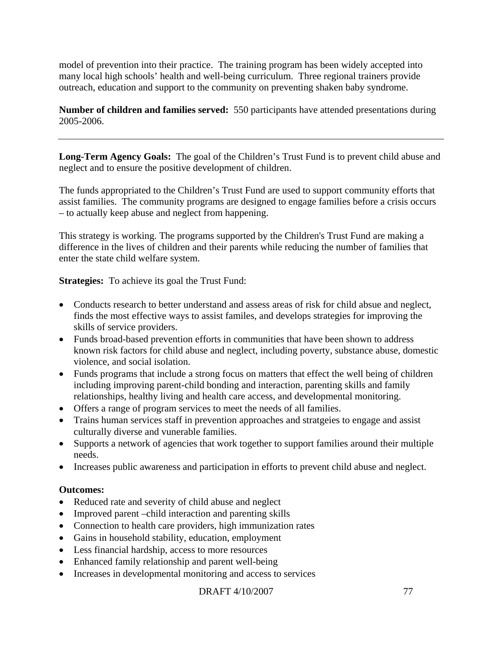model of prevention into their practice. The training program has been widely accepted into many local high schools' health and well-being curriculum. Three regional trainers provide outreach, education and support to the community on preventing shaken baby syndrome.

**Number of children and families served:** 550 participants have attended presentations during 2005-2006.

**Long-Term Agency Goals:** The goal of the Children's Trust Fund is to prevent child abuse and neglect and to ensure the positive development of children.

The funds appropriated to the Children's Trust Fund are used to support community efforts that assist families. The community programs are designed to engage families before a crisis occurs – to actually keep abuse and neglect from happening.

This strategy is working. The programs supported by the Children's Trust Fund are making a difference in the lives of children and their parents while reducing the number of families that enter the state child welfare system.

**Strategies:** To achieve its goal the Trust Fund:

- Conducts research to better understand and assess areas of risk for child absue and neglect, finds the most effective ways to assist familes, and develops strategies for improving the skills of service providers.
- Funds broad-based prevention efforts in communities that have been shown to address known risk factors for child abuse and neglect, including poverty, substance abuse, domestic violence, and social isolation.
- Funds programs that include a strong focus on matters that effect the well being of children including improving parent-child bonding and interaction, parenting skills and family relationships, healthy living and health care access, and developmental monitoring.
- Offers a range of program services to meet the needs of all families.
- Trains human services staff in prevention approaches and stratgeies to engage and assist culturally diverse and vunerable families.
- Supports a network of agencies that work together to support families around their multiple needs.
- Increases public awareness and participation in efforts to prevent child abuse and neglect.

## **Outcomes:**

- Reduced rate and severity of child abuse and neglect
- Improved parent –child interaction and parenting skills
- Connection to health care providers, high immunization rates
- Gains in household stability, education, employment
- Less financial hardship, access to more resources
- Enhanced family relationship and parent well-being
- Increases in developmental monitoring and access to services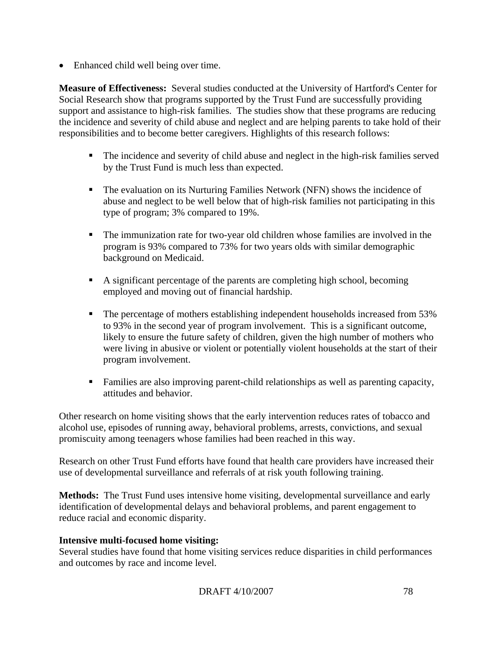• Enhanced child well being over time.

**Measure of Effectiveness:** Several studies conducted at the University of Hartford's Center for Social Research show that programs supported by the Trust Fund are successfully providing support and assistance to high-risk families. The studies show that these programs are reducing the incidence and severity of child abuse and neglect and are helping parents to take hold of their responsibilities and to become better caregivers. Highlights of this research follows:

- The incidence and severity of child abuse and neglect in the high-risk families served by the Trust Fund is much less than expected.
- The evaluation on its Nurturing Families Network (NFN) shows the incidence of abuse and neglect to be well below that of high-risk families not participating in this type of program; 3% compared to 19%.
- The immunization rate for two-year old children whose families are involved in the program is 93% compared to 73% for two years olds with similar demographic background on Medicaid.
- A significant percentage of the parents are completing high school, becoming employed and moving out of financial hardship.
- The percentage of mothers establishing independent households increased from 53% to 93% in the second year of program involvement. This is a significant outcome, likely to ensure the future safety of children, given the high number of mothers who were living in abusive or violent or potentially violent households at the start of their program involvement.
- Families are also improving parent-child relationships as well as parenting capacity, attitudes and behavior.

Other research on home visiting shows that the early intervention reduces rates of tobacco and alcohol use, episodes of running away, behavioral problems, arrests, convictions, and sexual promiscuity among teenagers whose families had been reached in this way.

Research on other Trust Fund efforts have found that health care providers have increased their use of developmental surveillance and referrals of at risk youth following training.

**Methods:** The Trust Fund uses intensive home visiting, developmental surveillance and early identification of developmental delays and behavioral problems, and parent engagement to reduce racial and economic disparity.

## **Intensive multi-focused home visiting:**

Several studies have found that home visiting services reduce disparities in child performances and outcomes by race and income level.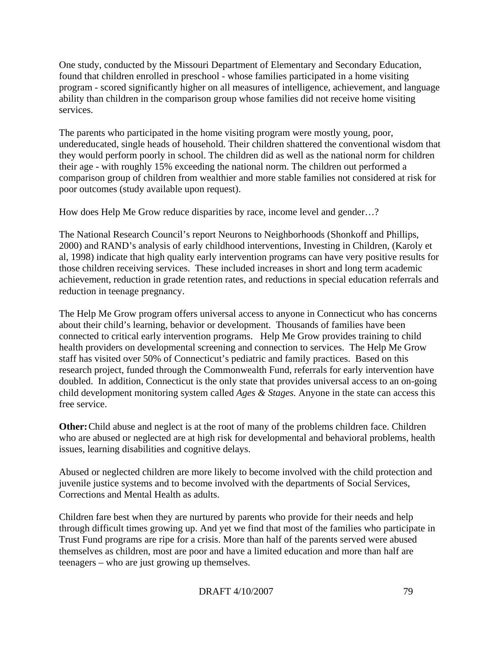One study, conducted by the Missouri Department of Elementary and Secondary Education, found that children enrolled in preschool - whose families participated in a home visiting program - scored significantly higher on all measures of intelligence, achievement, and language ability than children in the comparison group whose families did not receive home visiting services.

The parents who participated in the home visiting program were mostly young, poor, undereducated, single heads of household. Their children shattered the conventional wisdom that they would perform poorly in school. The children did as well as the national norm for children their age - with roughly 15% exceeding the national norm. The children out performed a comparison group of children from wealthier and more stable families not considered at risk for poor outcomes (study available upon request).

How does Help Me Grow reduce disparities by race, income level and gender…?

The National Research Council's report Neurons to Neighborhoods (Shonkoff and Phillips, 2000) and RAND's analysis of early childhood interventions, Investing in Children, (Karoly et al, 1998) indicate that high quality early intervention programs can have very positive results for those children receiving services. These included increases in short and long term academic achievement, reduction in grade retention rates, and reductions in special education referrals and reduction in teenage pregnancy.

The Help Me Grow program offers universal access to anyone in Connecticut who has concerns about their child's learning, behavior or development. Thousands of families have been connected to critical early intervention programs. Help Me Grow provides training to child health providers on developmental screening and connection to services. The Help Me Grow staff has visited over 50% of Connecticut's pediatric and family practices. Based on this research project, funded through the Commonwealth Fund, referrals for early intervention have doubled. In addition, Connecticut is the only state that provides universal access to an on-going child development monitoring system called *Ages & Stages.* Anyone in the state can access this free service.

**Other:** Child abuse and neglect is at the root of many of the problems children face. Children who are abused or neglected are at high risk for developmental and behavioral problems, health issues, learning disabilities and cognitive delays.

Abused or neglected children are more likely to become involved with the child protection and juvenile justice systems and to become involved with the departments of Social Services, Corrections and Mental Health as adults.

Children fare best when they are nurtured by parents who provide for their needs and help through difficult times growing up. And yet we find that most of the families who participate in Trust Fund programs are ripe for a crisis. More than half of the parents served were abused themselves as children, most are poor and have a limited education and more than half are teenagers – who are just growing up themselves.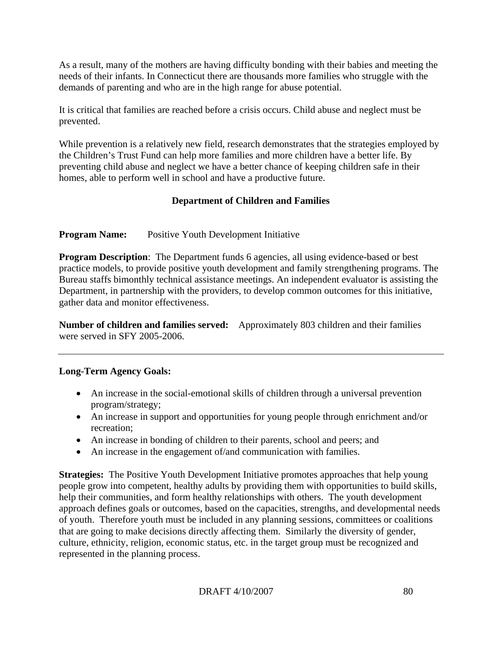As a result, many of the mothers are having difficulty bonding with their babies and meeting the needs of their infants. In Connecticut there are thousands more families who struggle with the demands of parenting and who are in the high range for abuse potential.

It is critical that families are reached before a crisis occurs. Child abuse and neglect must be prevented.

While prevention is a relatively new field, research demonstrates that the strategies employed by the Children's Trust Fund can help more families and more children have a better life. By preventing child abuse and neglect we have a better chance of keeping children safe in their homes, able to perform well in school and have a productive future.

# **Department of Children and Families**

**Program Name:** Positive Youth Development Initiative

**Program Description**: The Department funds 6 agencies, all using evidence-based or best practice models, to provide positive youth development and family strengthening programs. The Bureau staffs bimonthly technical assistance meetings. An independent evaluator is assisting the Department, in partnership with the providers, to develop common outcomes for this initiative, gather data and monitor effectiveness.

**Number of children and families served:** Approximately 803 children and their families were served in SFY 2005-2006.

# **Long-Term Agency Goals:**

- An increase in the social-emotional skills of children through a universal prevention program/strategy;
- An increase in support and opportunities for young people through enrichment and/or recreation;
- An increase in bonding of children to their parents, school and peers; and
- An increase in the engagement of/and communication with families.

**Strategies:** The Positive Youth Development Initiative promotes approaches that help young people grow into competent, healthy adults by providing them with opportunities to build skills, help their communities, and form healthy relationships with others. The youth development approach defines goals or outcomes, based on the capacities, strengths, and developmental needs of youth. Therefore youth must be included in any planning sessions, committees or coalitions that are going to make decisions directly affecting them. Similarly the diversity of gender, culture, ethnicity, religion, economic status, etc. in the target group must be recognized and represented in the planning process.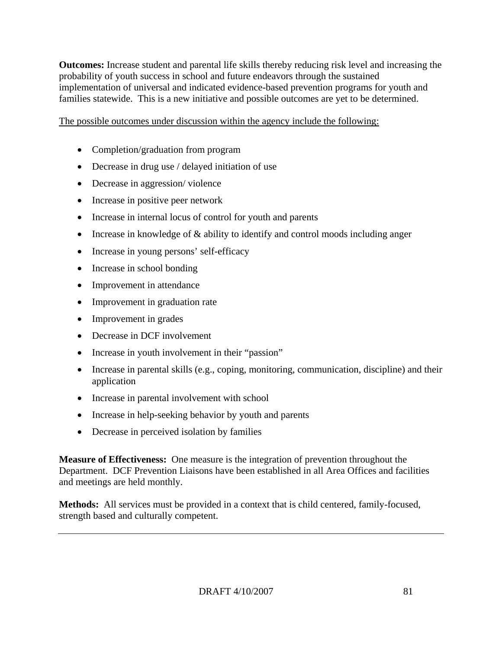**Outcomes:** Increase student and parental life skills thereby reducing risk level and increasing the probability of youth success in school and future endeavors through the sustained implementation of universal and indicated evidence-based prevention programs for youth and families statewide. This is a new initiative and possible outcomes are yet to be determined.

The possible outcomes under discussion within the agency include the following:

- Completion/graduation from program
- Decrease in drug use / delayed initiation of use
- Decrease in aggression/violence
- Increase in positive peer network
- Increase in internal locus of control for youth and parents
- Increase in knowledge of  $\&$  ability to identify and control moods including anger
- Increase in young persons' self-efficacy
- Increase in school bonding
- Improvement in attendance
- Improvement in graduation rate
- Improvement in grades
- Decrease in DCF involvement
- Increase in youth involvement in their "passion"
- Increase in parental skills (e.g., coping, monitoring, communication, discipline) and their application
- Increase in parental involvement with school
- Increase in help-seeking behavior by youth and parents
- Decrease in perceived isolation by families

**Measure of Effectiveness:** One measure is the integration of prevention throughout the Department. DCF Prevention Liaisons have been established in all Area Offices and facilities and meetings are held monthly.

**Methods:** All services must be provided in a context that is child centered, family-focused, strength based and culturally competent.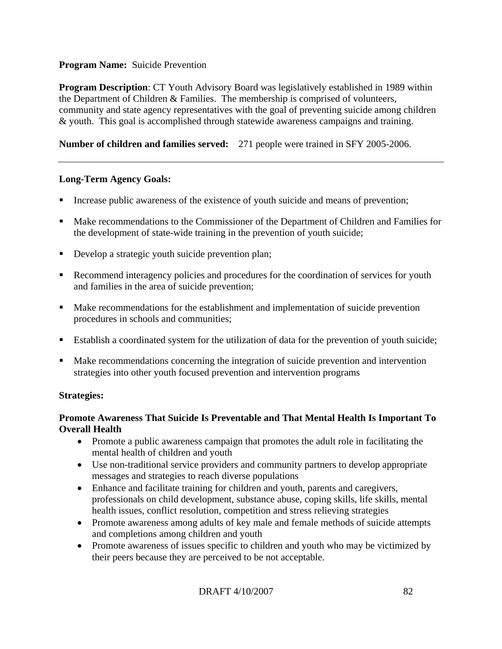# **Program Name:** Suicide Prevention

**Program Description**: CT Youth Advisory Board was legislatively established in 1989 within the Department of Children & Families. The membership is comprised of volunteers, community and state agency representatives with the goal of preventing suicide among children & youth. This goal is accomplished through statewide awareness campaigns and training.

# **Number of children and families served:** 271 people were trained in SFY 2005-2006.

## **Long-Term Agency Goals:**

- Increase public awareness of the existence of youth suicide and means of prevention;
- Make recommendations to the Commissioner of the Department of Children and Families for the development of state-wide training in the prevention of youth suicide;
- Develop a strategic youth suicide prevention plan;
- Recommend interagency policies and procedures for the coordination of services for youth and families in the area of suicide prevention;
- Make recommendations for the establishment and implementation of suicide prevention procedures in schools and communities;
- Establish a coordinated system for the utilization of data for the prevention of youth suicide;
- Make recommendations concerning the integration of suicide prevention and intervention strategies into other youth focused prevention and intervention programs

## **Strategies:**

## **Promote Awareness That Suicide Is Preventable and That Mental Health Is Important To Overall Health**

- Promote a public awareness campaign that promotes the adult role in facilitating the mental health of children and youth
- Use non-traditional service providers and community partners to develop appropriate messages and strategies to reach diverse populations
- Enhance and facilitate training for children and youth, parents and caregivers, professionals on child development, substance abuse, coping skills, life skills, mental health issues, conflict resolution, competition and stress relieving strategies
- Promote awareness among adults of key male and female methods of suicide attempts and completions among children and youth
- Promote awareness of issues specific to children and youth who may be victimized by their peers because they are perceived to be not acceptable.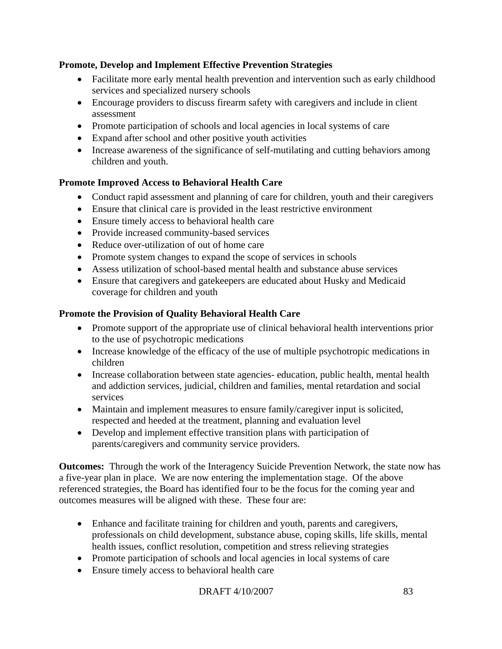# **Promote, Develop and Implement Effective Prevention Strategies**

- Facilitate more early mental health prevention and intervention such as early childhood services and specialized nursery schools
- Encourage providers to discuss firearm safety with caregivers and include in client assessment
- Promote participation of schools and local agencies in local systems of care
- Expand after school and other positive youth activities
- Increase awareness of the significance of self-mutilating and cutting behaviors among children and youth.

# **Promote Improved Access to Behavioral Health Care**

- Conduct rapid assessment and planning of care for children, youth and their caregivers
- Ensure that clinical care is provided in the least restrictive environment
- Ensure timely access to behavioral health care
- Provide increased community-based services
- Reduce over-utilization of out of home care
- Promote system changes to expand the scope of services in schools
- Assess utilization of school-based mental health and substance abuse services
- Ensure that caregivers and gatekeepers are educated about Husky and Medicaid coverage for children and youth

# **Promote the Provision of Quality Behavioral Health Care**

- Promote support of the appropriate use of clinical behavioral health interventions prior to the use of psychotropic medications
- Increase knowledge of the efficacy of the use of multiple psychotropic medications in children
- Increase collaboration between state agencies- education, public health, mental health and addiction services, judicial, children and families, mental retardation and social services
- Maintain and implement measures to ensure family/caregiver input is solicited, respected and heeded at the treatment, planning and evaluation level
- Develop and implement effective transition plans with participation of parents/caregivers and community service providers.

**Outcomes:** Through the work of the Interagency Suicide Prevention Network, the state now has a five-year plan in place. We are now entering the implementation stage. Of the above referenced strategies, the Board has identified four to be the focus for the coming year and outcomes measures will be aligned with these. These four are:

- Enhance and facilitate training for children and youth, parents and caregivers, professionals on child development, substance abuse, coping skills, life skills, mental health issues, conflict resolution, competition and stress relieving strategies
- Promote participation of schools and local agencies in local systems of care
- Ensure timely access to behavioral health care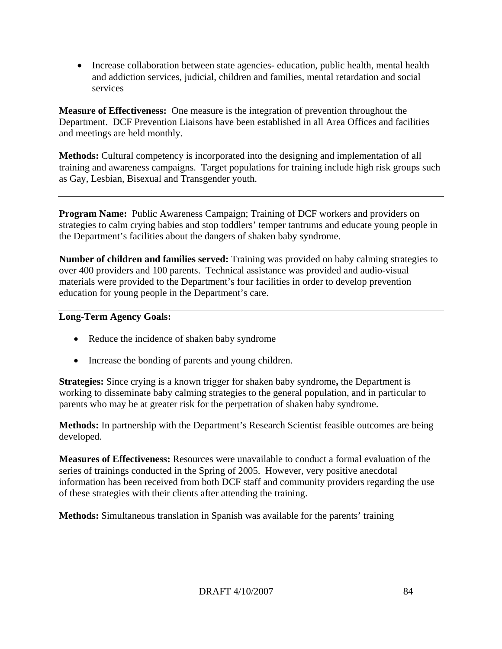• Increase collaboration between state agencies-education, public health, mental health and addiction services, judicial, children and families, mental retardation and social services

**Measure of Effectiveness:** One measure is the integration of prevention throughout the Department. DCF Prevention Liaisons have been established in all Area Offices and facilities and meetings are held monthly.

**Methods:** Cultural competency is incorporated into the designing and implementation of all training and awareness campaigns. Target populations for training include high risk groups such as Gay, Lesbian, Bisexual and Transgender youth.

**Program Name:** Public Awareness Campaign; Training of DCF workers and providers on strategies to calm crying babies and stop toddlers' temper tantrums and educate young people in the Department's facilities about the dangers of shaken baby syndrome.

**Number of children and families served:** Training was provided on baby calming strategies to over 400 providers and 100 parents. Technical assistance was provided and audio-visual materials were provided to the Department's four facilities in order to develop prevention education for young people in the Department's care.

## **Long-Term Agency Goals:**

- Reduce the incidence of shaken baby syndrome
- Increase the bonding of parents and young children.

**Strategies:** Since crying is a known trigger for shaken baby syndrome**,** the Department is working to disseminate baby calming strategies to the general population, and in particular to parents who may be at greater risk for the perpetration of shaken baby syndrome.

**Methods:** In partnership with the Department's Research Scientist feasible outcomes are being developed.

**Measures of Effectiveness:** Resources were unavailable to conduct a formal evaluation of the series of trainings conducted in the Spring of 2005. However, very positive anecdotal information has been received from both DCF staff and community providers regarding the use of these strategies with their clients after attending the training.

**Methods:** Simultaneous translation in Spanish was available for the parents' training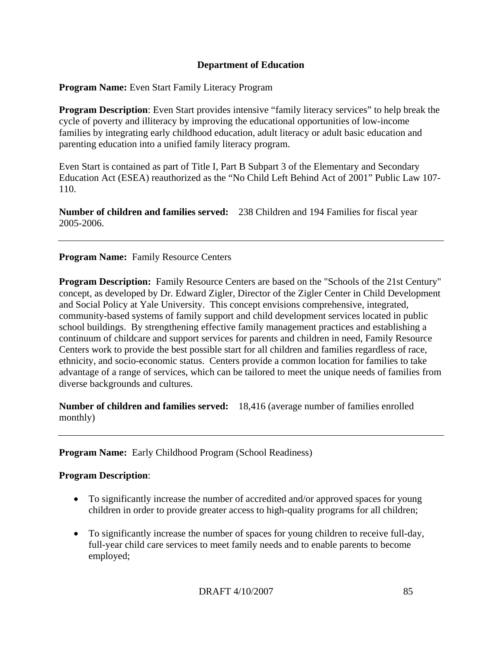## **Department of Education**

**Program Name:** Even Start Family Literacy Program

**Program Description**: Even Start provides intensive "family literacy services" to help break the cycle of poverty and illiteracy by improving the educational opportunities of low-income families by integrating early childhood education, adult literacy or adult basic education and parenting education into a unified family literacy program.

Even Start is contained as part of Title I, Part B Subpart 3 of the Elementary and Secondary Education Act (ESEA) reauthorized as the "No Child Left Behind Act of 2001" Public Law 107- 110.

**Number of children and families served:** 238 Children and 194 Families for fiscal year 2005-2006.

# **Program Name:** Family Resource Centers

**Program Description:** Family Resource Centers are based on the "Schools of the 21st Century" concept, as developed by Dr. Edward Zigler, Director of the Zigler Center in Child Development and Social Policy at Yale University. This concept envisions comprehensive, integrated, community-based systems of family support and child development services located in public school buildings. By strengthening effective family management practices and establishing a continuum of childcare and support services for parents and children in need, Family Resource Centers work to provide the best possible start for all children and families regardless of race, ethnicity, and socio-economic status. Centers provide a common location for families to take advantage of a range of services, which can be tailored to meet the unique needs of families from diverse backgrounds and cultures.

**Number of children and families served:** 18,416 (average number of families enrolled monthly)

## **Program Name:** Early Childhood Program (School Readiness)

## **Program Description**:

- To significantly increase the number of accredited and/or approved spaces for young children in order to provide greater access to high-quality programs for all children;
- To significantly increase the number of spaces for young children to receive full-day, full-year child care services to meet family needs and to enable parents to become employed;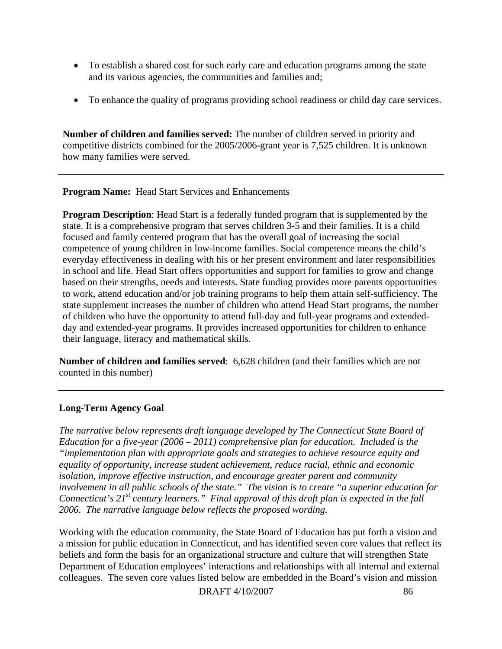- To establish a shared cost for such early care and education programs among the state and its various agencies, the communities and families and;
- To enhance the quality of programs providing school readiness or child day care services.

**Number of children and families served:** The number of children served in priority and competitive districts combined for the 2005/2006-grant year is 7,525 children. It is unknown how many families were served.

**Program Name:** Head Start Services and Enhancements

**Program Description:** Head Start is a federally funded program that is supplemented by the state. It is a comprehensive program that serves children 3-5 and their families. It is a child focused and family centered program that has the overall goal of increasing the social competence of young children in low-income families. Social competence means the child's everyday effectiveness in dealing with his or her present environment and later responsibilities in school and life. Head Start offers opportunities and support for families to grow and change based on their strengths, needs and interests. State funding provides more parents opportunities to work, attend education and/or job training programs to help them attain self-sufficiency. The state supplement increases the number of children who attend Head Start programs, the number of children who have the opportunity to attend full-day and full-year programs and extendedday and extended-year programs. It provides increased opportunities for children to enhance their language, literacy and mathematical skills.

**Number of children and families served**: 6,628 children (and their families which are not counted in this number)

# **Long-Term Agency Goal**

*The narrative below represents draft language developed by The Connecticut State Board of Education for a five-year (2006 – 2011) comprehensive plan for education. Included is the "implementation plan with appropriate goals and strategies to achieve resource equity and equality of opportunity, increase student achievement, reduce racial, ethnic and economic isolation, improve effective instruction, and encourage greater parent and community involvement in all public schools of the state." The vision is to create "a superior education for Connecticut's 21st century learners." Final approval of this draft plan is expected in the fall 2006. The narrative language below reflects the proposed wording.*

Working with the education community, the State Board of Education has put forth a vision and a mission for public education in Connecticut, and has identified seven core values that reflect its beliefs and form the basis for an organizational structure and culture that will strengthen State Department of Education employees' interactions and relationships with all internal and external colleagues. The seven core values listed below are embedded in the Board's vision and mission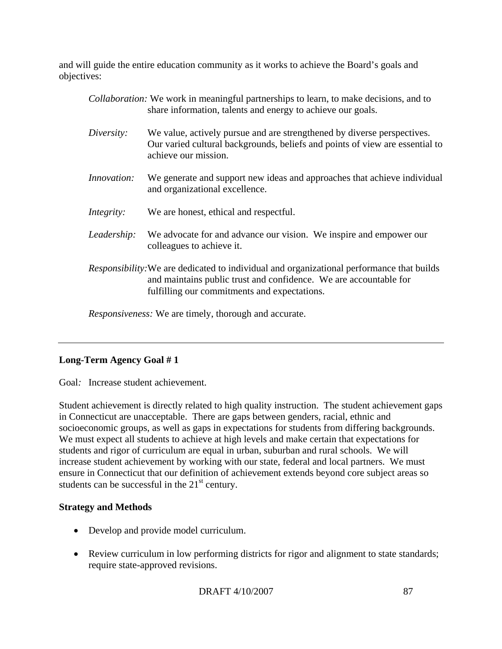and will guide the entire education community as it works to achieve the Board's goals and objectives:

|                    | <i>Collaboration:</i> We work in meaningful partnerships to learn, to make decisions, and to<br>share information, talents and energy to achieve our goals.                                                           |
|--------------------|-----------------------------------------------------------------------------------------------------------------------------------------------------------------------------------------------------------------------|
| Diversity:         | We value, actively pursue and are strengthened by diverse perspectives.<br>Our varied cultural backgrounds, beliefs and points of view are essential to<br>achieve our mission.                                       |
| <i>Innovation:</i> | We generate and support new ideas and approaches that achieve individual<br>and organizational excellence.                                                                                                            |
| Integrity:         | We are honest, ethical and respectful.                                                                                                                                                                                |
| Leadership:        | We advocate for and advance our vision. We inspire and empower our<br>colleagues to achieve it.                                                                                                                       |
|                    | <i>Responsibility:</i> We are dedicated to individual and organizational performance that builds<br>and maintains public trust and confidence. We are accountable for<br>fulfilling our commitments and expectations. |

*Responsiveness:* We are timely, thorough and accurate.

# **Long-Term Agency Goal # 1**

Goal*:* Increase student achievement.

Student achievement is directly related to high quality instruction. The student achievement gaps in Connecticut are unacceptable. There are gaps between genders, racial, ethnic and socioeconomic groups, as well as gaps in expectations for students from differing backgrounds. We must expect all students to achieve at high levels and make certain that expectations for students and rigor of curriculum are equal in urban, suburban and rural schools. We will increase student achievement by working with our state, federal and local partners. We must ensure in Connecticut that our definition of achievement extends beyond core subject areas so students can be successful in the  $21<sup>st</sup>$  century.

# **Strategy and Methods**

- Develop and provide model curriculum.
- Review curriculum in low performing districts for rigor and alignment to state standards; require state-approved revisions.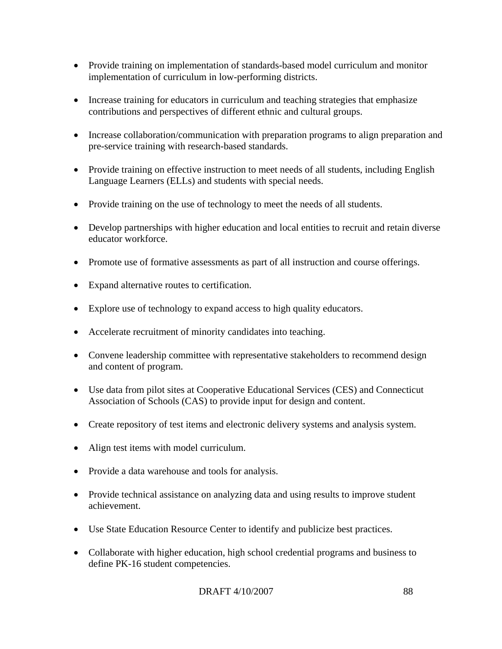- Provide training on implementation of standards-based model curriculum and monitor implementation of curriculum in low-performing districts.
- Increase training for educators in curriculum and teaching strategies that emphasize contributions and perspectives of different ethnic and cultural groups.
- Increase collaboration/communication with preparation programs to align preparation and pre-service training with research-based standards.
- Provide training on effective instruction to meet needs of all students, including English Language Learners (ELLs) and students with special needs.
- Provide training on the use of technology to meet the needs of all students.
- Develop partnerships with higher education and local entities to recruit and retain diverse educator workforce.
- Promote use of formative assessments as part of all instruction and course offerings.
- Expand alternative routes to certification.
- Explore use of technology to expand access to high quality educators.
- Accelerate recruitment of minority candidates into teaching.
- Convene leadership committee with representative stakeholders to recommend design and content of program.
- Use data from pilot sites at Cooperative Educational Services (CES) and Connecticut Association of Schools (CAS) to provide input for design and content.
- Create repository of test items and electronic delivery systems and analysis system.
- Align test items with model curriculum.
- Provide a data warehouse and tools for analysis.
- Provide technical assistance on analyzing data and using results to improve student achievement.
- Use State Education Resource Center to identify and publicize best practices.
- Collaborate with higher education, high school credential programs and business to define PK-16 student competencies.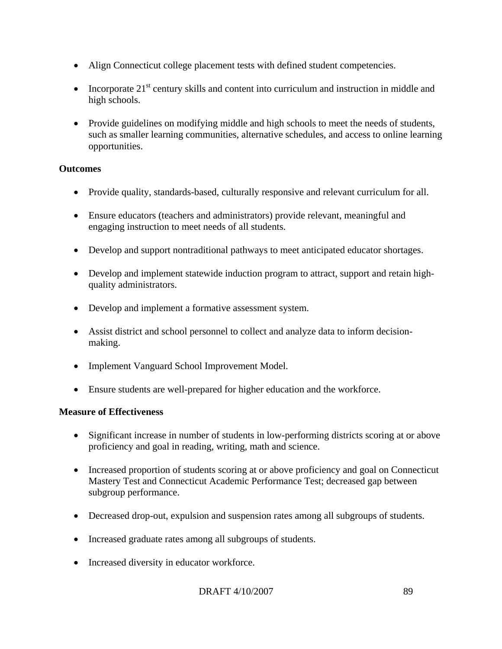- Align Connecticut college placement tests with defined student competencies.
- Incorporate  $21<sup>st</sup>$  century skills and content into curriculum and instruction in middle and high schools.
- Provide guidelines on modifying middle and high schools to meet the needs of students, such as smaller learning communities, alternative schedules, and access to online learning opportunities.

# **Outcomes**

- Provide quality, standards-based, culturally responsive and relevant curriculum for all.
- Ensure educators (teachers and administrators) provide relevant, meaningful and engaging instruction to meet needs of all students.
- Develop and support nontraditional pathways to meet anticipated educator shortages.
- Develop and implement statewide induction program to attract, support and retain highquality administrators.
- Develop and implement a formative assessment system.
- Assist district and school personnel to collect and analyze data to inform decisionmaking.
- Implement Vanguard School Improvement Model.
- Ensure students are well-prepared for higher education and the workforce.

## **Measure of Effectiveness**

- Significant increase in number of students in low-performing districts scoring at or above proficiency and goal in reading, writing, math and science.
- Increased proportion of students scoring at or above proficiency and goal on Connecticut Mastery Test and Connecticut Academic Performance Test; decreased gap between subgroup performance.
- Decreased drop-out, expulsion and suspension rates among all subgroups of students.
- Increased graduate rates among all subgroups of students.
- Increased diversity in educator workforce.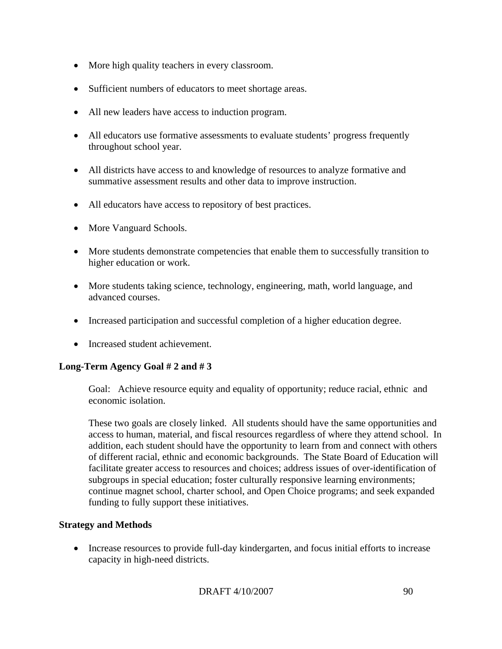- More high quality teachers in every classroom.
- Sufficient numbers of educators to meet shortage areas.
- All new leaders have access to induction program.
- All educators use formative assessments to evaluate students' progress frequently throughout school year.
- All districts have access to and knowledge of resources to analyze formative and summative assessment results and other data to improve instruction.
- All educators have access to repository of best practices.
- More Vanguard Schools.
- More students demonstrate competencies that enable them to successfully transition to higher education or work.
- More students taking science, technology, engineering, math, world language, and advanced courses.
- Increased participation and successful completion of a higher education degree.
- Increased student achievement.

# **Long-Term Agency Goal # 2 and # 3**

 Goal: Achieve resource equity and equality of opportunity; reduce racial, ethnic and economic isolation.

These two goals are closely linked. All students should have the same opportunities and access to human, material, and fiscal resources regardless of where they attend school. In addition, each student should have the opportunity to learn from and connect with others of different racial, ethnic and economic backgrounds. The State Board of Education will facilitate greater access to resources and choices; address issues of over-identification of subgroups in special education; foster culturally responsive learning environments; continue magnet school, charter school, and Open Choice programs; and seek expanded funding to fully support these initiatives.

# **Strategy and Methods**

• Increase resources to provide full-day kindergarten, and focus initial efforts to increase capacity in high-need districts.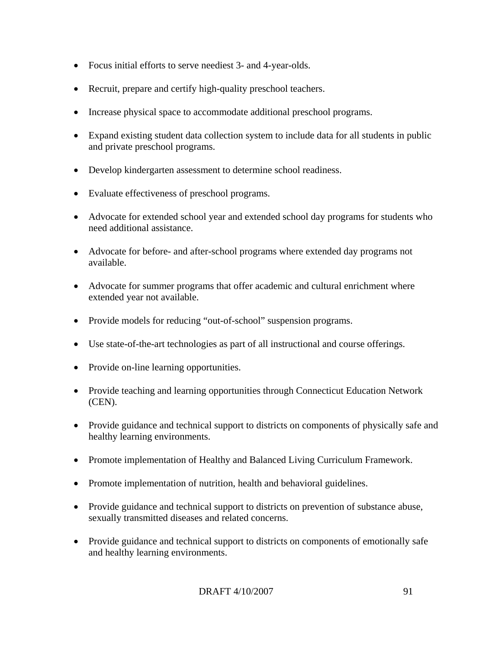- Focus initial efforts to serve neediest 3- and 4-year-olds.
- Recruit, prepare and certify high-quality preschool teachers.
- Increase physical space to accommodate additional preschool programs.
- Expand existing student data collection system to include data for all students in public and private preschool programs.
- Develop kindergarten assessment to determine school readiness.
- Evaluate effectiveness of preschool programs.
- Advocate for extended school year and extended school day programs for students who need additional assistance.
- Advocate for before- and after-school programs where extended day programs not available.
- Advocate for summer programs that offer academic and cultural enrichment where extended year not available.
- Provide models for reducing "out-of-school" suspension programs.
- Use state-of-the-art technologies as part of all instructional and course offerings.
- Provide on-line learning opportunities.
- Provide teaching and learning opportunities through Connecticut Education Network (CEN).
- Provide guidance and technical support to districts on components of physically safe and healthy learning environments.
- Promote implementation of Healthy and Balanced Living Curriculum Framework.
- Promote implementation of nutrition, health and behavioral guidelines.
- Provide guidance and technical support to districts on prevention of substance abuse, sexually transmitted diseases and related concerns.
- Provide guidance and technical support to districts on components of emotionally safe and healthy learning environments.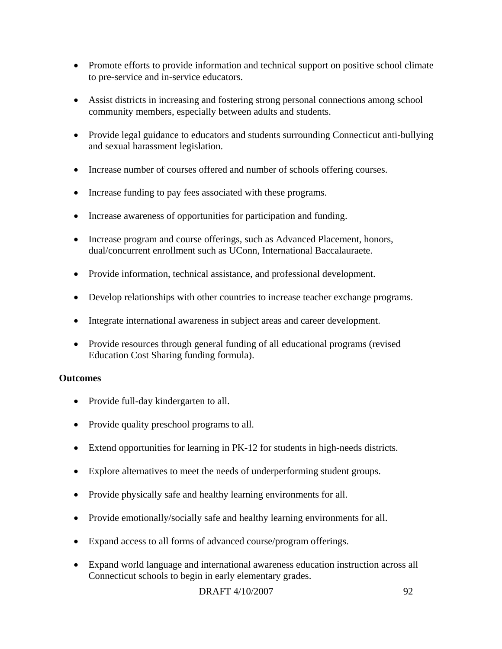- Promote efforts to provide information and technical support on positive school climate to pre-service and in-service educators.
- Assist districts in increasing and fostering strong personal connections among school community members, especially between adults and students.
- Provide legal guidance to educators and students surrounding Connecticut anti-bullying and sexual harassment legislation.
- Increase number of courses offered and number of schools offering courses.
- Increase funding to pay fees associated with these programs.
- Increase awareness of opportunities for participation and funding.
- Increase program and course offerings, such as Advanced Placement, honors, dual/concurrent enrollment such as UConn, International Baccalauraete.
- Provide information, technical assistance, and professional development.
- Develop relationships with other countries to increase teacher exchange programs.
- Integrate international awareness in subject areas and career development.
- Provide resources through general funding of all educational programs (revised Education Cost Sharing funding formula).

## **Outcomes**

- Provide full-day kindergarten to all.
- Provide quality preschool programs to all.
- Extend opportunities for learning in PK-12 for students in high-needs districts.
- Explore alternatives to meet the needs of underperforming student groups.
- Provide physically safe and healthy learning environments for all.
- Provide emotionally/socially safe and healthy learning environments for all.
- Expand access to all forms of advanced course/program offerings.
- Expand world language and international awareness education instruction across all Connecticut schools to begin in early elementary grades.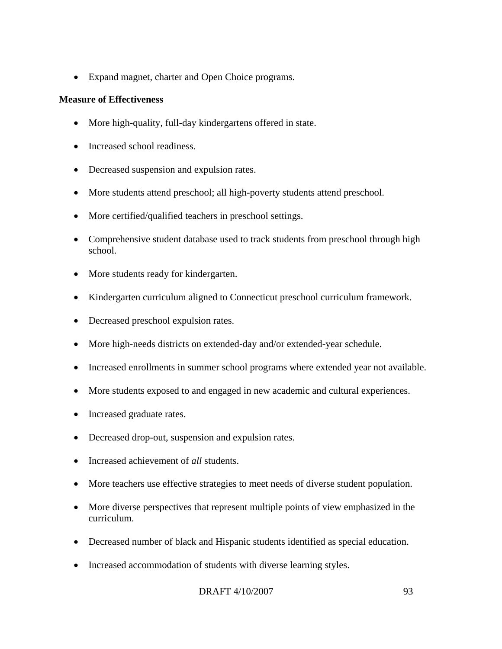• Expand magnet, charter and Open Choice programs.

## **Measure of Effectiveness**

- More high-quality, full-day kindergartens offered in state.
- Increased school readiness.
- Decreased suspension and expulsion rates.
- More students attend preschool; all high-poverty students attend preschool.
- More certified/qualified teachers in preschool settings.
- Comprehensive student database used to track students from preschool through high school.
- More students ready for kindergarten.
- Kindergarten curriculum aligned to Connecticut preschool curriculum framework.
- Decreased preschool expulsion rates.
- More high-needs districts on extended-day and/or extended-year schedule.
- Increased enrollments in summer school programs where extended year not available.
- More students exposed to and engaged in new academic and cultural experiences.
- Increased graduate rates.
- Decreased drop-out, suspension and expulsion rates.
- Increased achievement of *all* students.
- More teachers use effective strategies to meet needs of diverse student population.
- More diverse perspectives that represent multiple points of view emphasized in the curriculum.
- Decreased number of black and Hispanic students identified as special education.
- Increased accommodation of students with diverse learning styles.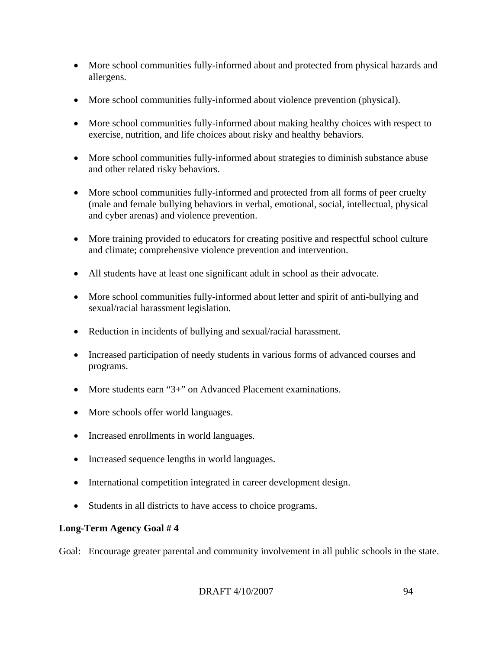- More school communities fully-informed about and protected from physical hazards and allergens.
- More school communities fully-informed about violence prevention (physical).
- More school communities fully-informed about making healthy choices with respect to exercise, nutrition, and life choices about risky and healthy behaviors.
- More school communities fully-informed about strategies to diminish substance abuse and other related risky behaviors.
- More school communities fully-informed and protected from all forms of peer cruelty (male and female bullying behaviors in verbal, emotional, social, intellectual, physical and cyber arenas) and violence prevention.
- More training provided to educators for creating positive and respectful school culture and climate; comprehensive violence prevention and intervention.
- All students have at least one significant adult in school as their advocate.
- More school communities fully-informed about letter and spirit of anti-bullying and sexual/racial harassment legislation.
- Reduction in incidents of bullying and sexual/racial harassment.
- Increased participation of needy students in various forms of advanced courses and programs.
- More students earn "3+" on Advanced Placement examinations.
- More schools offer world languages.
- Increased enrollments in world languages.
- Increased sequence lengths in world languages.
- International competition integrated in career development design.
- Students in all districts to have access to choice programs.

# **Long-Term Agency Goal # 4**

Goal: Encourage greater parental and community involvement in all public schools in the state.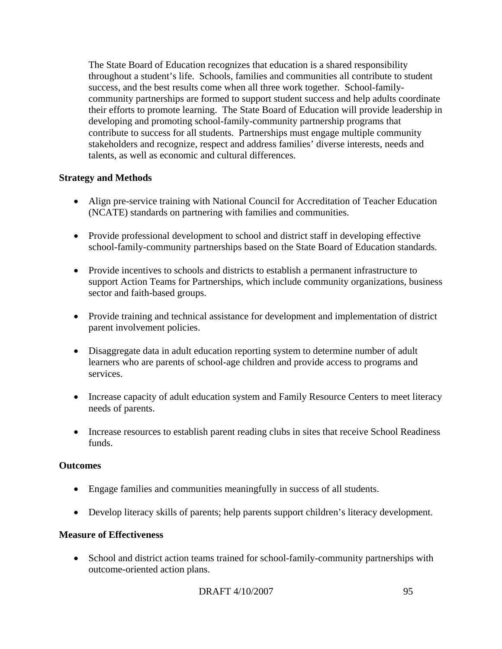The State Board of Education recognizes that education is a shared responsibility throughout a student's life. Schools, families and communities all contribute to student success, and the best results come when all three work together. School-familycommunity partnerships are formed to support student success and help adults coordinate their efforts to promote learning. The State Board of Education will provide leadership in developing and promoting school-family-community partnership programs that contribute to success for all students. Partnerships must engage multiple community stakeholders and recognize, respect and address families' diverse interests, needs and talents, as well as economic and cultural differences.

# **Strategy and Methods**

- Align pre-service training with National Council for Accreditation of Teacher Education (NCATE) standards on partnering with families and communities.
- Provide professional development to school and district staff in developing effective school-family-community partnerships based on the State Board of Education standards.
- Provide incentives to schools and districts to establish a permanent infrastructure to support Action Teams for Partnerships, which include community organizations, business sector and faith-based groups.
- Provide training and technical assistance for development and implementation of district parent involvement policies.
- Disaggregate data in adult education reporting system to determine number of adult learners who are parents of school-age children and provide access to programs and services.
- Increase capacity of adult education system and Family Resource Centers to meet literacy needs of parents.
- Increase resources to establish parent reading clubs in sites that receive School Readiness funds.

## **Outcomes**

- Engage families and communities meaningfully in success of all students.
- Develop literacy skills of parents; help parents support children's literacy development.

## **Measure of Effectiveness**

• School and district action teams trained for school-family-community partnerships with outcome-oriented action plans.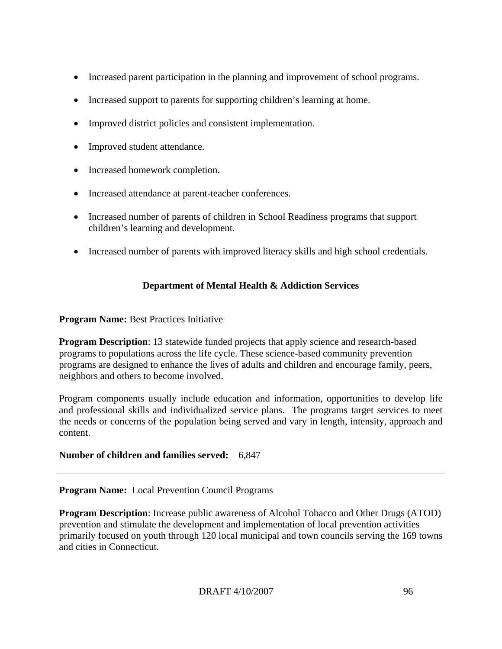- Increased parent participation in the planning and improvement of school programs.
- Increased support to parents for supporting children's learning at home.
- Improved district policies and consistent implementation.
- Improved student attendance.
- Increased homework completion.
- Increased attendance at parent-teacher conferences.
- Increased number of parents of children in School Readiness programs that support children's learning and development.
- Increased number of parents with improved literacy skills and high school credentials.

# **Department of Mental Health & Addiction Services**

# **Program Name:** Best Practices Initiative

**Program Description**: 13 statewide funded projects that apply science and research-based programs to populations across the life cycle. These science-based community prevention programs are designed to enhance the lives of adults and children and encourage family, peers, neighbors and others to become involved.

Program components usually include education and information, opportunities to develop life and professional skills and individualized service plans. The programs target services to meet the needs or concerns of the population being served and vary in length, intensity, approach and content.

# **Number of children and families served:** 6,847

## **Program Name:** Local Prevention Council Programs

**Program Description**: Increase public awareness of Alcohol Tobacco and Other Drugs (ATOD) prevention and stimulate the development and implementation of local prevention activities primarily focused on youth through 120 local municipal and town councils serving the 169 towns and cities in Connecticut.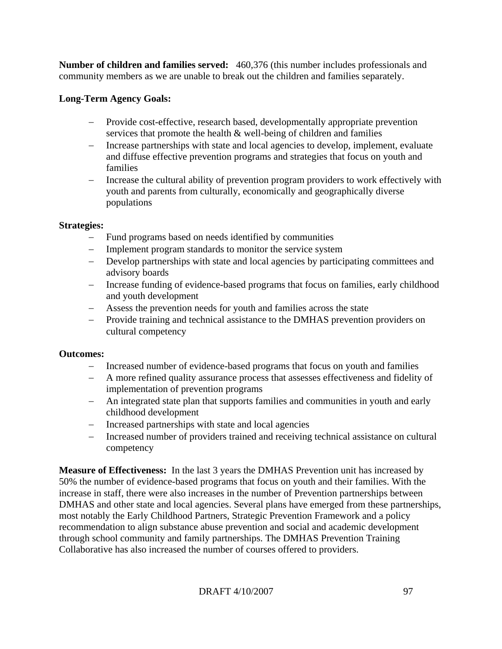**Number of children and families served:** 460,376 (this number includes professionals and community members as we are unable to break out the children and families separately.

# **Long-Term Agency Goals:**

- − Provide cost-effective, research based, developmentally appropriate prevention services that promote the health & well-being of children and families
- − Increase partnerships with state and local agencies to develop, implement, evaluate and diffuse effective prevention programs and strategies that focus on youth and families
- − Increase the cultural ability of prevention program providers to work effectively with youth and parents from culturally, economically and geographically diverse populations

## **Strategies:**

- − Fund programs based on needs identified by communities
- − Implement program standards to monitor the service system
- − Develop partnerships with state and local agencies by participating committees and advisory boards
- − Increase funding of evidence-based programs that focus on families, early childhood and youth development
- − Assess the prevention needs for youth and families across the state
- − Provide training and technical assistance to the DMHAS prevention providers on cultural competency

## **Outcomes:**

- − Increased number of evidence-based programs that focus on youth and families
- − A more refined quality assurance process that assesses effectiveness and fidelity of implementation of prevention programs
- − An integrated state plan that supports families and communities in youth and early childhood development
- Increased partnerships with state and local agencies
- − Increased number of providers trained and receiving technical assistance on cultural competency

**Measure of Effectiveness:** In the last 3 years the DMHAS Prevention unit has increased by 50% the number of evidence-based programs that focus on youth and their families. With the increase in staff, there were also increases in the number of Prevention partnerships between DMHAS and other state and local agencies. Several plans have emerged from these partnerships, most notably the Early Childhood Partners, Strategic Prevention Framework and a policy recommendation to align substance abuse prevention and social and academic development through school community and family partnerships. The DMHAS Prevention Training Collaborative has also increased the number of courses offered to providers.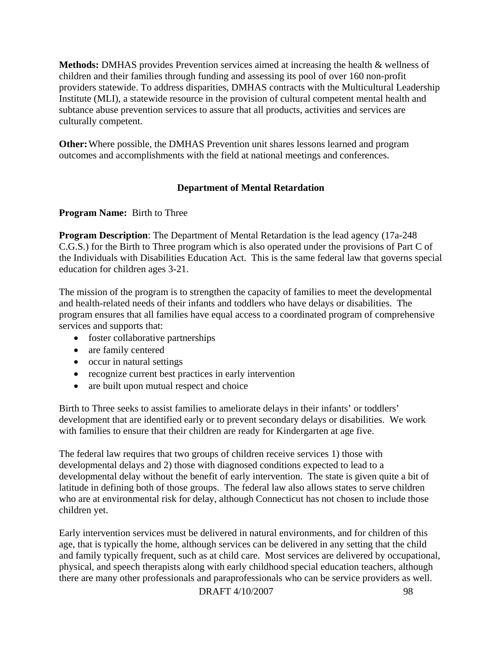**Methods:** DMHAS provides Prevention services aimed at increasing the health & wellness of children and their families through funding and assessing its pool of over 160 non-profit providers statewide. To address disparities, DMHAS contracts with the Multicultural Leadership Institute (MLI), a statewide resource in the provision of cultural competent mental health and subtance abuse prevention services to assure that all products, activities and services are culturally competent.

**Other:** Where possible, the DMHAS Prevention unit shares lessons learned and program outcomes and accomplishments with the field at national meetings and conferences.

# **Department of Mental Retardation**

## **Program Name:** Birth to Three

**Program Description:** The Department of Mental Retardation is the lead agency (17a-248) C.G.S.) for the Birth to Three program which is also operated under the provisions of Part C of the Individuals with Disabilities Education Act. This is the same federal law that governs special education for children ages 3-21.

The mission of the program is to strengthen the capacity of families to meet the developmental and health-related needs of their infants and toddlers who have delays or disabilities. The program ensures that all families have equal access to a coordinated program of comprehensive services and supports that:

- foster collaborative partnerships
- are family centered
- occur in natural settings
- recognize current best practices in early intervention
- are built upon mutual respect and choice

Birth to Three seeks to assist families to ameliorate delays in their infants' or toddlers' development that are identified early or to prevent secondary delays or disabilities. We work with families to ensure that their children are ready for Kindergarten at age five.

The federal law requires that two groups of children receive services 1) those with developmental delays and 2) those with diagnosed conditions expected to lead to a developmental delay without the benefit of early intervention. The state is given quite a bit of latitude in defining both of those groups. The federal law also allows states to serve children who are at environmental risk for delay, although Connecticut has not chosen to include those children yet.

Early intervention services must be delivered in natural environments, and for children of this age, that is typically the home, although services can be delivered in any setting that the child and family typically frequent, such as at child care. Most services are delivered by occupational, physical, and speech therapists along with early childhood special education teachers, although there are many other professionals and paraprofessionals who can be service providers as well.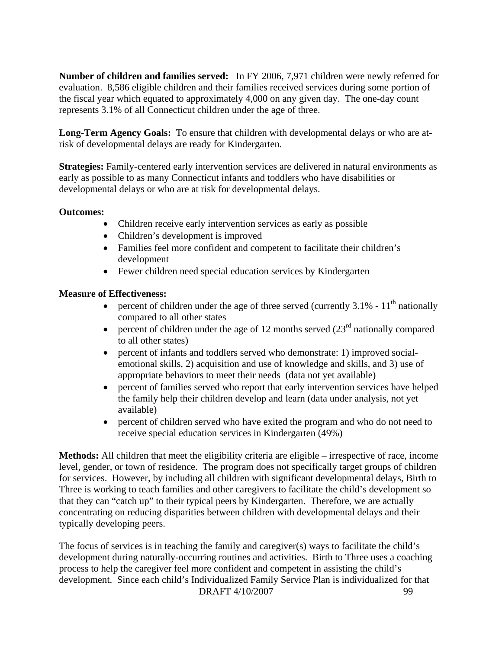**Number of children and families served:** In FY 2006, 7,971 children were newly referred for evaluation. 8,586 eligible children and their families received services during some portion of the fiscal year which equated to approximately 4,000 on any given day. The one-day count represents 3.1% of all Connecticut children under the age of three.

**Long-Term Agency Goals:** To ensure that children with developmental delays or who are atrisk of developmental delays are ready for Kindergarten.

**Strategies:** Family-centered early intervention services are delivered in natural environments as early as possible to as many Connecticut infants and toddlers who have disabilities or developmental delays or who are at risk for developmental delays.

## **Outcomes:**

- Children receive early intervention services as early as possible
- Children's development is improved
- Families feel more confident and competent to facilitate their children's development
- Fewer children need special education services by Kindergarten

# **Measure of Effectiveness:**

- percent of children under the age of three served (currently  $3.1\%$   $11<sup>th</sup>$  nationally compared to all other states
- percent of children under the age of 12 months served  $(23<sup>rd</sup>$  nationally compared to all other states)
- percent of infants and toddlers served who demonstrate: 1) improved socialemotional skills, 2) acquisition and use of knowledge and skills, and 3) use of appropriate behaviors to meet their needs (data not yet available)
- percent of families served who report that early intervention services have helped the family help their children develop and learn (data under analysis, not yet available)
- percent of children served who have exited the program and who do not need to receive special education services in Kindergarten (49%)

**Methods:** All children that meet the eligibility criteria are eligible – irrespective of race, income level, gender, or town of residence. The program does not specifically target groups of children for services. However, by including all children with significant developmental delays, Birth to Three is working to teach families and other caregivers to facilitate the child's development so that they can "catch up" to their typical peers by Kindergarten. Therefore, we are actually concentrating on reducing disparities between children with developmental delays and their typically developing peers.

DRAFT 4/10/2007 99 The focus of services is in teaching the family and caregiver(s) ways to facilitate the child's development during naturally-occurring routines and activities. Birth to Three uses a coaching process to help the caregiver feel more confident and competent in assisting the child's development. Since each child's Individualized Family Service Plan is individualized for that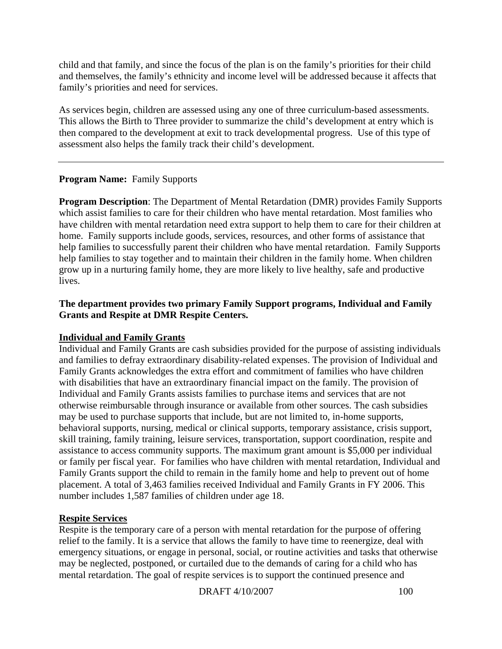child and that family, and since the focus of the plan is on the family's priorities for their child and themselves, the family's ethnicity and income level will be addressed because it affects that family's priorities and need for services.

As services begin, children are assessed using any one of three curriculum-based assessments. This allows the Birth to Three provider to summarize the child's development at entry which is then compared to the development at exit to track developmental progress. Use of this type of assessment also helps the family track their child's development.

# **Program Name:** Family Supports

**Program Description**: The Department of Mental Retardation (DMR) provides Family Supports which assist families to care for their children who have mental retardation. Most families who have children with mental retardation need extra support to help them to care for their children at home. Family supports include goods, services, resources, and other forms of assistance that help families to successfully parent their children who have mental retardation. Family Supports help families to stay together and to maintain their children in the family home. When children grow up in a nurturing family home, they are more likely to live healthy, safe and productive lives.

## **The department provides two primary Family Support programs, Individual and Family Grants and Respite at DMR Respite Centers.**

## **Individual and Family Grants**

Individual and Family Grants are cash subsidies provided for the purpose of assisting individuals and families to defray extraordinary disability-related expenses. The provision of Individual and Family Grants acknowledges the extra effort and commitment of families who have children with disabilities that have an extraordinary financial impact on the family. The provision of Individual and Family Grants assists families to purchase items and services that are not otherwise reimbursable through insurance or available from other sources. The cash subsidies may be used to purchase supports that include, but are not limited to, in-home supports, behavioral supports, nursing, medical or clinical supports, temporary assistance, crisis support, skill training, family training, leisure services, transportation, support coordination, respite and assistance to access community supports. The maximum grant amount is \$5,000 per individual or family per fiscal year. For families who have children with mental retardation, Individual and Family Grants support the child to remain in the family home and help to prevent out of home placement. A total of 3,463 families received Individual and Family Grants in FY 2006. This number includes 1,587 families of children under age 18.

## **Respite Services**

Respite is the temporary care of a person with mental retardation for the purpose of offering relief to the family. It is a service that allows the family to have time to reenergize, deal with emergency situations, or engage in personal, social, or routine activities and tasks that otherwise may be neglected, postponed, or curtailed due to the demands of caring for a child who has mental retardation. The goal of respite services is to support the continued presence and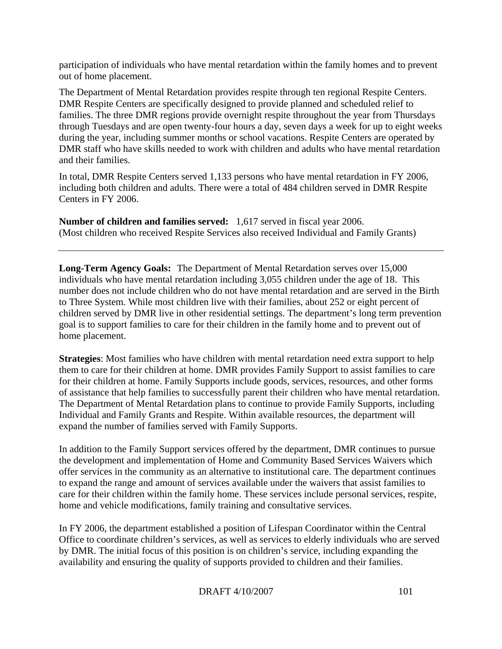participation of individuals who have mental retardation within the family homes and to prevent out of home placement.

The Department of Mental Retardation provides respite through ten regional Respite Centers. DMR Respite Centers are specifically designed to provide planned and scheduled relief to families. The three DMR regions provide overnight respite throughout the year from Thursdays through Tuesdays and are open twenty-four hours a day, seven days a week for up to eight weeks during the year, including summer months or school vacations. Respite Centers are operated by DMR staff who have skills needed to work with children and adults who have mental retardation and their families.

In total, DMR Respite Centers served 1,133 persons who have mental retardation in FY 2006, including both children and adults. There were a total of 484 children served in DMR Respite Centers in FY 2006.

**Number of children and families served:** 1,617 served in fiscal year 2006. (Most children who received Respite Services also received Individual and Family Grants)

**Long-Term Agency Goals:** The Department of Mental Retardation serves over 15,000 individuals who have mental retardation including 3,055 children under the age of 18. This number does not include children who do not have mental retardation and are served in the Birth to Three System. While most children live with their families, about 252 or eight percent of children served by DMR live in other residential settings. The department's long term prevention goal is to support families to care for their children in the family home and to prevent out of home placement.

**Strategies**: Most families who have children with mental retardation need extra support to help them to care for their children at home. DMR provides Family Support to assist families to care for their children at home. Family Supports include goods, services, resources, and other forms of assistance that help families to successfully parent their children who have mental retardation. The Department of Mental Retardation plans to continue to provide Family Supports, including Individual and Family Grants and Respite. Within available resources, the department will expand the number of families served with Family Supports.

In addition to the Family Support services offered by the department, DMR continues to pursue the development and implementation of Home and Community Based Services Waivers which offer services in the community as an alternative to institutional care. The department continues to expand the range and amount of services available under the waivers that assist families to care for their children within the family home. These services include personal services, respite, home and vehicle modifications, family training and consultative services.

In FY 2006, the department established a position of Lifespan Coordinator within the Central Office to coordinate children's services, as well as services to elderly individuals who are served by DMR. The initial focus of this position is on children's service, including expanding the availability and ensuring the quality of supports provided to children and their families.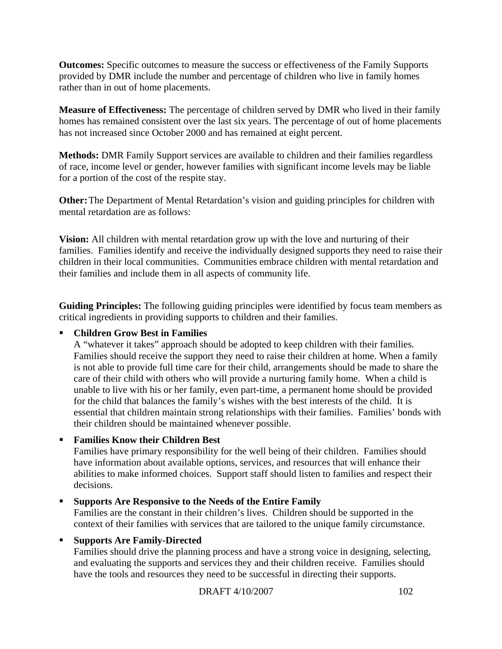**Outcomes:** Specific outcomes to measure the success or effectiveness of the Family Supports provided by DMR include the number and percentage of children who live in family homes rather than in out of home placements.

**Measure of Effectiveness:** The percentage of children served by DMR who lived in their family homes has remained consistent over the last six years. The percentage of out of home placements has not increased since October 2000 and has remained at eight percent.

**Methods:** DMR Family Support services are available to children and their families regardless of race, income level or gender, however families with significant income levels may be liable for a portion of the cost of the respite stay.

**Other:** The Department of Mental Retardation's vision and guiding principles for children with mental retardation are as follows:

**Vision:** All children with mental retardation grow up with the love and nurturing of their families. Families identify and receive the individually designed supports they need to raise their children in their local communities. Communities embrace children with mental retardation and their families and include them in all aspects of community life.

**Guiding Principles:** The following guiding principles were identified by focus team members as critical ingredients in providing supports to children and their families.

# **Children Grow Best in Families**

A "whatever it takes" approach should be adopted to keep children with their families. Families should receive the support they need to raise their children at home. When a family is not able to provide full time care for their child, arrangements should be made to share the care of their child with others who will provide a nurturing family home. When a child is unable to live with his or her family, even part-time, a permanent home should be provided for the child that balances the family's wishes with the best interests of the child. It is essential that children maintain strong relationships with their families. Families' bonds with their children should be maintained whenever possible.

**Families Know their Children Best** 

Families have primary responsibility for the well being of their children. Families should have information about available options, services, and resources that will enhance their abilities to make informed choices. Support staff should listen to families and respect their decisions.

## **Supports Are Responsive to the Needs of the Entire Family**

Families are the constant in their children's lives. Children should be supported in the context of their families with services that are tailored to the unique family circumstance.

# **Supports Are Family-Directed**

Families should drive the planning process and have a strong voice in designing, selecting, and evaluating the supports and services they and their children receive. Families should have the tools and resources they need to be successful in directing their supports.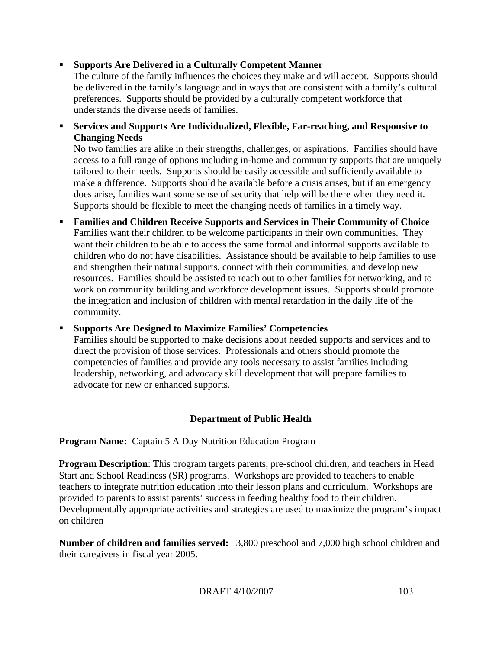# **Supports Are Delivered in a Culturally Competent Manner**

The culture of the family influences the choices they make and will accept. Supports should be delivered in the family's language and in ways that are consistent with a family's cultural preferences. Supports should be provided by a culturally competent workforce that understands the diverse needs of families.

 **Services and Supports Are Individualized, Flexible, Far-reaching, and Responsive to Changing Needs** 

No two families are alike in their strengths, challenges, or aspirations. Families should have access to a full range of options including in-home and community supports that are uniquely tailored to their needs. Supports should be easily accessible and sufficiently available to make a difference. Supports should be available before a crisis arises, but if an emergency does arise, families want some sense of security that help will be there when they need it. Supports should be flexible to meet the changing needs of families in a timely way.

 **Families and Children Receive Supports and Services in Their Community of Choice**  Families want their children to be welcome participants in their own communities. They want their children to be able to access the same formal and informal supports available to children who do not have disabilities. Assistance should be available to help families to use and strengthen their natural supports, connect with their communities, and develop new resources. Families should be assisted to reach out to other families for networking, and to work on community building and workforce development issues. Supports should promote the integration and inclusion of children with mental retardation in the daily life of the community.

 **Supports Are Designed to Maximize Families' Competencies**  Families should be supported to make decisions about needed supports and services and to direct the provision of those services. Professionals and others should promote the competencies of families and provide any tools necessary to assist families including leadership, networking, and advocacy skill development that will prepare families to advocate for new or enhanced supports.

# **Department of Public Health**

**Program Name:** Captain 5 A Day Nutrition Education Program

**Program Description**: This program targets parents, pre-school children, and teachers in Head Start and School Readiness (SR) programs. Workshops are provided to teachers to enable teachers to integrate nutrition education into their lesson plans and curriculum. Workshops are provided to parents to assist parents' success in feeding healthy food to their children. Developmentally appropriate activities and strategies are used to maximize the program's impact on children

**Number of children and families served:** 3,800 preschool and 7,000 high school children and their caregivers in fiscal year 2005.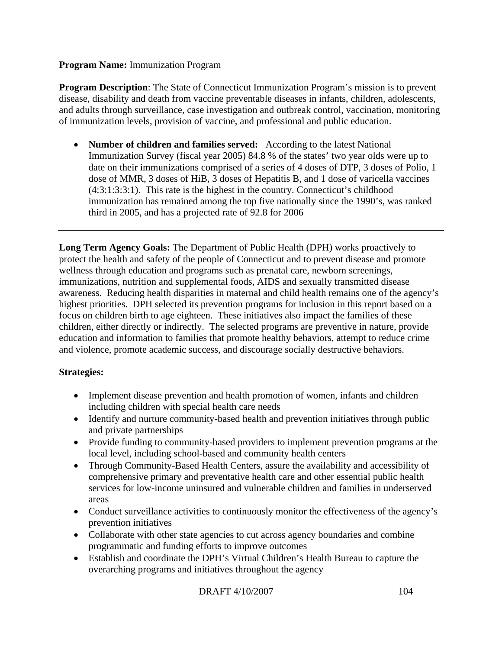## **Program Name:** Immunization Program

**Program Description**: The State of Connecticut Immunization Program's mission is to prevent disease, disability and death from vaccine preventable diseases in infants, children, adolescents, and adults through surveillance, case investigation and outbreak control, vaccination, monitoring of immunization levels, provision of vaccine, and professional and public education.

• **Number of children and families served:** According to the latest National Immunization Survey (fiscal year 2005) 84.8 % of the states' two year olds were up to date on their immunizations comprised of a series of 4 doses of DTP, 3 doses of Polio, 1 dose of MMR, 3 doses of HiB, 3 doses of Hepatitis B, and 1 dose of varicella vaccines (4:3:1:3:3:1). This rate is the highest in the country. Connecticut's childhood immunization has remained among the top five nationally since the 1990's, was ranked third in 2005, and has a projected rate of 92.8 for 2006

**Long Term Agency Goals:** The Department of Public Health (DPH) works proactively to protect the health and safety of the people of Connecticut and to prevent disease and promote wellness through education and programs such as prenatal care, newborn screenings, immunizations, nutrition and supplemental foods, AIDS and sexually transmitted disease awareness. Reducing health disparities in maternal and child health remains one of the agency's highest priorities. DPH selected its prevention programs for inclusion in this report based on a focus on children birth to age eighteen. These initiatives also impact the families of these children, either directly or indirectly. The selected programs are preventive in nature, provide education and information to families that promote healthy behaviors, attempt to reduce crime and violence, promote academic success, and discourage socially destructive behaviors.

# **Strategies:**

- Implement disease prevention and health promotion of women, infants and children including children with special health care needs
- Identify and nurture community-based health and prevention initiatives through public and private partnerships
- Provide funding to community-based providers to implement prevention programs at the local level, including school-based and community health centers
- Through Community-Based Health Centers, assure the availability and accessibility of comprehensive primary and preventative health care and other essential public health services for low-income uninsured and vulnerable children and families in underserved areas
- Conduct surveillance activities to continuously monitor the effectiveness of the agency's prevention initiatives
- Collaborate with other state agencies to cut across agency boundaries and combine programmatic and funding efforts to improve outcomes
- Establish and coordinate the DPH's Virtual Children's Health Bureau to capture the overarching programs and initiatives throughout the agency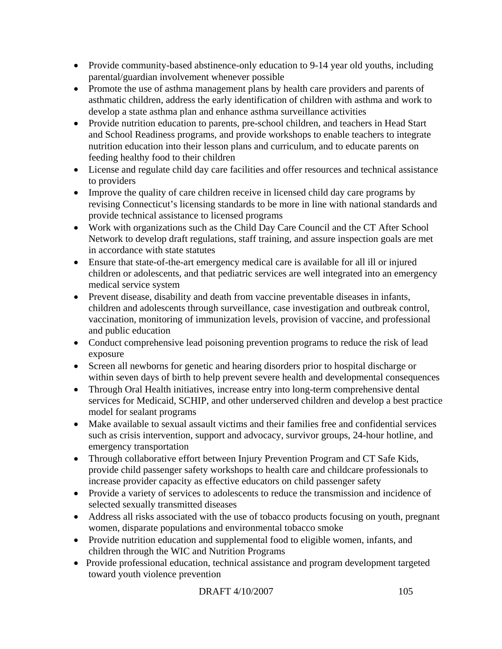- Provide community-based abstinence-only education to 9-14 year old youths, including parental/guardian involvement whenever possible
- Promote the use of asthma management plans by health care providers and parents of asthmatic children, address the early identification of children with asthma and work to develop a state asthma plan and enhance asthma surveillance activities
- Provide nutrition education to parents, pre-school children, and teachers in Head Start and School Readiness programs, and provide workshops to enable teachers to integrate nutrition education into their lesson plans and curriculum, and to educate parents on feeding healthy food to their children
- License and regulate child day care facilities and offer resources and technical assistance to providers
- Improve the quality of care children receive in licensed child day care programs by revising Connecticut's licensing standards to be more in line with national standards and provide technical assistance to licensed programs
- Work with organizations such as the Child Day Care Council and the CT After School Network to develop draft regulations, staff training, and assure inspection goals are met in accordance with state statutes
- Ensure that state-of-the-art emergency medical care is available for all ill or injured children or adolescents, and that pediatric services are well integrated into an emergency medical service system
- Prevent disease, disability and death from vaccine preventable diseases in infants, children and adolescents through surveillance, case investigation and outbreak control, vaccination, monitoring of immunization levels, provision of vaccine, and professional and public education
- Conduct comprehensive lead poisoning prevention programs to reduce the risk of lead exposure
- Screen all newborns for genetic and hearing disorders prior to hospital discharge or within seven days of birth to help prevent severe health and developmental consequences
- Through Oral Health initiatives, increase entry into long-term comprehensive dental services for Medicaid, SCHIP, and other underserved children and develop a best practice model for sealant programs
- Make available to sexual assault victims and their families free and confidential services such as crisis intervention, support and advocacy, survivor groups, 24-hour hotline, and emergency transportation
- Through collaborative effort between Injury Prevention Program and CT Safe Kids, provide child passenger safety workshops to health care and childcare professionals to increase provider capacity as effective educators on child passenger safety
- Provide a variety of services to adolescents to reduce the transmission and incidence of selected sexually transmitted diseases
- Address all risks associated with the use of tobacco products focusing on youth, pregnant women, disparate populations and environmental tobacco smoke
- Provide nutrition education and supplemental food to eligible women, infants, and children through the WIC and Nutrition Programs
- Provide professional education, technical assistance and program development targeted toward youth violence prevention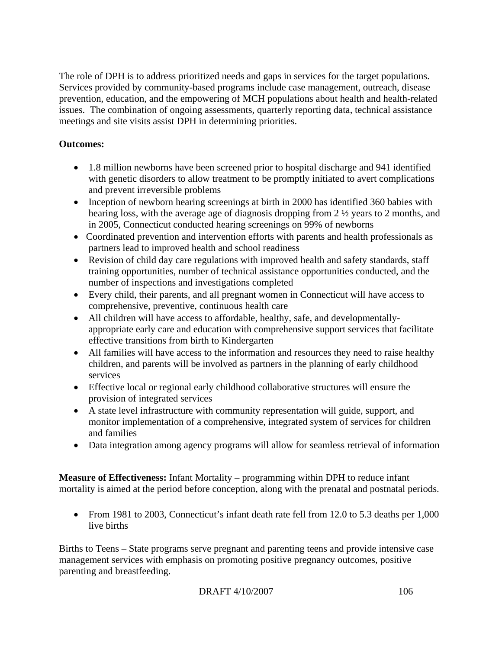The role of DPH is to address prioritized needs and gaps in services for the target populations. Services provided by community-based programs include case management, outreach, disease prevention, education, and the empowering of MCH populations about health and health-related issues. The combination of ongoing assessments, quarterly reporting data, technical assistance meetings and site visits assist DPH in determining priorities.

# **Outcomes:**

- 1.8 million newborns have been screened prior to hospital discharge and 941 identified with genetic disorders to allow treatment to be promptly initiated to avert complications and prevent irreversible problems
- Inception of newborn hearing screenings at birth in 2000 has identified 360 babies with hearing loss, with the average age of diagnosis dropping from 2 ½ years to 2 months, and in 2005, Connecticut conducted hearing screenings on 99% of newborns
- Coordinated prevention and intervention efforts with parents and health professionals as partners lead to improved health and school readiness
- Revision of child day care regulations with improved health and safety standards, staff training opportunities, number of technical assistance opportunities conducted, and the number of inspections and investigations completed
- Every child, their parents, and all pregnant women in Connecticut will have access to comprehensive, preventive, continuous health care
- All children will have access to affordable, healthy, safe, and developmentallyappropriate early care and education with comprehensive support services that facilitate effective transitions from birth to Kindergarten
- All families will have access to the information and resources they need to raise healthy children, and parents will be involved as partners in the planning of early childhood services
- Effective local or regional early childhood collaborative structures will ensure the provision of integrated services
- A state level infrastructure with community representation will guide, support, and monitor implementation of a comprehensive, integrated system of services for children and families
- Data integration among agency programs will allow for seamless retrieval of information

**Measure of Effectiveness:** Infant Mortality – programming within DPH to reduce infant mortality is aimed at the period before conception, along with the prenatal and postnatal periods.

• From 1981 to 2003, Connecticut's infant death rate fell from 12.0 to 5.3 deaths per 1,000 live births

Births to Teens – State programs serve pregnant and parenting teens and provide intensive case management services with emphasis on promoting positive pregnancy outcomes, positive parenting and breastfeeding.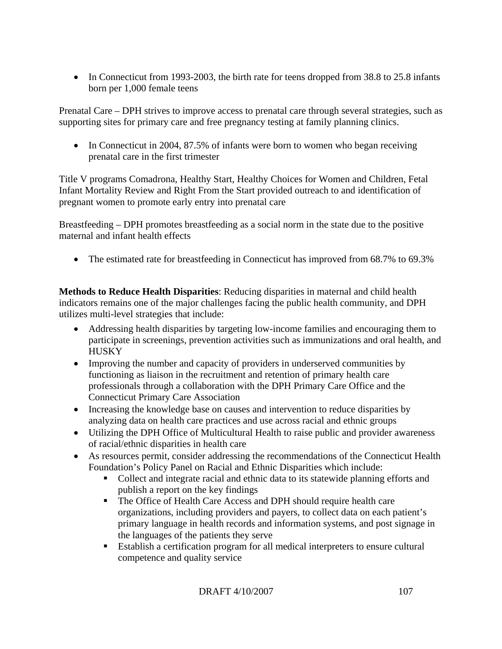• In Connecticut from 1993-2003, the birth rate for teens dropped from 38.8 to 25.8 infants born per 1,000 female teens

Prenatal Care – DPH strives to improve access to prenatal care through several strategies, such as supporting sites for primary care and free pregnancy testing at family planning clinics.

• In Connecticut in 2004, 87.5% of infants were born to women who began receiving prenatal care in the first trimester

Title V programs Comadrona, Healthy Start, Healthy Choices for Women and Children, Fetal Infant Mortality Review and Right From the Start provided outreach to and identification of pregnant women to promote early entry into prenatal care

Breastfeeding – DPH promotes breastfeeding as a social norm in the state due to the positive maternal and infant health effects

• The estimated rate for breastfeeding in Connecticut has improved from 68.7% to 69.3%

**Methods to Reduce Health Disparities**: Reducing disparities in maternal and child health indicators remains one of the major challenges facing the public health community, and DPH utilizes multi-level strategies that include:

- Addressing health disparities by targeting low-income families and encouraging them to participate in screenings, prevention activities such as immunizations and oral health, and **HUSKY**
- Improving the number and capacity of providers in underserved communities by functioning as liaison in the recruitment and retention of primary health care professionals through a collaboration with the DPH Primary Care Office and the Connecticut Primary Care Association
- Increasing the knowledge base on causes and intervention to reduce disparities by analyzing data on health care practices and use across racial and ethnic groups
- Utilizing the DPH Office of Multicultural Health to raise public and provider awareness of racial/ethnic disparities in health care
- As resources permit, consider addressing the recommendations of the Connecticut Health Foundation's Policy Panel on Racial and Ethnic Disparities which include:
	- Collect and integrate racial and ethnic data to its statewide planning efforts and publish a report on the key findings
	- The Office of Health Care Access and DPH should require health care organizations, including providers and payers, to collect data on each patient's primary language in health records and information systems, and post signage in the languages of the patients they serve
	- Establish a certification program for all medical interpreters to ensure cultural competence and quality service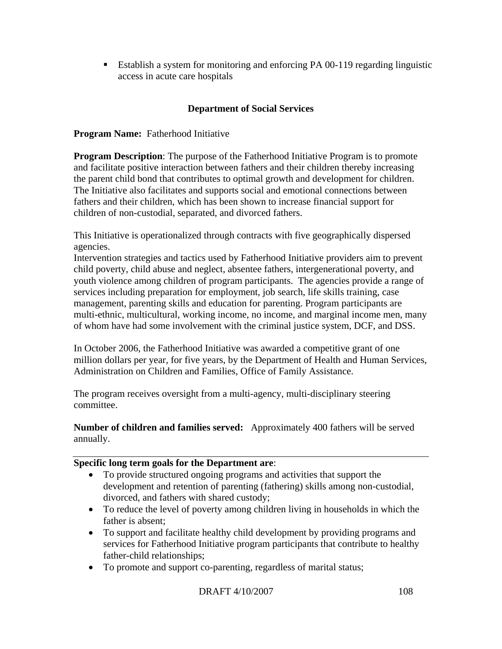Establish a system for monitoring and enforcing PA 00-119 regarding linguistic access in acute care hospitals

# **Department of Social Services**

## **Program Name:** Fatherhood Initiative

**Program Description**: The purpose of the Fatherhood Initiative Program is to promote and facilitate positive interaction between fathers and their children thereby increasing the parent child bond that contributes to optimal growth and development for children. The Initiative also facilitates and supports social and emotional connections between fathers and their children, which has been shown to increase financial support for children of non-custodial, separated, and divorced fathers.

This Initiative is operationalized through contracts with five geographically dispersed agencies.

Intervention strategies and tactics used by Fatherhood Initiative providers aim to prevent child poverty, child abuse and neglect, absentee fathers, intergenerational poverty, and youth violence among children of program participants. The agencies provide a range of services including preparation for employment, job search, life skills training, case management, parenting skills and education for parenting. Program participants are multi-ethnic, multicultural, working income, no income, and marginal income men, many of whom have had some involvement with the criminal justice system, DCF, and DSS.

In October 2006, the Fatherhood Initiative was awarded a competitive grant of one million dollars per year, for five years, by the Department of Health and Human Services, Administration on Children and Families, Office of Family Assistance.

The program receives oversight from a multi-agency, multi-disciplinary steering committee.

**Number of children and families served:** Approximately 400 fathers will be served annually.

#### **Specific long term goals for the Department are**:

- To provide structured ongoing programs and activities that support the development and retention of parenting (fathering) skills among non-custodial, divorced, and fathers with shared custody;
- To reduce the level of poverty among children living in households in which the father is absent;
- To support and facilitate healthy child development by providing programs and services for Fatherhood Initiative program participants that contribute to healthy father-child relationships;
- To promote and support co-parenting, regardless of marital status;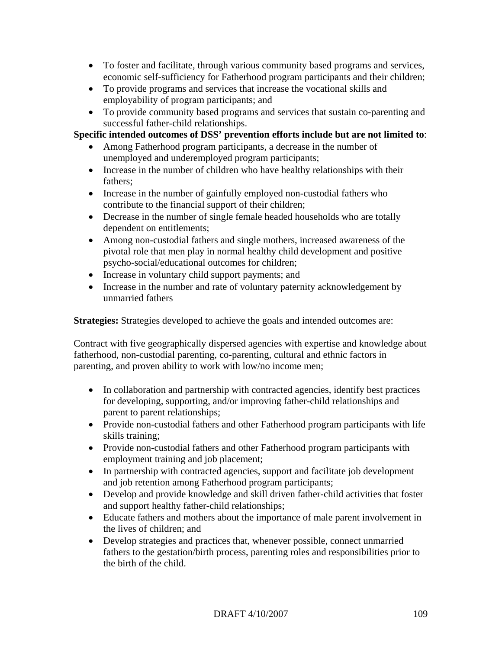- To foster and facilitate, through various community based programs and services, economic self-sufficiency for Fatherhood program participants and their children;
- To provide programs and services that increase the vocational skills and employability of program participants; and
- To provide community based programs and services that sustain co-parenting and successful father-child relationships.

#### **Specific intended outcomes of DSS' prevention efforts include but are not limited to**:

- Among Fatherhood program participants, a decrease in the number of unemployed and underemployed program participants;
- Increase in the number of children who have healthy relationships with their fathers;
- Increase in the number of gainfully employed non-custodial fathers who contribute to the financial support of their children;
- Decrease in the number of single female headed households who are totally dependent on entitlements;
- Among non-custodial fathers and single mothers, increased awareness of the pivotal role that men play in normal healthy child development and positive psycho-social/educational outcomes for children;
- Increase in voluntary child support payments; and
- Increase in the number and rate of voluntary paternity acknowledgement by unmarried fathers

**Strategies:** Strategies developed to achieve the goals and intended outcomes are:

Contract with five geographically dispersed agencies with expertise and knowledge about fatherhood, non-custodial parenting, co-parenting, cultural and ethnic factors in parenting, and proven ability to work with low/no income men;

- In collaboration and partnership with contracted agencies, identify best practices for developing, supporting, and/or improving father-child relationships and parent to parent relationships;
- Provide non-custodial fathers and other Fatherhood program participants with life skills training;
- Provide non-custodial fathers and other Fatherhood program participants with employment training and job placement;
- In partnership with contracted agencies, support and facilitate job development and job retention among Fatherhood program participants;
- Develop and provide knowledge and skill driven father-child activities that foster and support healthy father-child relationships;
- Educate fathers and mothers about the importance of male parent involvement in the lives of children; and
- Develop strategies and practices that, whenever possible, connect unmarried fathers to the gestation/birth process, parenting roles and responsibilities prior to the birth of the child.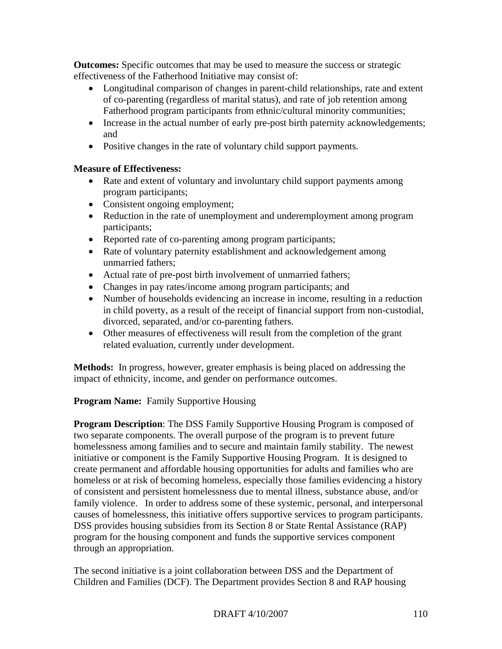**Outcomes:** Specific outcomes that may be used to measure the success or strategic effectiveness of the Fatherhood Initiative may consist of:

- Longitudinal comparison of changes in parent-child relationships, rate and extent of co-parenting (regardless of marital status), and rate of job retention among Fatherhood program participants from ethnic/cultural minority communities;
- Increase in the actual number of early pre-post birth paternity acknowledgements; and
- Positive changes in the rate of voluntary child support payments.

## **Measure of Effectiveness:**

- Rate and extent of voluntary and involuntary child support payments among program participants;
- Consistent ongoing employment;
- Reduction in the rate of unemployment and underemployment among program participants;
- Reported rate of co-parenting among program participants;
- Rate of voluntary paternity establishment and acknowledgement among unmarried fathers;
- Actual rate of pre-post birth involvement of unmarried fathers;
- Changes in pay rates/income among program participants; and
- Number of households evidencing an increase in income, resulting in a reduction in child poverty, as a result of the receipt of financial support from non-custodial, divorced, separated, and/or co-parenting fathers.
- Other measures of effectiveness will result from the completion of the grant related evaluation, currently under development.

**Methods:** In progress, however, greater emphasis is being placed on addressing the impact of ethnicity, income, and gender on performance outcomes.

## **Program Name:** Family Supportive Housing

**Program Description**: The DSS Family Supportive Housing Program is composed of two separate components. The overall purpose of the program is to prevent future homelessness among families and to secure and maintain family stability. The newest initiative or component is the Family Supportive Housing Program. It is designed to create permanent and affordable housing opportunities for adults and families who are homeless or at risk of becoming homeless, especially those families evidencing a history of consistent and persistent homelessness due to mental illness, substance abuse, and/or family violence. In order to address some of these systemic, personal, and interpersonal causes of homelessness, this initiative offers supportive services to program participants. DSS provides housing subsidies from its Section 8 or State Rental Assistance (RAP) program for the housing component and funds the supportive services component through an appropriation.

The second initiative is a joint collaboration between DSS and the Department of Children and Families (DCF). The Department provides Section 8 and RAP housing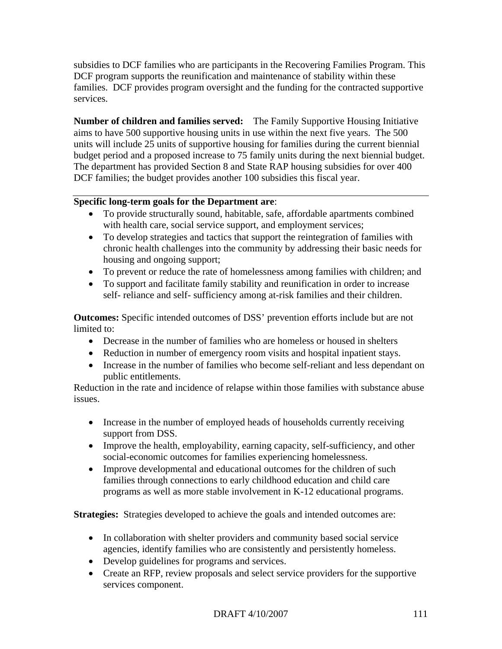subsidies to DCF families who are participants in the Recovering Families Program. This DCF program supports the reunification and maintenance of stability within these families. DCF provides program oversight and the funding for the contracted supportive services.

**Number of children and families served:** The Family Supportive Housing Initiative aims to have 500 supportive housing units in use within the next five years. The 500 units will include 25 units of supportive housing for families during the current biennial budget period and a proposed increase to 75 family units during the next biennial budget. The department has provided Section 8 and State RAP housing subsidies for over 400 DCF families; the budget provides another 100 subsidies this fiscal year.

#### **Specific long-term goals for the Department are**:

- To provide structurally sound, habitable, safe, affordable apartments combined with health care, social service support, and employment services;
- To develop strategies and tactics that support the reintegration of families with chronic health challenges into the community by addressing their basic needs for housing and ongoing support;
- To prevent or reduce the rate of homelessness among families with children; and
- To support and facilitate family stability and reunification in order to increase self- reliance and self- sufficiency among at-risk families and their children.

**Outcomes:** Specific intended outcomes of DSS' prevention efforts include but are not limited to:

- Decrease in the number of families who are homeless or housed in shelters
- Reduction in number of emergency room visits and hospital inpatient stays.
- Increase in the number of families who become self-reliant and less dependant on public entitlements.

Reduction in the rate and incidence of relapse within those families with substance abuse issues.

- Increase in the number of employed heads of households currently receiving support from DSS.
- Improve the health, employability, earning capacity, self-sufficiency, and other social-economic outcomes for families experiencing homelessness.
- Improve developmental and educational outcomes for the children of such families through connections to early childhood education and child care programs as well as more stable involvement in K-12 educational programs.

**Strategies:** Strategies developed to achieve the goals and intended outcomes are:

- In collaboration with shelter providers and community based social service agencies, identify families who are consistently and persistently homeless.
- Develop guidelines for programs and services.
- Create an RFP, review proposals and select service providers for the supportive services component.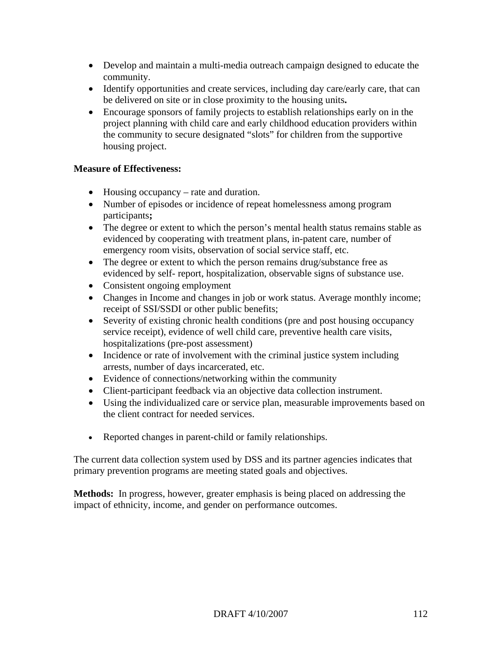- Develop and maintain a multi-media outreach campaign designed to educate the community.
- Identify opportunities and create services, including day care/early care, that can be delivered on site or in close proximity to the housing units**.**
- Encourage sponsors of family projects to establish relationships early on in the project planning with child care and early childhood education providers within the community to secure designated "slots" for children from the supportive housing project.

## **Measure of Effectiveness:**

- Housing occupancy rate and duration.
- Number of episodes or incidence of repeat homelessness among program participants**;**
- The degree or extent to which the person's mental health status remains stable as evidenced by cooperating with treatment plans, in-patent care, number of emergency room visits, observation of social service staff, etc.
- The degree or extent to which the person remains drug/substance free as evidenced by self- report, hospitalization, observable signs of substance use.
- Consistent ongoing employment
- Changes in Income and changes in job or work status. Average monthly income; receipt of SSI/SSDI or other public benefits;
- Severity of existing chronic health conditions (pre and post housing occupancy service receipt), evidence of well child care, preventive health care visits, hospitalizations (pre-post assessment)
- Incidence or rate of involvement with the criminal justice system including arrests, number of days incarcerated, etc.
- Evidence of connections/networking within the community
- Client-participant feedback via an objective data collection instrument.
- Using the individualized care or service plan, measurable improvements based on the client contract for needed services.
- Reported changes in parent-child or family relationships.

The current data collection system used by DSS and its partner agencies indicates that primary prevention programs are meeting stated goals and objectives.

**Methods:** In progress, however, greater emphasis is being placed on addressing the impact of ethnicity, income, and gender on performance outcomes.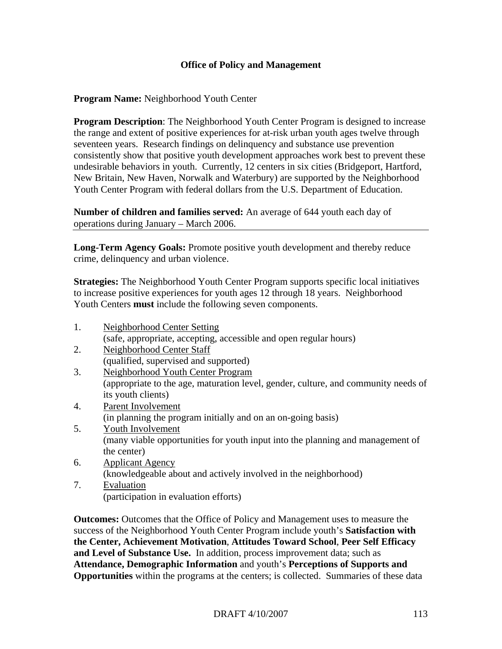#### **Office of Policy and Management**

#### **Program Name:** Neighborhood Youth Center

**Program Description:** The Neighborhood Youth Center Program is designed to increase the range and extent of positive experiences for at-risk urban youth ages twelve through seventeen years. Research findings on delinquency and substance use prevention consistently show that positive youth development approaches work best to prevent these undesirable behaviors in youth. Currently, 12 centers in six cities (Bridgeport, Hartford, New Britain, New Haven, Norwalk and Waterbury) are supported by the Neighborhood Youth Center Program with federal dollars from the U.S. Department of Education.

**Number of children and families served:** An average of 644 youth each day of operations during January – March 2006.

**Long-Term Agency Goals:** Promote positive youth development and thereby reduce crime, delinquency and urban violence.

**Strategies:** The Neighborhood Youth Center Program supports specific local initiatives to increase positive experiences for youth ages 12 through 18 years. Neighborhood Youth Centers **must** include the following seven components.

- 1. Neighborhood Center Setting (safe, appropriate, accepting, accessible and open regular hours) 2. Neighborhood Center Staff
- (qualified, supervised and supported)
- 3. Neighborhood Youth Center Program (appropriate to the age, maturation level, gender, culture, and community needs of its youth clients)
- 4. Parent Involvement (in planning the program initially and on an on-going basis)
- 5. Youth Involvement (many viable opportunities for youth input into the planning and management of the center)
- 6. Applicant Agency (knowledgeable about and actively involved in the neighborhood)
- 7. Evaluation (participation in evaluation efforts)

**Outcomes:** Outcomes that the Office of Policy and Management uses to measure the success of the Neighborhood Youth Center Program include youth's **Satisfaction with the Center, Achievement Motivation**, **Attitudes Toward School**, **Peer Self Efficacy and Level of Substance Use.** In addition, process improvement data; such as **Attendance, Demographic Information** and youth's **Perceptions of Supports and Opportunities** within the programs at the centers; is collected. Summaries of these data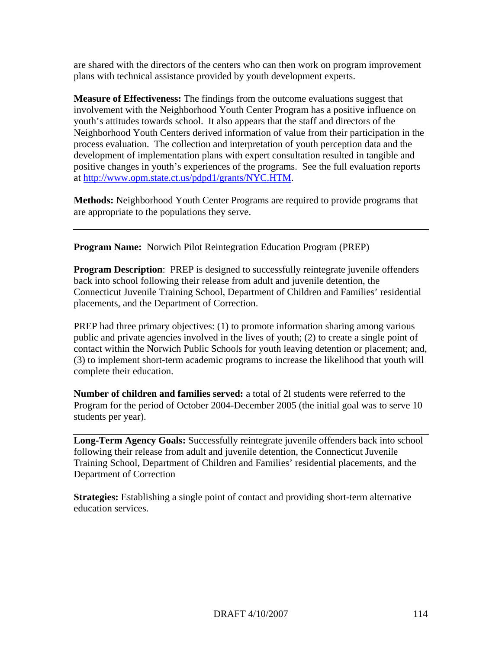are shared with the directors of the centers who can then work on program improvement plans with technical assistance provided by youth development experts.

**Measure of Effectiveness:** The findings from the outcome evaluations suggest that involvement with the Neighborhood Youth Center Program has a positive influence on youth's attitudes towards school. It also appears that the staff and directors of the Neighborhood Youth Centers derived information of value from their participation in the process evaluation. The collection and interpretation of youth perception data and the development of implementation plans with expert consultation resulted in tangible and positive changes in youth's experiences of the programs. See the full evaluation reports at <http://www.opm.state.ct.us/pdpd1/grants/NYC.HTM>.

**Methods:** Neighborhood Youth Center Programs are required to provide programs that are appropriate to the populations they serve.

**Program Name:** Norwich Pilot Reintegration Education Program (PREP)

**Program Description:** PREP is designed to successfully reintegrate juvenile offenders back into school following their release from adult and juvenile detention, the Connecticut Juvenile Training School, Department of Children and Families' residential placements, and the Department of Correction.

PREP had three primary objectives: (1) to promote information sharing among various public and private agencies involved in the lives of youth; (2) to create a single point of contact within the Norwich Public Schools for youth leaving detention or placement; and, (3) to implement short-term academic programs to increase the likelihood that youth will complete their education.

**Number of children and families served:** a total of 2l students were referred to the Program for the period of October 2004-December 2005 (the initial goal was to serve 10 students per year).

**Long-Term Agency Goals:** Successfully reintegrate juvenile offenders back into school following their release from adult and juvenile detention, the Connecticut Juvenile Training School, Department of Children and Families' residential placements, and the Department of Correction

**Strategies:** Establishing a single point of contact and providing short-term alternative education services.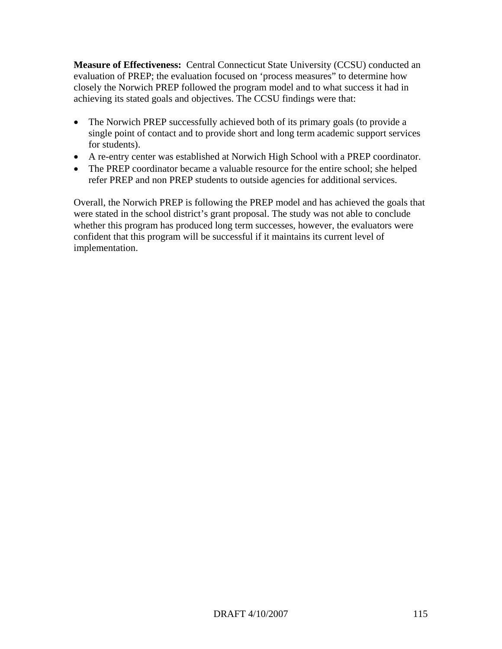**Measure of Effectiveness:** Central Connecticut State University (CCSU) conducted an evaluation of PREP; the evaluation focused on 'process measures" to determine how closely the Norwich PREP followed the program model and to what success it had in achieving its stated goals and objectives. The CCSU findings were that:

- The Norwich PREP successfully achieved both of its primary goals (to provide a single point of contact and to provide short and long term academic support services for students).
- A re-entry center was established at Norwich High School with a PREP coordinator.
- The PREP coordinator became a valuable resource for the entire school; she helped refer PREP and non PREP students to outside agencies for additional services.

Overall, the Norwich PREP is following the PREP model and has achieved the goals that were stated in the school district's grant proposal. The study was not able to conclude whether this program has produced long term successes, however, the evaluators were confident that this program will be successful if it maintains its current level of implementation.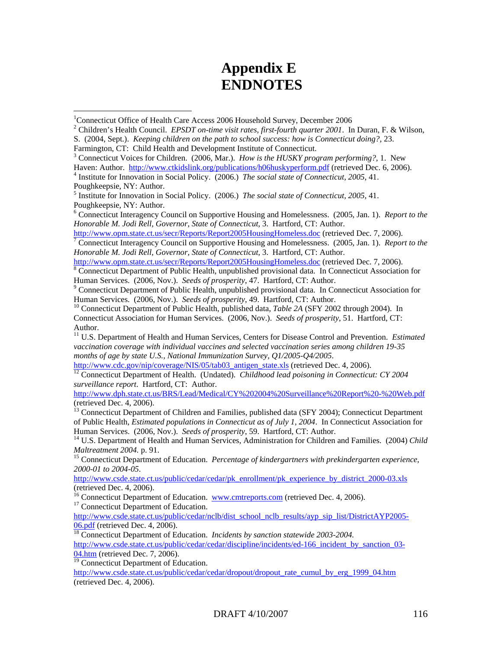# **Appendix E ENDNOTES**

 $\overline{a}$ 

3 Connecticut Voices for Children. (2006, Mar.). *How is the HUSKY program performing?*, 1. New

Haven: Author. <http://www.ctkidslink.org/publications/h06huskyperform.pdf>(retrieved Dec. 6, 2006).

<sup>4</sup> Institute for Innovation in Social Policy. (2006.) *The social state of Connecticut, 2005, 41.* Poughkeepsie, NY: Author.

6 Connecticut Interagency Council on Supportive Housing and Homelessness. (2005, Jan. 1). *Report to the Honorable M. Jodi Rell, Governor, State of Connecticut*, 3. Hartford, CT: Author.

 $\sqrt{7}$  Connecticut Interagency Council on Supportive Housing and Homelessness. (2005, Jan. 1). *Report to the Honorable M. Jodi Rell, Governor, State of Connecticut*, 3. Hartford, CT: Author.

<http://www.opm.state.ct.us/secr/Reports/Report2005HousingHomeless.doc>(retrieved Dec. 7, 2006).

<sup>8</sup> Connecticut Department of Public Health, unpublished provisional data. In Connecticut Association for Human Services. (2006, Nov.). *Seeds of prosperity*, 47. Hartford, CT: Author. 9

<sup>9</sup> Connecticut Department of Public Health, unpublished provisional data. In Connecticut Association for Human Services. (2006, Nov.). *Seeds of prosperity*, 49. Hartford, CT: Author.<br><sup>10</sup> Connecticut Department of Public Health, published data, *Table 2A* (SFY 2002 through 2004). In

Connecticut Association for Human Services. (2006, Nov.). *Seeds of prosperity*, 51. Hartford, CT: Author.

11 U.S. Department of Health and Human Services, Centers for Disease Control and Prevention. *Estimated vaccination coverage with individual vaccines and selected vaccination series among children 19-35 months of age by state U.S., National Immunization Survey, Q1/2005-Q4/2005.*<br>http://www.cdc.gov/nip/coverage/NIS/05/tab03 antigen state.xls (retrieved Dec. 4, 2006).

<sup>[12](http://www.cdc.gov/nip/coverage/NIS/05/tab03_antigen_state.xls)</sup> Connecticut Department of Health. (Undated). *Childhood lead poisoning in Connecticut: CY 2004 surveillance report*. Hartford, CT: Author.

<http://www.dph.state.ct.us/BRS/Lead/Medical/CY%202004%20Surveillance%20Report%20-%20Web.pdf> (retrieved Dec. 4, 2006).

<sup>13</sup> Connecticut Department of Children and Families, published data (SFY 2004); Connecticut Department of Public Health, *Estimated populations in Connecticut as of July 1, 2004*. In Connecticut Association for Human Services. (2006, Nov.). *Seeds of prosperity*, 59. Hartford, CT: Author.<br><sup>14</sup> U.S. Department of Health and Human Services, Administration for Children and Families. (2004) *Child* 

*Maltreatment 2004.* p. 91.<br><sup>15</sup> Connecticut Department of Education. *Percentage of kindergartners with prekindergarten experience,* 

*2000-01 to 2004-05*.

[http://www.csde.state.ct.us/public/cedar/cedar/pk\\_enrollment/pk\\_experience\\_by\\_district\\_2000-03.xls](http://www.csde.state.ct.us/public/cedar/cedar/pk_enrollment/pk_experience_by_district_2000-03.xls) (retrieved Dec. 4, 2006).

<sup>16</sup> Connecticut Department of Education. [www.cmtreports.com](http://www.cmtreports.com/) (retrieved Dec. 4, 2006).<sup>17</sup> Connecticut Department of Education.

[http://www.csde.state.ct.us/public/cedar/nclb/dist\\_school\\_nclb\\_results/ayp\\_sip\\_list/DistrictAYP2005-](http://www.csde.state.ct.us/public/cedar/nclb/dist_school_nclb_results/ayp_sip_list/DistrictAYP2005-06.pdf) [06.pdf](http://www.csde.state.ct.us/public/cedar/nclb/dist_school_nclb_results/ayp_sip_list/DistrictAYP2005-06.pdf) (retrieved Dec. 4, 2006). [18](http://www.csde.state.ct.us/public/cedar/nclb/dist_school_nclb_results/ayp_sip_list/DistrictAYP2005-06.pdf) Connecticut Department of Education. *Incidents by sanction statewide 2003-2004.* 

[http://www.csde.state.ct.us/public/cedar/cedar/discipline/incidents/ed-166\\_incident\\_by\\_sanction\\_03-](http://www.csde.state.ct.us/public/cedar/cedar/discipline/incidents/ed-166_incident_by_sanction_03-04.htm) [04.htm](http://www.csde.state.ct.us/public/cedar/cedar/discipline/incidents/ed-166_incident_by_sanction_03-04.htm) (retrieved Dec. 7, 2006).

 $\frac{19}{19}$  Connecticut Department of Education.

[http://www.csde.state.ct.us/public/cedar/cedar/dropout/dropout\\_rate\\_cumul\\_by\\_erg\\_1999\\_04.htm](http://www.csde.state.ct.us/public/cedar/cedar/dropout/dropout_rate_cumul_by_erg_1999_04.htm) (retrieved Dec. 4, 2006).

<sup>&</sup>lt;sup>1</sup>Connecticut Office of Health Care Access 2006 Household Survey, December 2006<br><sup>2</sup> Children's Health Council EBSDT on time wisit ustes, first fourth quarter 2001. In

Children's Health Council. *EPSDT on-time visit rates, first-fourth quarter 2001*. In Duran, F. & Wilson, S. (2004, Sept.). *Keeping children on the path to school success: how is Connecticut doing?*, 23. Farmington, CT: Child Health and Development Institute of Connecticut.

<sup>5</sup> Institute for Innovation in Social Policy. (2006.) *The social state of Connecticut, 2005*, 41. Poughkeepsie, NY: Author.

<http://www.opm.state.ct.us/secr/Reports/Report2005HousingHomeless.doc>(retrieved Dec. [7](http://www.opm.state.ct.us/secr/Reports/Report2005HousingHomeless.doc), 2006).